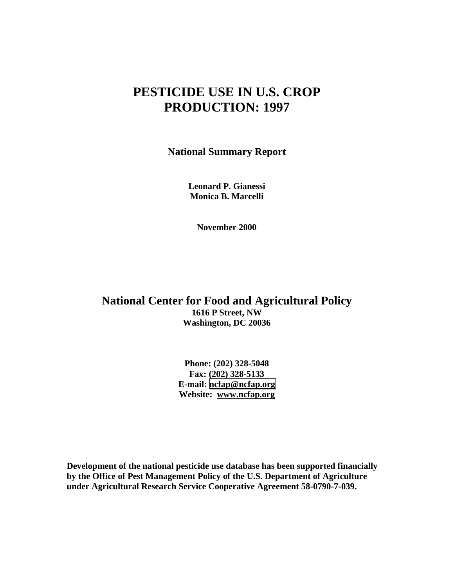### **PESTICIDE USE IN U.S. CROP PRODUCTION: 1997**

**National Summary Report**

**Leonard P. Gianessi Monica B. Marcelli**

**November 2000**

**National Center for Food and Agricultural Policy 1616 P Street, NW Washington, DC 20036**

> **Phone: (202) 328-5048 Fax: (202) 328-5133 E-mail: [ncfap@ncfap.org](mailto:ncfap@ncfap.org) Website: www.ncfap.org**

**Development of the national pesticide use database has been supported financially by the Office of Pest Management Policy of the U.S. Department of Agriculture under Agricultural Research Service Cooperative Agreement 58-0790-7-039.**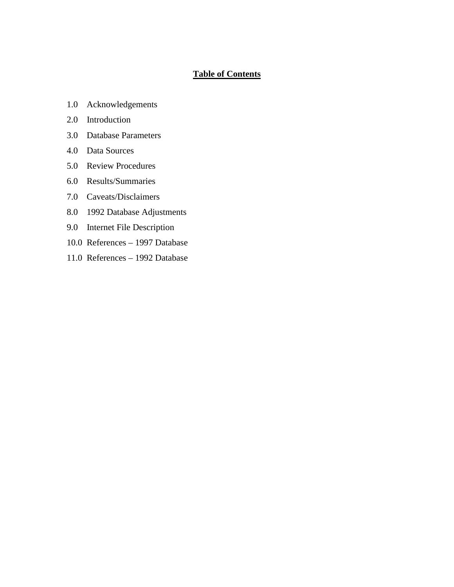#### **Table of Contents**

- 1.0 Acknowledgements
- 2.0 Introduction
- 3.0 Database Parameters
- 4.0 Data Sources
- 5.0 Review Procedures
- 6.0 Results/Summaries
- 7.0 Caveats/Disclaimers
- 8.0 1992 Database Adjustments
- 9.0 Internet File Description
- 10.0 References 1997 Database
- 11.0 References 1992 Database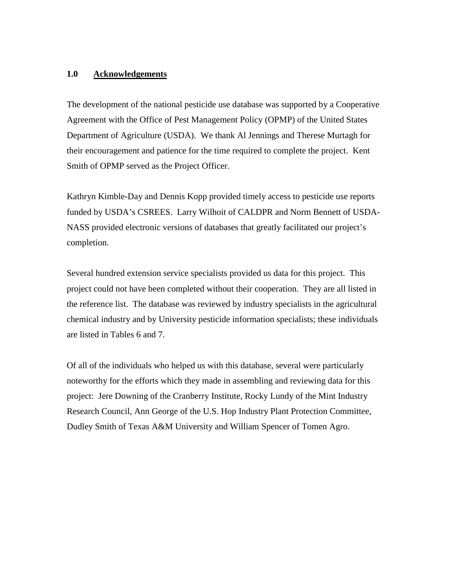#### **1.0 Acknowledgements**

The development of the national pesticide use database was supported by a Cooperative Agreement with the Office of Pest Management Policy (OPMP) of the United States Department of Agriculture (USDA). We thank Al Jennings and Therese Murtagh for their encouragement and patience for the time required to complete the project. Kent Smith of OPMP served as the Project Officer.

Kathryn Kimble-Day and Dennis Kopp provided timely access to pesticide use reports funded by USDA's CSREES. Larry Wilhoit of CALDPR and Norm Bennett of USDA-NASS provided electronic versions of databases that greatly facilitated our project's completion.

Several hundred extension service specialists provided us data for this project. This project could not have been completed without their cooperation. They are all listed in the reference list. The database was reviewed by industry specialists in the agricultural chemical industry and by University pesticide information specialists; these individuals are listed in Tables 6 and 7.

Of all of the individuals who helped us with this database, several were particularly noteworthy for the efforts which they made in assembling and reviewing data for this project: Jere Downing of the Cranberry Institute, Rocky Lundy of the Mint Industry Research Council, Ann George of the U.S. Hop Industry Plant Protection Committee, Dudley Smith of Texas A&M University and William Spencer of Tomen Agro.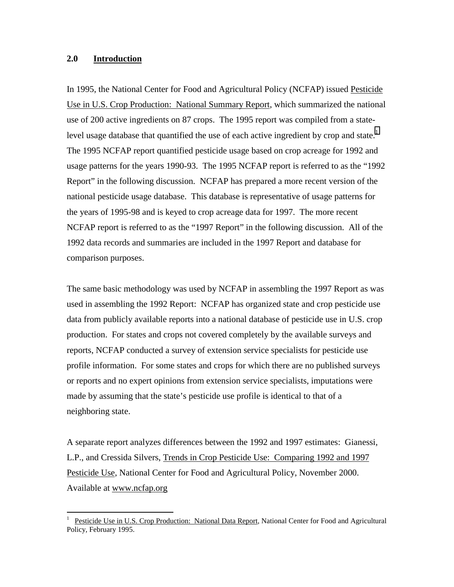#### **2.0 Introduction**

 $\overline{a}$ 

In 1995, the National Center for Food and Agricultural Policy (NCFAP) issued Pesticide Use in U.S. Crop Production: National Summary Report, which summarized the national use of 200 active ingredients on 87 crops. The 1995 report was compiled from a statelevel usage database that quantified the use of each active ingredient by crop and state.<sup>1</sup> The 1995 NCFAP report quantified pesticide usage based on crop acreage for 1992 and usage patterns for the years 1990-93. The 1995 NCFAP report is referred to as the "1992 Report" in the following discussion. NCFAP has prepared a more recent version of the national pesticide usage database. This database is representative of usage patterns for the years of 1995-98 and is keyed to crop acreage data for 1997. The more recent NCFAP report is referred to as the "1997 Report" in the following discussion. All of the 1992 data records and summaries are included in the 1997 Report and database for comparison purposes.

The same basic methodology was used by NCFAP in assembling the 1997 Report as was used in assembling the 1992 Report: NCFAP has organized state and crop pesticide use data from publicly available reports into a national database of pesticide use in U.S. crop production. For states and crops not covered completely by the available surveys and reports, NCFAP conducted a survey of extension service specialists for pesticide use profile information. For some states and crops for which there are no published surveys or reports and no expert opinions from extension service specialists, imputations were made by assuming that the state's pesticide use profile is identical to that of a neighboring state.

A separate report analyzes differences between the 1992 and 1997 estimates: Gianessi, L.P., and Cressida Silvers, Trends in Crop Pesticide Use: Comparing 1992 and 1997 Pesticide Use, National Center for Food and Agricultural Policy, November 2000. Available at www.ncfap.org

<sup>1</sup> Pesticide Use in U.S. Crop Production: National Data Report, National Center for Food and Agricultural Policy, February 1995.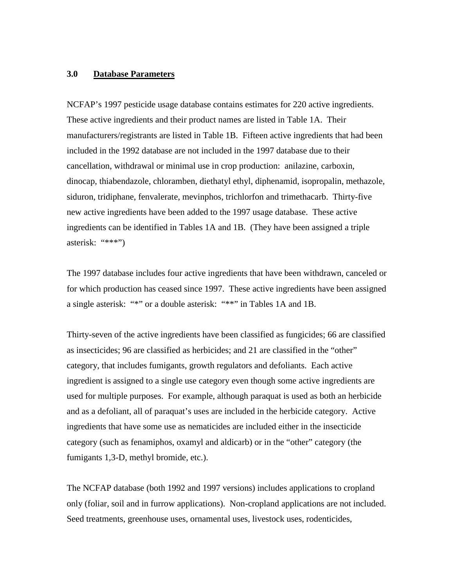#### **3.0 Database Parameters**

NCFAP's 1997 pesticide usage database contains estimates for 220 active ingredients. These active ingredients and their product names are listed in Table 1A. Their manufacturers/registrants are listed in Table 1B. Fifteen active ingredients that had been included in the 1992 database are not included in the 1997 database due to their cancellation, withdrawal or minimal use in crop production: anilazine, carboxin, dinocap, thiabendazole, chloramben, diethatyl ethyl, diphenamid, isopropalin, methazole, siduron, tridiphane, fenvalerate, mevinphos, trichlorfon and trimethacarb. Thirty-five new active ingredients have been added to the 1997 usage database. These active ingredients can be identified in Tables 1A and 1B. (They have been assigned a triple asterisk: "\*\*\*")

The 1997 database includes four active ingredients that have been withdrawn, canceled or for which production has ceased since 1997. These active ingredients have been assigned a single asterisk: "\*" or a double asterisk: "\*\*" in Tables 1A and 1B.

Thirty-seven of the active ingredients have been classified as fungicides; 66 are classified as insecticides; 96 are classified as herbicides; and 21 are classified in the "other" category, that includes fumigants, growth regulators and defoliants. Each active ingredient is assigned to a single use category even though some active ingredients are used for multiple purposes. For example, although paraquat is used as both an herbicide and as a defoliant, all of paraquat's uses are included in the herbicide category. Active ingredients that have some use as nematicides are included either in the insecticide category (such as fenamiphos, oxamyl and aldicarb) or in the "other" category (the fumigants 1,3-D, methyl bromide, etc.).

The NCFAP database (both 1992 and 1997 versions) includes applications to cropland only (foliar, soil and in furrow applications). Non-cropland applications are not included. Seed treatments, greenhouse uses, ornamental uses, livestock uses, rodenticides,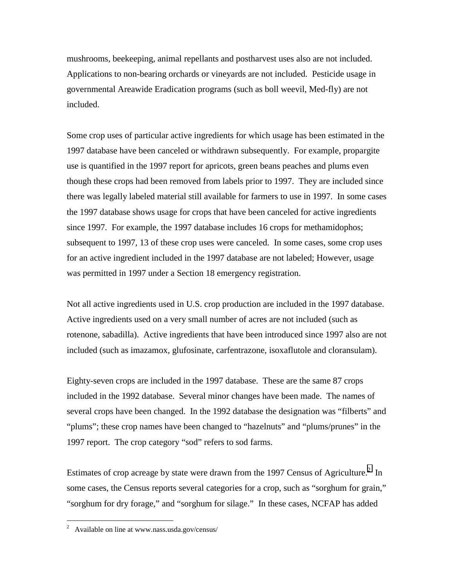mushrooms, beekeeping, animal repellants and postharvest uses also are not included. Applications to non-bearing orchards or vineyards are not included. Pesticide usage in governmental Areawide Eradication programs (such as boll weevil, Med-fly) are not included.

Some crop uses of particular active ingredients for which usage has been estimated in the 1997 database have been canceled or withdrawn subsequently. For example, propargite use is quantified in the 1997 report for apricots, green beans peaches and plums even though these crops had been removed from labels prior to 1997. They are included since there was legally labeled material still available for farmers to use in 1997. In some cases the 1997 database shows usage for crops that have been canceled for active ingredients since 1997. For example, the 1997 database includes 16 crops for methamidophos; subsequent to 1997, 13 of these crop uses were canceled. In some cases, some crop uses for an active ingredient included in the 1997 database are not labeled; However, usage was permitted in 1997 under a Section 18 emergency registration.

Not all active ingredients used in U.S. crop production are included in the 1997 database. Active ingredients used on a very small number of acres are not included (such as rotenone, sabadilla). Active ingredients that have been introduced since 1997 also are not included (such as imazamox, glufosinate, carfentrazone, isoxaflutole and cloransulam).

Eighty-seven crops are included in the 1997 database. These are the same 87 crops included in the 1992 database. Several minor changes have been made. The names of several crops have been changed. In the 1992 database the designation was "filberts" and "plums"; these crop names have been changed to "hazelnuts" and "plums/prunes" in the 1997 report. The crop category "sod" refers to sod farms.

Estimates of crop acreage by state were drawn from the 1997 Census of Agriculture.<sup>2</sup> In some cases, the Census reports several categories for a crop, such as "sorghum for grain," "sorghum for dry forage," and "sorghum for silage." In these cases, NCFAP has added

 2 Available on line at www.nass.usda.gov/census/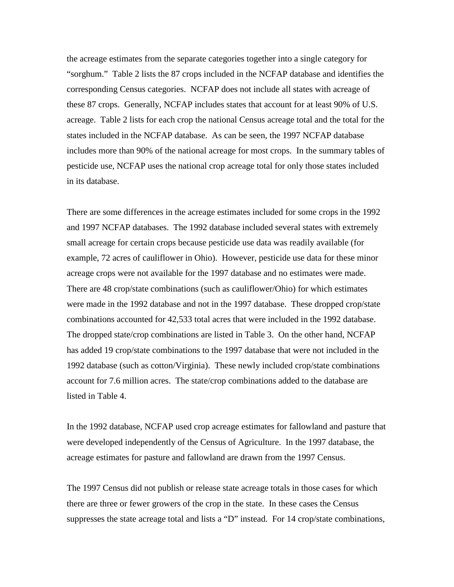the acreage estimates from the separate categories together into a single category for "sorghum." Table 2 lists the 87 crops included in the NCFAP database and identifies the corresponding Census categories. NCFAP does not include all states with acreage of these 87 crops. Generally, NCFAP includes states that account for at least 90% of U.S. acreage. Table 2 lists for each crop the national Census acreage total and the total for the states included in the NCFAP database. As can be seen, the 1997 NCFAP database includes more than 90% of the national acreage for most crops. In the summary tables of pesticide use, NCFAP uses the national crop acreage total for only those states included in its database.

There are some differences in the acreage estimates included for some crops in the 1992 and 1997 NCFAP databases. The 1992 database included several states with extremely small acreage for certain crops because pesticide use data was readily available (for example, 72 acres of cauliflower in Ohio). However, pesticide use data for these minor acreage crops were not available for the 1997 database and no estimates were made. There are 48 crop/state combinations (such as cauliflower/Ohio) for which estimates were made in the 1992 database and not in the 1997 database. These dropped crop/state combinations accounted for 42,533 total acres that were included in the 1992 database. The dropped state/crop combinations are listed in Table 3. On the other hand, NCFAP has added 19 crop/state combinations to the 1997 database that were not included in the 1992 database (such as cotton/Virginia). These newly included crop/state combinations account for 7.6 million acres. The state/crop combinations added to the database are listed in Table 4.

In the 1992 database, NCFAP used crop acreage estimates for fallowland and pasture that were developed independently of the Census of Agriculture. In the 1997 database, the acreage estimates for pasture and fallowland are drawn from the 1997 Census.

The 1997 Census did not publish or release state acreage totals in those cases for which there are three or fewer growers of the crop in the state. In these cases the Census suppresses the state acreage total and lists a "D" instead. For 14 crop/state combinations,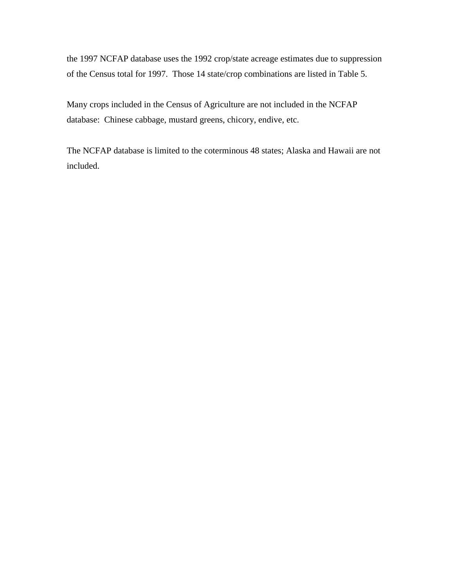the 1997 NCFAP database uses the 1992 crop/state acreage estimates due to suppression of the Census total for 1997. Those 14 state/crop combinations are listed in Table 5.

Many crops included in the Census of Agriculture are not included in the NCFAP database: Chinese cabbage, mustard greens, chicory, endive, etc.

The NCFAP database is limited to the coterminous 48 states; Alaska and Hawaii are not included.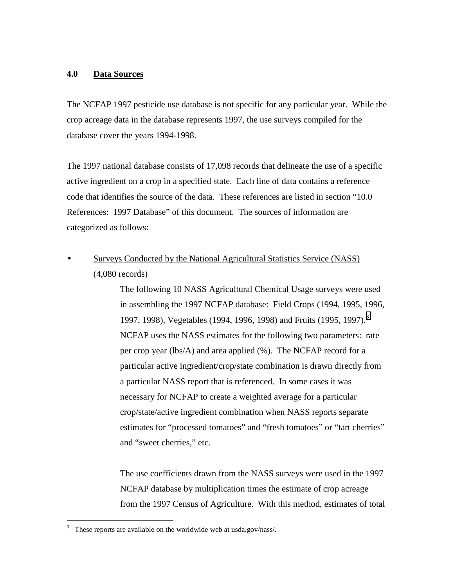#### **4.0 Data Sources**

The NCFAP 1997 pesticide use database is not specific for any particular year. While the crop acreage data in the database represents 1997, the use surveys compiled for the database cover the years 1994-1998.

The 1997 national database consists of 17,098 records that delineate the use of a specific active ingredient on a crop in a specified state. Each line of data contains a reference code that identifies the source of the data. These references are listed in section "10.0 References: 1997 Database" of this document. The sources of information are categorized as follows:

• Surveys Conducted by the National Agricultural Statistics Service (NASS) (4,080 records)

> The following 10 NASS Agricultural Chemical Usage surveys were used in assembling the 1997 NCFAP database: Field Crops (1994, 1995, 1996, 1997, 1998), Vegetables (1994, 1996, 1998) and Fruits (1995, 1997).<sup>3</sup> NCFAP uses the NASS estimates for the following two parameters: rate per crop year (lbs/A) and area applied (%). The NCFAP record for a particular active ingredient/crop/state combination is drawn directly from a particular NASS report that is referenced. In some cases it was necessary for NCFAP to create a weighted average for a particular crop/state/active ingredient combination when NASS reports separate estimates for "processed tomatoes" and "fresh tomatoes" or "tart cherries" and "sweet cherries," etc.

> The use coefficients drawn from the NASS surveys were used in the 1997 NCFAP database by multiplication times the estimate of crop acreage from the 1997 Census of Agriculture. With this method, estimates of total

<sup>3</sup> These reports are available on the worldwide web at usda.gov/nass/.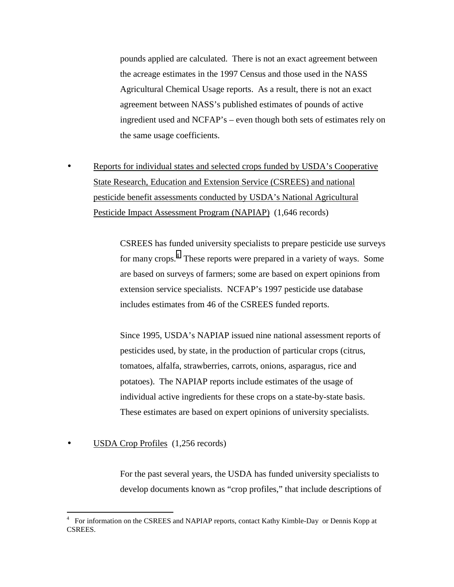pounds applied are calculated. There is not an exact agreement between the acreage estimates in the 1997 Census and those used in the NASS Agricultural Chemical Usage reports. As a result, there is not an exact agreement between NASS's published estimates of pounds of active ingredient used and NCFAP's – even though both sets of estimates rely on the same usage coefficients.

• Reports for individual states and selected crops funded by USDA's Cooperative State Research, Education and Extension Service (CSREES) and national pesticide benefit assessments conducted by USDA's National Agricultural Pesticide Impact Assessment Program (NAPIAP) (1,646 records)

> CSREES has funded university specialists to prepare pesticide use surveys for many crops.<sup>4</sup> These reports were prepared in a variety of ways. Some are based on surveys of farmers; some are based on expert opinions from extension service specialists. NCFAP's 1997 pesticide use database includes estimates from 46 of the CSREES funded reports.

Since 1995, USDA's NAPIAP issued nine national assessment reports of pesticides used, by state, in the production of particular crops (citrus, tomatoes, alfalfa, strawberries, carrots, onions, asparagus, rice and potatoes). The NAPIAP reports include estimates of the usage of individual active ingredients for these crops on a state-by-state basis. These estimates are based on expert opinions of university specialists.

USDA Crop Profiles (1,256 records)

 $\overline{a}$ 

For the past several years, the USDA has funded university specialists to develop documents known as "crop profiles," that include descriptions of

<sup>4</sup> For information on the CSREES and NAPIAP reports, contact Kathy Kimble-Day or Dennis Kopp at CSREES.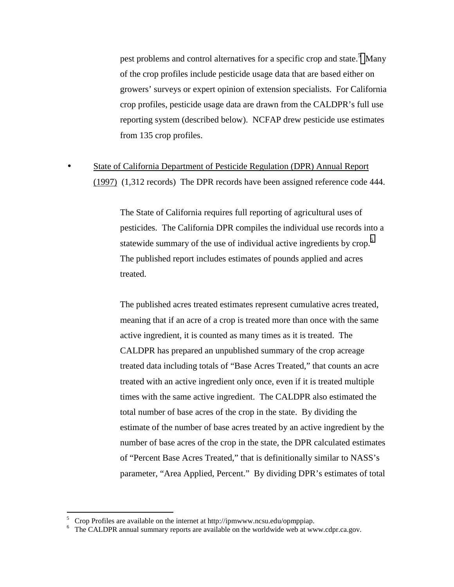pest problems and control alternatives for a specific crop and state.<sup>5</sup> Many of the crop profiles include pesticide usage data that are based either on growers' surveys or expert opinion of extension specialists. For California crop profiles, pesticide usage data are drawn from the CALDPR's full use reporting system (described below). NCFAP drew pesticide use estimates from 135 crop profiles.

• State of California Department of Pesticide Regulation (DPR) Annual Report (1997) (1,312 records) The DPR records have been assigned reference code 444.

> The State of California requires full reporting of agricultural uses of pesticides. The California DPR compiles the individual use records into a statewide summary of the use of individual active ingredients by crop.<sup>6</sup> The published report includes estimates of pounds applied and acres treated.

> The published acres treated estimates represent cumulative acres treated, meaning that if an acre of a crop is treated more than once with the same active ingredient, it is counted as many times as it is treated. The CALDPR has prepared an unpublished summary of the crop acreage treated data including totals of "Base Acres Treated," that counts an acre treated with an active ingredient only once, even if it is treated multiple times with the same active ingredient. The CALDPR also estimated the total number of base acres of the crop in the state. By dividing the estimate of the number of base acres treated by an active ingredient by the number of base acres of the crop in the state, the DPR calculated estimates of "Percent Base Acres Treated," that is definitionally similar to NASS's parameter, "Area Applied, Percent." By dividing DPR's estimates of total

 $5$  Crop Profiles are available on the internet at http://ipmwww.ncsu.edu/opmppiap.

<sup>&</sup>lt;sup>6</sup> The CALDPR annual summary reports are available on the worldwide web at www.cdpr.ca.gov.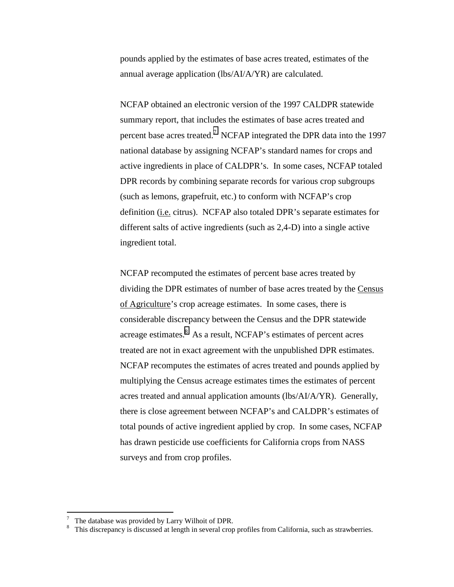pounds applied by the estimates of base acres treated, estimates of the annual average application (lbs/AI/A/YR) are calculated.

NCFAP obtained an electronic version of the 1997 CALDPR statewide summary report, that includes the estimates of base acres treated and percent base acres treated.<sup>7</sup> NCFAP integrated the DPR data into the 1997 national database by assigning NCFAP's standard names for crops and active ingredients in place of CALDPR's. In some cases, NCFAP totaled DPR records by combining separate records for various crop subgroups (such as lemons, grapefruit, etc.) to conform with NCFAP's crop definition (i.e. citrus). NCFAP also totaled DPR's separate estimates for different salts of active ingredients (such as 2,4-D) into a single active ingredient total.

NCFAP recomputed the estimates of percent base acres treated by dividing the DPR estimates of number of base acres treated by the Census of Agriculture's crop acreage estimates. In some cases, there is considerable discrepancy between the Census and the DPR statewide acreage estimates. $8$  As a result, NCFAP's estimates of percent acres treated are not in exact agreement with the unpublished DPR estimates. NCFAP recomputes the estimates of acres treated and pounds applied by multiplying the Census acreage estimates times the estimates of percent acres treated and annual application amounts (lbs/AI/A/YR). Generally, there is close agreement between NCFAP's and CALDPR's estimates of total pounds of active ingredient applied by crop. In some cases, NCFAP has drawn pesticide use coefficients for California crops from NASS surveys and from crop profiles.

<sup>7</sup> The database was provided by Larry Wilhoit of DPR.

<sup>8</sup> This discrepancy is discussed at length in several crop profiles from California, such as strawberries.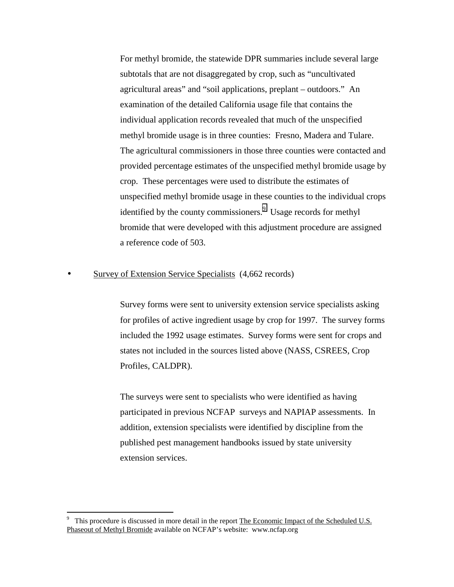For methyl bromide, the statewide DPR summaries include several large subtotals that are not disaggregated by crop, such as "uncultivated agricultural areas" and "soil applications, preplant – outdoors." An examination of the detailed California usage file that contains the individual application records revealed that much of the unspecified methyl bromide usage is in three counties: Fresno, Madera and Tulare. The agricultural commissioners in those three counties were contacted and provided percentage estimates of the unspecified methyl bromide usage by crop. These percentages were used to distribute the estimates of unspecified methyl bromide usage in these counties to the individual crops identified by the county commissioners.<sup>9</sup> Usage records for methyl bromide that were developed with this adjustment procedure are assigned a reference code of 503.

#### Survey of Extension Service Specialists (4,662 records)

Survey forms were sent to university extension service specialists asking for profiles of active ingredient usage by crop for 1997. The survey forms included the 1992 usage estimates. Survey forms were sent for crops and states not included in the sources listed above (NASS, CSREES, Crop Profiles, CALDPR).

The surveys were sent to specialists who were identified as having participated in previous NCFAP surveys and NAPIAP assessments. In addition, extension specialists were identified by discipline from the published pest management handbooks issued by state university extension services.

<sup>9</sup> This procedure is discussed in more detail in the report The Economic Impact of the Scheduled U.S. Phaseout of Methyl Bromide available on NCFAP's website: www.ncfap.org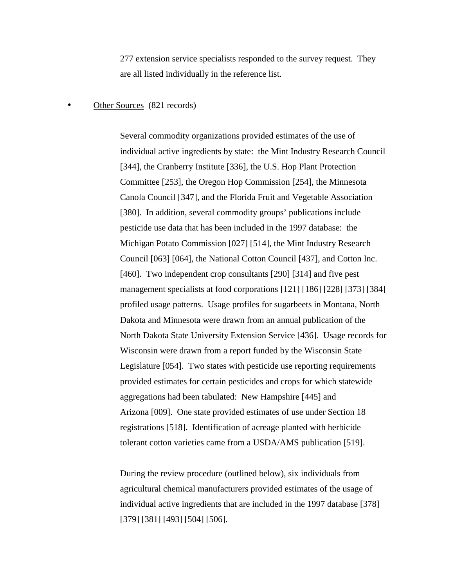277 extension service specialists responded to the survey request. They are all listed individually in the reference list.

#### Other Sources (821 records)

Several commodity organizations provided estimates of the use of individual active ingredients by state: the Mint Industry Research Council [344], the Cranberry Institute [336], the U.S. Hop Plant Protection Committee [253], the Oregon Hop Commission [254], the Minnesota Canola Council [347], and the Florida Fruit and Vegetable Association [380]. In addition, several commodity groups' publications include pesticide use data that has been included in the 1997 database: the Michigan Potato Commission [027] [514], the Mint Industry Research Council [063] [064], the National Cotton Council [437], and Cotton Inc. [460]. Two independent crop consultants [290] [314] and five pest management specialists at food corporations [121] [186] [228] [373] [384] profiled usage patterns. Usage profiles for sugarbeets in Montana, North Dakota and Minnesota were drawn from an annual publication of the North Dakota State University Extension Service [436]. Usage records for Wisconsin were drawn from a report funded by the Wisconsin State Legislature [054]. Two states with pesticide use reporting requirements provided estimates for certain pesticides and crops for which statewide aggregations had been tabulated: New Hampshire [445] and Arizona [009]. One state provided estimates of use under Section 18 registrations [518]. Identification of acreage planted with herbicide tolerant cotton varieties came from a USDA/AMS publication [519].

During the review procedure (outlined below), six individuals from agricultural chemical manufacturers provided estimates of the usage of individual active ingredients that are included in the 1997 database [378] [379] [381] [493] [504] [506].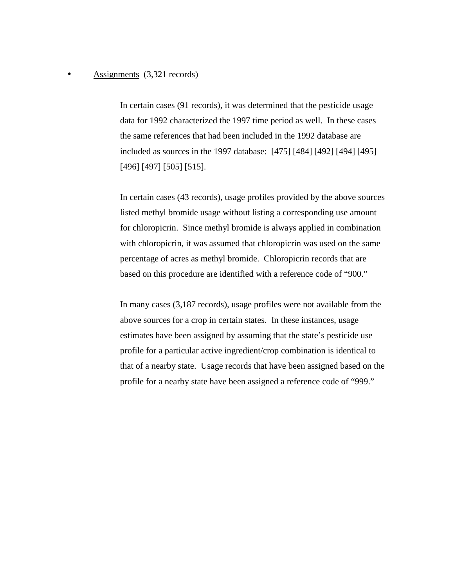#### • Assignments (3,321 records)

In certain cases (91 records), it was determined that the pesticide usage data for 1992 characterized the 1997 time period as well. In these cases the same references that had been included in the 1992 database are included as sources in the 1997 database: [475] [484] [492] [494] [495] [496] [497] [505] [515].

In certain cases (43 records), usage profiles provided by the above sources listed methyl bromide usage without listing a corresponding use amount for chloropicrin. Since methyl bromide is always applied in combination with chloropicrin, it was assumed that chloropicrin was used on the same percentage of acres as methyl bromide. Chloropicrin records that are based on this procedure are identified with a reference code of "900."

In many cases (3,187 records), usage profiles were not available from the above sources for a crop in certain states. In these instances, usage estimates have been assigned by assuming that the state's pesticide use profile for a particular active ingredient/crop combination is identical to that of a nearby state. Usage records that have been assigned based on the profile for a nearby state have been assigned a reference code of "999."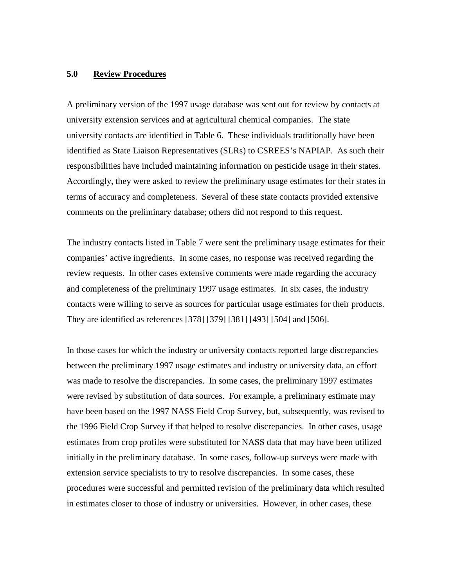#### **5.0 Review Procedures**

A preliminary version of the 1997 usage database was sent out for review by contacts at university extension services and at agricultural chemical companies. The state university contacts are identified in Table 6. These individuals traditionally have been identified as State Liaison Representatives (SLRs) to CSREES's NAPIAP. As such their responsibilities have included maintaining information on pesticide usage in their states. Accordingly, they were asked to review the preliminary usage estimates for their states in terms of accuracy and completeness. Several of these state contacts provided extensive comments on the preliminary database; others did not respond to this request.

The industry contacts listed in Table 7 were sent the preliminary usage estimates for their companies' active ingredients. In some cases, no response was received regarding the review requests. In other cases extensive comments were made regarding the accuracy and completeness of the preliminary 1997 usage estimates. In six cases, the industry contacts were willing to serve as sources for particular usage estimates for their products. They are identified as references [378] [379] [381] [493] [504] and [506].

In those cases for which the industry or university contacts reported large discrepancies between the preliminary 1997 usage estimates and industry or university data, an effort was made to resolve the discrepancies. In some cases, the preliminary 1997 estimates were revised by substitution of data sources. For example, a preliminary estimate may have been based on the 1997 NASS Field Crop Survey, but, subsequently, was revised to the 1996 Field Crop Survey if that helped to resolve discrepancies. In other cases, usage estimates from crop profiles were substituted for NASS data that may have been utilized initially in the preliminary database. In some cases, follow-up surveys were made with extension service specialists to try to resolve discrepancies. In some cases, these procedures were successful and permitted revision of the preliminary data which resulted in estimates closer to those of industry or universities. However, in other cases, these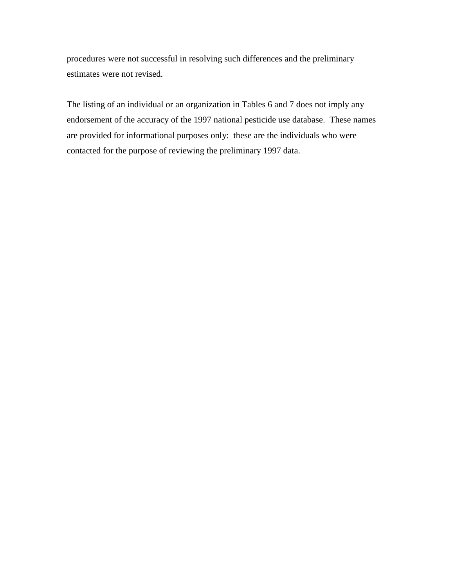procedures were not successful in resolving such differences and the preliminary estimates were not revised.

The listing of an individual or an organization in Tables 6 and 7 does not imply any endorsement of the accuracy of the 1997 national pesticide use database. These names are provided for informational purposes only: these are the individuals who were contacted for the purpose of reviewing the preliminary 1997 data.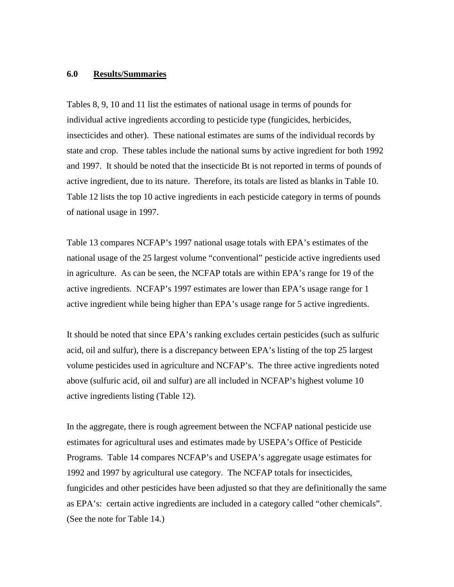#### **6.0 Results/Summaries**

Tables 8, 9, 10 and 11 list the estimates of national usage in terms of pounds for individual active ingredients according to pesticide type (fungicides, herbicides, insecticides and other). These national estimates are sums of the individual records by state and crop. These tables include the national sums by active ingredient for both 1992 and 1997. It should be noted that the insecticide Bt is not reported in terms of pounds of active ingredient, due to its nature. Therefore, its totals are listed as blanks in Table 10. Table 12 lists the top 10 active ingredients in each pesticide category in terms of pounds of national usage in 1997.

Table 13 compares NCFAP's 1997 national usage totals with EPA's estimates of the national usage of the 25 largest volume "conventional" pesticide active ingredients used in agriculture. As can be seen, the NCFAP totals are within EPA's range for 19 of the active ingredients. NCFAP's 1997 estimates are lower than EPA's usage range for 1 active ingredient while being higher than EPA's usage range for 5 active ingredients.

It should be noted that since EPA's ranking excludes certain pesticides (such as sulfuric acid, oil and sulfur), there is a discrepancy between EPA's listing of the top 25 largest volume pesticides used in agriculture and NCFAP's. The three active ingredients noted above (sulfuric acid, oil and sulfur) are all included in NCFAP's highest volume 10 active ingredients listing (Table 12).

In the aggregate, there is rough agreement between the NCFAP national pesticide use estimates for agricultural uses and estimates made by USEPA's Office of Pesticide Programs. Table 14 compares NCFAP's and USEPA's aggregate usage estimates for 1992 and 1997 by agricultural use category. The NCFAP totals for insecticides, fungicides and other pesticides have been adjusted so that they are definitionally the same as EPA's: certain active ingredients are included in a category called "other chemicals". (See the note for Table 14.)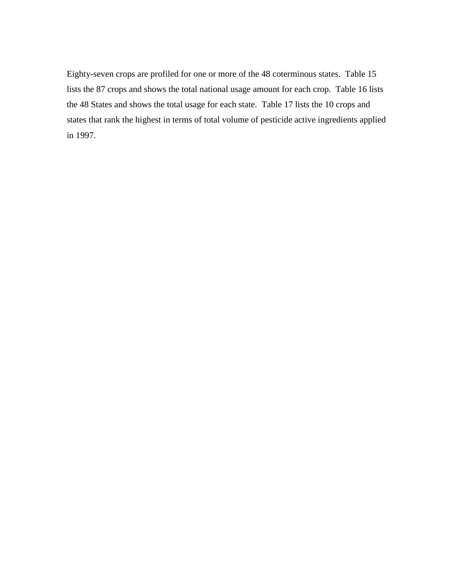Eighty-seven crops are profiled for one or more of the 48 coterminous states. Table 15 lists the 87 crops and shows the total national usage amount for each crop. Table 16 lists the 48 States and shows the total usage for each state. Table 17 lists the 10 crops and states that rank the highest in terms of total volume of pesticide active ingredients applied in 1997.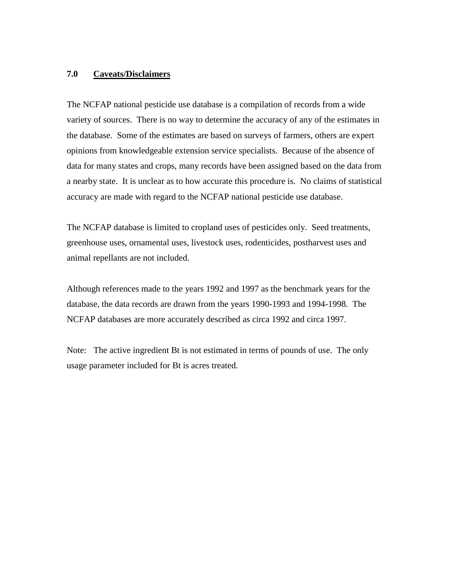#### **7.0 Caveats/Disclaimers**

The NCFAP national pesticide use database is a compilation of records from a wide variety of sources. There is no way to determine the accuracy of any of the estimates in the database. Some of the estimates are based on surveys of farmers, others are expert opinions from knowledgeable extension service specialists. Because of the absence of data for many states and crops, many records have been assigned based on the data from a nearby state. It is unclear as to how accurate this procedure is. No claims of statistical accuracy are made with regard to the NCFAP national pesticide use database.

The NCFAP database is limited to cropland uses of pesticides only. Seed treatments, greenhouse uses, ornamental uses, livestock uses, rodenticides, postharvest uses and animal repellants are not included.

Although references made to the years 1992 and 1997 as the benchmark years for the database, the data records are drawn from the years 1990-1993 and 1994-1998. The NCFAP databases are more accurately described as circa 1992 and circa 1997.

Note: The active ingredient Bt is not estimated in terms of pounds of use. The only usage parameter included for Bt is acres treated.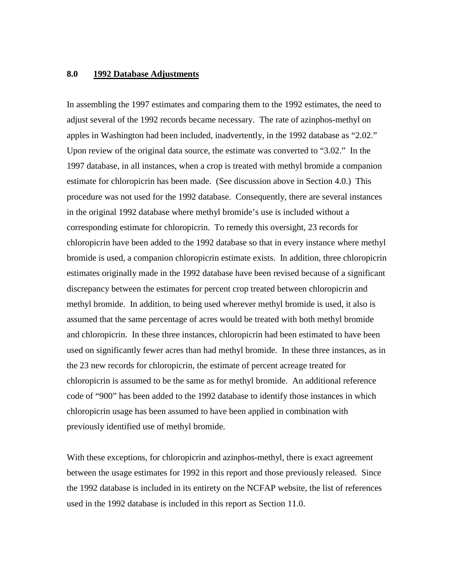#### **8.0 1992 Database Adjustments**

In assembling the 1997 estimates and comparing them to the 1992 estimates, the need to adjust several of the 1992 records became necessary. The rate of azinphos-methyl on apples in Washington had been included, inadvertently, in the 1992 database as "2.02." Upon review of the original data source, the estimate was converted to "3.02." In the 1997 database, in all instances, when a crop is treated with methyl bromide a companion estimate for chloropicrin has been made. (See discussion above in Section 4.0.) This procedure was not used for the 1992 database. Consequently, there are several instances in the original 1992 database where methyl bromide's use is included without a corresponding estimate for chloropicrin. To remedy this oversight, 23 records for chloropicrin have been added to the 1992 database so that in every instance where methyl bromide is used, a companion chloropicrin estimate exists. In addition, three chloropicrin estimates originally made in the 1992 database have been revised because of a significant discrepancy between the estimates for percent crop treated between chloropicrin and methyl bromide. In addition, to being used wherever methyl bromide is used, it also is assumed that the same percentage of acres would be treated with both methyl bromide and chloropicrin. In these three instances, chloropicrin had been estimated to have been used on significantly fewer acres than had methyl bromide. In these three instances, as in the 23 new records for chloropicrin, the estimate of percent acreage treated for chloropicrin is assumed to be the same as for methyl bromide. An additional reference code of "900" has been added to the 1992 database to identify those instances in which chloropicrin usage has been assumed to have been applied in combination with previously identified use of methyl bromide.

With these exceptions, for chloropicrin and azinphos-methyl, there is exact agreement between the usage estimates for 1992 in this report and those previously released. Since the 1992 database is included in its entirety on the NCFAP website, the list of references used in the 1992 database is included in this report as Section 11.0.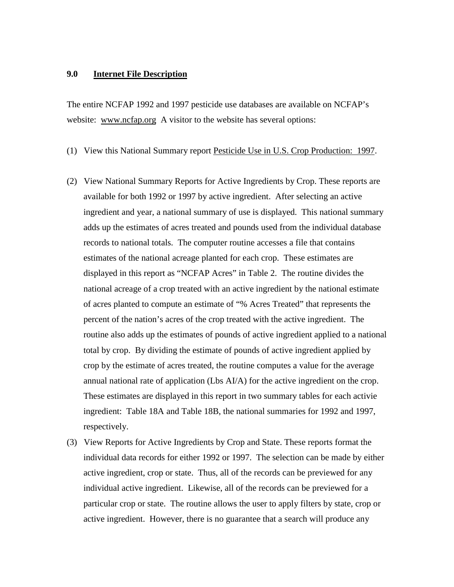#### **9.0 Internet File Description**

The entire NCFAP 1992 and 1997 pesticide use databases are available on NCFAP's website: www.ncfap.org A visitor to the website has several options:

(1) View this National Summary report Pesticide Use in U.S. Crop Production: 1997.

- (2) View National Summary Reports for Active Ingredients by Crop. These reports are available for both 1992 or 1997 by active ingredient. After selecting an active ingredient and year, a national summary of use is displayed. This national summary adds up the estimates of acres treated and pounds used from the individual database records to national totals. The computer routine accesses a file that contains estimates of the national acreage planted for each crop. These estimates are displayed in this report as "NCFAP Acres" in Table 2. The routine divides the national acreage of a crop treated with an active ingredient by the national estimate of acres planted to compute an estimate of "% Acres Treated" that represents the percent of the nation's acres of the crop treated with the active ingredient. The routine also adds up the estimates of pounds of active ingredient applied to a national total by crop. By dividing the estimate of pounds of active ingredient applied by crop by the estimate of acres treated, the routine computes a value for the average annual national rate of application (Lbs AI/A) for the active ingredient on the crop. These estimates are displayed in this report in two summary tables for each activie ingredient: Table 18A and Table 18B, the national summaries for 1992 and 1997, respectively.
- (3) View Reports for Active Ingredients by Crop and State. These reports format the individual data records for either 1992 or 1997. The selection can be made by either active ingredient, crop or state. Thus, all of the records can be previewed for any individual active ingredient. Likewise, all of the records can be previewed for a particular crop or state. The routine allows the user to apply filters by state, crop or active ingredient. However, there is no guarantee that a search will produce any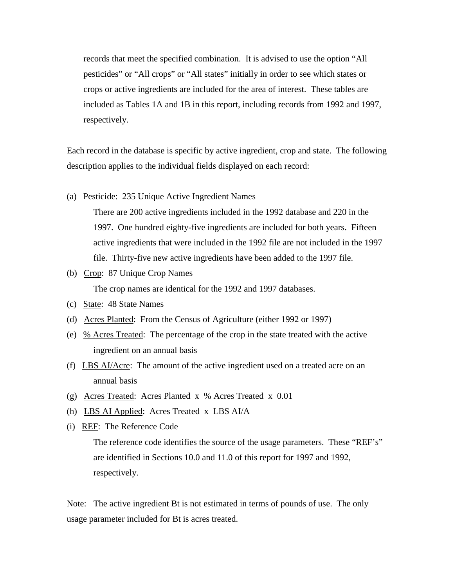records that meet the specified combination. It is advised to use the option "All pesticides" or "All crops" or "All states" initially in order to see which states or crops or active ingredients are included for the area of interest. These tables are included as Tables 1A and 1B in this report, including records from 1992 and 1997, respectively.

Each record in the database is specific by active ingredient, crop and state. The following description applies to the individual fields displayed on each record:

(a) Pesticide: 235 Unique Active Ingredient Names

There are 200 active ingredients included in the 1992 database and 220 in the 1997. One hundred eighty-five ingredients are included for both years. Fifteen active ingredients that were included in the 1992 file are not included in the 1997 file. Thirty-five new active ingredients have been added to the 1997 file.

(b) Crop: 87 Unique Crop Names

The crop names are identical for the 1992 and 1997 databases.

- (c) State: 48 State Names
- (d) Acres Planted: From the Census of Agriculture (either 1992 or 1997)
- (e) % Acres Treated: The percentage of the crop in the state treated with the active ingredient on an annual basis
- (f) LBS  $\Delta I/\Delta$ cre: The amount of the active ingredient used on a treated acre on an annual basis
- (g) Acres Treated: Acres Planted x % Acres Treated x 0.01
- (h) LBS AI Applied: Acres Treated x LBS AI/A
- (i) REF: The Reference Code

The reference code identifies the source of the usage parameters. These "REF's" are identified in Sections 10.0 and 11.0 of this report for 1997 and 1992, respectively.

Note: The active ingredient Bt is not estimated in terms of pounds of use. The only usage parameter included for Bt is acres treated.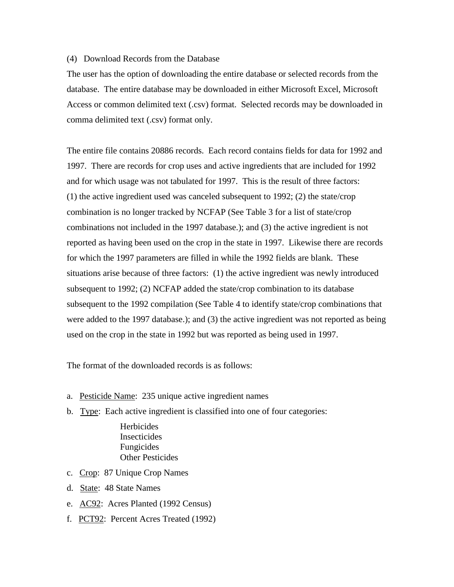#### (4) Download Records from the Database

The user has the option of downloading the entire database or selected records from the database. The entire database may be downloaded in either Microsoft Excel, Microsoft Access or common delimited text (.csv) format. Selected records may be downloaded in comma delimited text (.csv) format only.

The entire file contains 20886 records. Each record contains fields for data for 1992 and 1997. There are records for crop uses and active ingredients that are included for 1992 and for which usage was not tabulated for 1997. This is the result of three factors: (1) the active ingredient used was canceled subsequent to 1992; (2) the state/crop combination is no longer tracked by NCFAP (See Table 3 for a list of state/crop combinations not included in the 1997 database.); and (3) the active ingredient is not reported as having been used on the crop in the state in 1997. Likewise there are records for which the 1997 parameters are filled in while the 1992 fields are blank. These situations arise because of three factors: (1) the active ingredient was newly introduced subsequent to 1992; (2) NCFAP added the state/crop combination to its database subsequent to the 1992 compilation (See Table 4 to identify state/crop combinations that were added to the 1997 database.); and (3) the active ingredient was not reported as being used on the crop in the state in 1992 but was reported as being used in 1997.

The format of the downloaded records is as follows:

- a. Pesticide Name: 235 unique active ingredient names
- b. Type: Each active ingredient is classified into one of four categories:

**Herbicides** Insecticides Fungicides Other Pesticides

- c. Crop: 87 Unique Crop Names
- d. State: 48 State Names
- e. AC92: Acres Planted (1992 Census)
- f. PCT92: Percent Acres Treated (1992)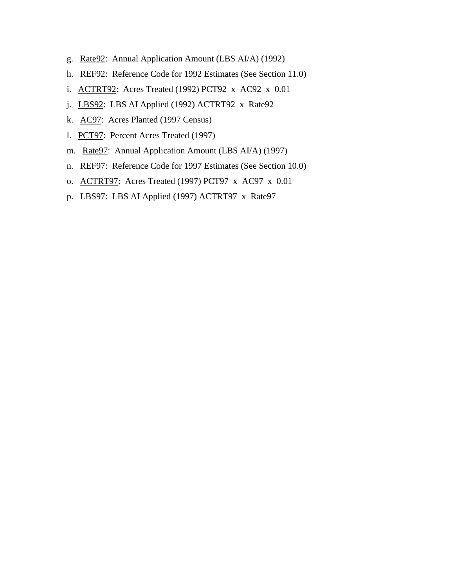- g. Rate92: Annual Application Amount (LBS AI/A) (1992)
- h. REF92: Reference Code for 1992 Estimates (See Section 11.0)
- i. ACTRT92: Acres Treated (1992) PCT92 x AC92 x 0.01
- j. LBS92: LBS AI Applied (1992) ACTRT92 x Rate92
- k. AC97: Acres Planted (1997 Census)
- l. PCT97: Percent Acres Treated (1997)
- m. Rate97: Annual Application Amount (LBS AI/A) (1997)
- n. REF97: Reference Code for 1997 Estimates (See Section 10.0)
- o. ACTRT97: Acres Treated (1997) PCT97 x AC97 x 0.01
- p. LBS97: LBS AI Applied (1997) ACTRT97 x Rate97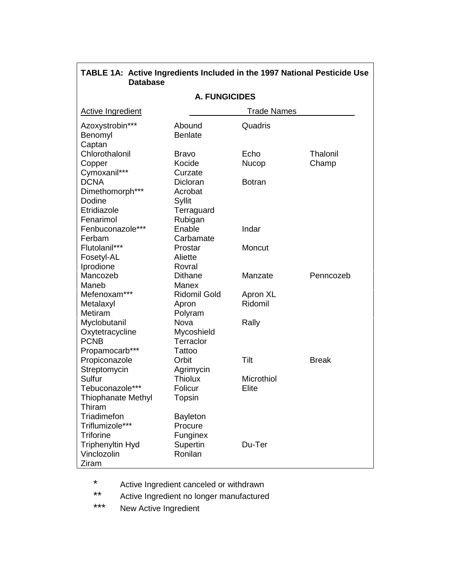| Dalabase                             |                            |                    |              |
|--------------------------------------|----------------------------|--------------------|--------------|
| <b>A. FUNGICIDES</b>                 |                            |                    |              |
| <b>Active Ingredient</b>             |                            | <b>Trade Names</b> |              |
| Azoxystrobin***<br>Benomyl<br>Captan | Abound<br><b>Benlate</b>   | Quadris            |              |
| Chlorothalonil                       | Bravo                      | Echo               | Thalonil     |
| Copper                               | Kocide                     | Nucop              | Champ        |
| Cymoxanil***                         | Curzate                    |                    |              |
| <b>DCNA</b>                          | Dicloran                   | <b>Botran</b>      |              |
| Dimethomorph***                      | Acrobat                    |                    |              |
| Dodine                               | Syllit                     |                    |              |
| Etridiazole                          | Terraguard                 |                    |              |
| Fenarimol                            | Rubigan                    |                    |              |
| Fenbuconazole***                     | Enable                     | Indar              |              |
| Ferbam                               | Carbamate                  |                    |              |
| Flutolanil***                        | Prostar                    | Moncut             |              |
| Fosetyl-AL                           | Aliette                    |                    |              |
| Iprodione                            | Rovral                     |                    |              |
| Mancozeb                             | <b>Dithane</b>             | Manzate            | Penncozeb    |
| Maneb                                | Manex                      |                    |              |
| Mefenoxam***                         | Ridomil Gold               | Apron XL           |              |
| Metalaxyl                            | Apron                      | Ridomil            |              |
| Metiram                              | Polyram                    |                    |              |
| Myclobutanil                         | Nova                       | Rally              |              |
| Oxytetracycline                      | Mycoshield                 |                    |              |
| <b>PCNB</b>                          | Terraclor                  |                    |              |
| Propamocarb***                       | Tattoo                     |                    |              |
| Propiconazole                        | Orbit                      | Tilt               | <b>Break</b> |
| Streptomycin                         | Agrimycin                  |                    |              |
| Sulfur                               | <b>Thiolux</b>             | Microthiol         |              |
| Tebuconazole***                      | Folicur                    | Elite              |              |
| <b>Thiophanate Methyl</b>            | Topsin                     |                    |              |
| Thiram                               |                            |                    |              |
| Triadimefon<br>Triflumizole***       | <b>Bayleton</b><br>Procure |                    |              |
| <b>Triforine</b>                     |                            |                    |              |
|                                      | Funginex                   | Du-Ter             |              |
| Triphenyltin Hyd<br>Vinclozolin      | Supertin<br>Ronilan        |                    |              |
| Ziram                                |                            |                    |              |
|                                      |                            |                    |              |

## TABLE 1A: Active Ingredients Included in the 1997 National Pesticide Use<br>Database

 $\star$ Active Ingredient canceled or withdrawn

 $\star\star$ Active Ingredient no longer manufactured

 $***$ New Active Ingredient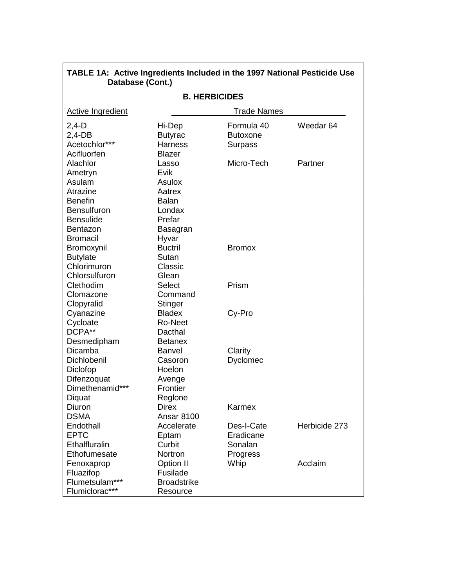|                          | Jalawase (VVIII. <i>)</i> |                 |                      |  |
|--------------------------|---------------------------|-----------------|----------------------|--|
| <b>B. HERBICIDES</b>     |                           |                 |                      |  |
| <b>Active Ingredient</b> | <b>Trade Names</b>        |                 |                      |  |
| $2,4-D$                  | Hi-Dep                    | Formula 40      | Weedar <sub>64</sub> |  |
| $2,4$ -DB                | <b>Butyrac</b>            | <b>Butoxone</b> |                      |  |
| Acetochlor***            | <b>Harness</b>            | Surpass         |                      |  |
| Acifluorfen              | <b>Blazer</b>             |                 |                      |  |
| Alachlor                 | Lasso                     | Micro-Tech      | Partner              |  |
| Ametryn                  | Evik                      |                 |                      |  |
| Asulam                   | Asulox                    |                 |                      |  |
| Atrazine                 | Aatrex                    |                 |                      |  |
| <b>Benefin</b>           | <b>Balan</b>              |                 |                      |  |
| <b>Bensulfuron</b>       | Londax                    |                 |                      |  |
| <b>Bensulide</b>         | Prefar                    |                 |                      |  |
| Bentazon                 | Basagran                  |                 |                      |  |
| <b>Bromacil</b>          | Hyvar                     |                 |                      |  |
| Bromoxynil               | <b>Buctril</b>            | <b>Bromox</b>   |                      |  |
| <b>Butylate</b>          | Sutan                     |                 |                      |  |
| Chlorimuron              | Classic                   |                 |                      |  |
| Chlorsulfuron            | Glean                     |                 |                      |  |
| Clethodim                | <b>Select</b>             | Prism           |                      |  |
| Clomazone                | Command                   |                 |                      |  |
| Clopyralid               | Stinger                   |                 |                      |  |
| Cyanazine                | <b>Bladex</b>             | Cy-Pro          |                      |  |
| Cycloate                 | Ro-Neet                   |                 |                      |  |
| DCPA**                   | Dacthal                   |                 |                      |  |
| Desmedipham              | <b>Betanex</b>            |                 |                      |  |
| Dicamba                  | <b>Banvel</b>             | Clarity         |                      |  |
| Dichlobenil              | Casoron                   | Dyclomec        |                      |  |
| Diclofop                 | Hoelon                    |                 |                      |  |
| Difenzoquat              | Avenge                    |                 |                      |  |
| Dimethenamid***          | Frontier                  |                 |                      |  |
| Diquat                   | Reglone                   |                 |                      |  |
| Diuron                   | <b>Direx</b>              | Karmex          |                      |  |
| <b>DSMA</b>              | Ansar 8100                |                 |                      |  |
| Endothall                | Accelerate                | Des-I-Cate      | Herbicide 273        |  |
| <b>EPTC</b>              | Eptam                     | Eradicane       |                      |  |
| Ethalfluralin            | Curbit                    | Sonalan         |                      |  |
| Ethofumesate             | Nortron                   | Progress        |                      |  |
| Fenoxaprop               | Option II                 | Whip            | Acclaim              |  |
| Fluazifop                | Fusilade                  |                 |                      |  |
| Flumetsulam***           | <b>Broadstrike</b>        |                 |                      |  |
| Flumiclorac***           | Resource                  |                 |                      |  |

# TABLE 1A: Active Ingredients Included in the 1997 National Pesticide Use<br>Database (Cont.)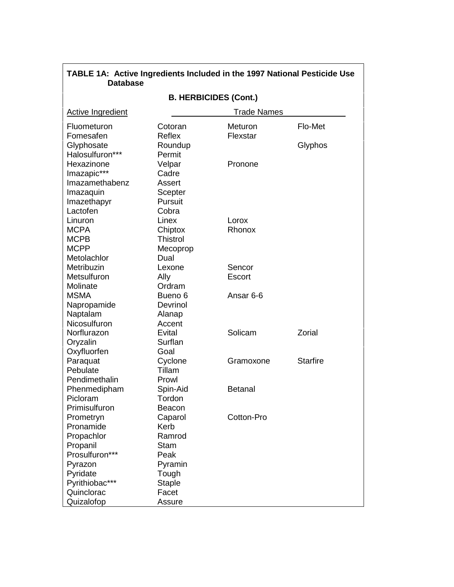| <b>Database</b>                                |                          |                |                 |
|------------------------------------------------|--------------------------|----------------|-----------------|
| <b>B. HERBICIDES (Cont.)</b>                   |                          |                |                 |
| <b>Active Ingredient</b><br><b>Trade Names</b> |                          |                |                 |
| Fluometuron                                    | Cotoran<br><b>Reflex</b> | Meturon        | Flo-Met         |
| Fomesafen<br>Glyphosate                        | Roundup                  | Flexstar       | Glyphos         |
| Halosulfuron***                                | Permit                   |                |                 |
| Hexazinone                                     | Velpar<br>Cadre          | Pronone        |                 |
| Imazapic***<br>Imazamethabenz                  | Assert                   |                |                 |
| Imazaquin                                      | Scepter                  |                |                 |
| Imazethapyr                                    | Pursuit                  |                |                 |
| Lactofen                                       | Cobra                    |                |                 |
| Linuron                                        | Linex                    | Lorox          |                 |
| <b>MCPA</b>                                    | Chiptox                  | Rhonox         |                 |
| <b>MCPB</b>                                    | <b>Thistrol</b>          |                |                 |
| <b>MCPP</b>                                    | Mecoprop                 |                |                 |
| Metolachlor                                    | Dual                     |                |                 |
| Metribuzin                                     | Lexone                   | Sencor         |                 |
| Metsulfuron                                    | Ally                     | Escort         |                 |
| Molinate                                       | Ordram                   |                |                 |
| <b>MSMA</b>                                    | Bueno <sub>6</sub>       | Ansar 6-6      |                 |
| Napropamide                                    | Devrinol                 |                |                 |
| Naptalam                                       | Alanap                   |                |                 |
| Nicosulfuron                                   | Accent                   |                |                 |
| Norflurazon                                    | Evital                   | Solicam        | Zorial          |
| Oryzalin                                       | Surflan                  |                |                 |
| Oxyfluorfen                                    | Goal                     |                |                 |
| Paraquat                                       | Cyclone                  | Gramoxone      | <b>Starfire</b> |
| Pebulate                                       | Tillam                   |                |                 |
| Pendimethalin                                  | Prowl                    |                |                 |
| Phenmedipham                                   | Spin-Aid                 | <b>Betanal</b> |                 |
| Picloram                                       | Tordon                   |                |                 |
| Primisulfuron                                  | Beacon                   |                |                 |
| Prometryn<br>Pronamide                         | Caparol<br>Kerb          | Cotton-Pro     |                 |
| Propachlor                                     | Ramrod                   |                |                 |
| Propanil                                       | <b>Stam</b>              |                |                 |
| Prosulfuron***                                 | Peak                     |                |                 |
| Pyrazon                                        | Pyramin                  |                |                 |
| Pyridate                                       | Tough                    |                |                 |
| Pyrithiobac***                                 | <b>Staple</b>            |                |                 |
| Quinclorac                                     | Facet                    |                |                 |
| Quizalofop                                     | Assure                   |                |                 |

TABLE 1A: Active Ingredients Included in the 1997 National Pesticide Use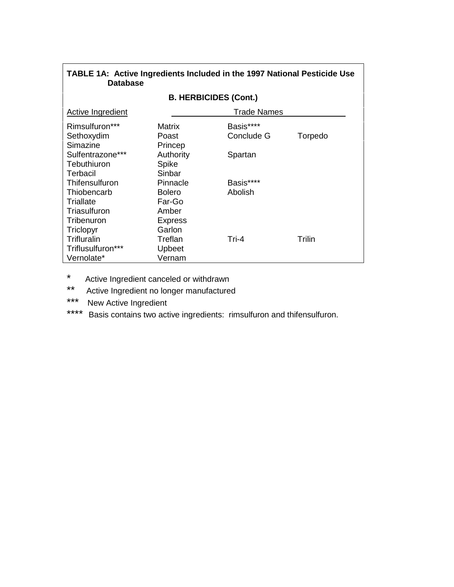| <b>Database</b>                             |                              |                         |         |
|---------------------------------------------|------------------------------|-------------------------|---------|
|                                             | <b>B. HERBICIDES (Cont.)</b> |                         |         |
| Active Ingredient                           |                              | <b>Trade Names</b>      |         |
| Rimsulfuron***<br>Sethoxydim<br>Simazine    | Matrix<br>Poast<br>Princep   | Basis****<br>Conclude G | Torpedo |
| Sulfentrazone***<br>Tebuthiuron<br>Terbacil | Authority<br>Spike<br>Sinbar | Spartan                 |         |
| Thifensulfuron                              | Pinnacle                     | Basis****               |         |
| Thiobencarb<br>Triallate                    | <b>Bolero</b><br>Far-Go      | Abolish                 |         |
| Triasulfuron<br>Tribenuron                  | Amber<br><b>Express</b>      |                         |         |
| Triclopyr                                   | Garlon                       |                         |         |
| Trifluralin                                 | Treflan                      | Tri-4                   | Trilin  |
| Triflusulfuron***                           | Upbeet                       |                         |         |
| Vernolate*                                  | Vernam                       |                         |         |

### TABLE 1A: Active Ingredients Included in the 1997 National Pesticide Use

- $\star$ Active Ingredient canceled or withdrawn
- $***$ Active Ingredient no longer manufactured
- \*\*\* New Active Ingredient
- \*\*\*\* Basis contains two active ingredients: rimsulfuron and thifensulfuron.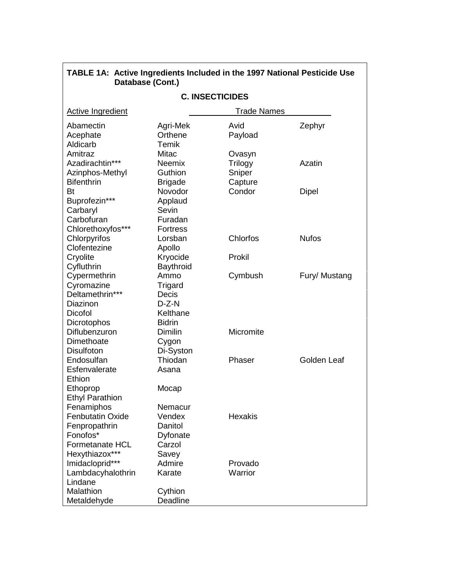| <b>C. INSECTICIDES</b>       |                     |                |               |
|------------------------------|---------------------|----------------|---------------|
| Active Ingredient            |                     | Trade Names    |               |
| Abamectin                    |                     | Avid           |               |
| Acephate                     | Agri-Mek<br>Orthene | Payload        | Zephyr        |
| Aldicarb                     | Temik               |                |               |
| Amitraz                      | Mitac               | Ovasyn         |               |
| Azadirachtin***              | <b>Neemix</b>       | <b>Trilogy</b> | Azatin        |
| Azinphos-Methyl              | Guthion             | Sniper         |               |
| <b>Bifenthrin</b>            | <b>Brigade</b>      | Capture        |               |
| Bt                           | Novodor             | Condor         | <b>Dipel</b>  |
| Buprofezin***                | Applaud             |                |               |
| Carbaryl                     | Sevin               |                |               |
| Carbofuran                   | Furadan             |                |               |
| Chlorethoxyfos***            | <b>Fortress</b>     |                |               |
| Chlorpyrifos                 | Lorsban             | Chlorfos       | <b>Nufos</b>  |
| Clofentezine                 | Apollo              |                |               |
| Cryolite                     | Kryocide            | Prokil         |               |
| Cyfluthrin                   | Baythroid           |                |               |
| Cypermethrin                 | Ammo                | Cymbush        | Fury/ Mustang |
| Cyromazine                   | Trigard             |                |               |
| Deltamethrin***              | Decis               |                |               |
| Diazinon                     | $D-Z-N$             |                |               |
| Dicofol                      | Kelthane            |                |               |
| Dicrotophos                  | <b>Bidrin</b>       |                |               |
| Diflubenzuron                | Dimilin             | Micromite      |               |
| Dimethoate                   | Cygon               |                |               |
| <b>Disulfoton</b>            | Di-Syston           |                |               |
| Endosulfan                   | Thiodan             | Phaser         | Golden Leaf   |
| Esfenvalerate                | Asana               |                |               |
| Ethion                       |                     |                |               |
| Ethoprop                     | Mocap               |                |               |
| <b>Ethyl Parathion</b>       |                     |                |               |
| Fenamiphos                   | Nemacur             |                |               |
| <b>Fenbutatin Oxide</b>      | Vendex              | <b>Hexakis</b> |               |
| Fenpropathrin                | Danitol             |                |               |
| Fonofos*                     | Dyfonate            |                |               |
| <b>Formetanate HCL</b>       | Carzol              |                |               |
| Hexythiazox***               | Savey<br>Admire     | Provado        |               |
| Imidacloprid***              | Karate              | Warrior        |               |
| Lambdacyhalothrin<br>Lindane |                     |                |               |
| Malathion                    | Cythion             |                |               |
| Metaldehyde                  | Deadline            |                |               |
|                              |                     |                |               |

### TABLE 1A: Active Ingredients Included in the 1997 National Pesticide Use<br>Database (Cont.)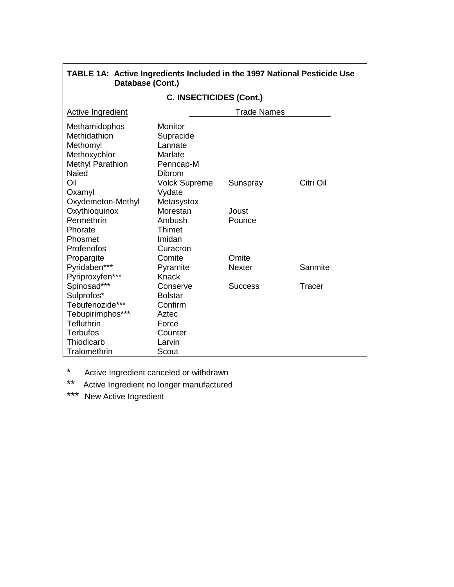| Database (Cont.)               |                      |                    |           |
|--------------------------------|----------------------|--------------------|-----------|
| <b>C. INSECTICIDES (Cont.)</b> |                      |                    |           |
| Active Ingredient              |                      | <b>Trade Names</b> |           |
| Methamidophos                  | Monitor              |                    |           |
| Methidathion                   | Supracide            |                    |           |
| Methomyl                       | Lannate              |                    |           |
| Methoxychlor                   | Marlate              |                    |           |
| <b>Methyl Parathion</b>        | Penncap-M            |                    |           |
| <b>Naled</b>                   | <b>Dibrom</b>        |                    |           |
| Oil                            | <b>Volck Supreme</b> | Sunspray           | Citri Oil |
| Oxamyl                         | Vydate               |                    |           |
| Oxydemeton-Methyl              | Metasystox           |                    |           |
| Oxythioquinox                  | Morestan             | Joust              |           |
| Permethrin                     | Ambush               | Pounce             |           |
| Phorate                        | Thimet               |                    |           |
| Phosmet                        | Imidan               |                    |           |
| Profenofos                     | Curacron             |                    |           |
| Propargite                     | Comite               | Omite              |           |
| Pyridaben***                   | Pyramite             | <b>Nexter</b>      | Sanmite   |
| Pyriproxyfen***                | Knack                |                    |           |
| Spinosad***                    | Conserve             | <b>Success</b>     | Tracer    |
| Sulprofos*                     | <b>Bolstar</b>       |                    |           |
| Tebufenozide***                | Confirm              |                    |           |
| Tebupirimphos***               | Aztec                |                    |           |
| Tefluthrin                     | Force                |                    |           |
| <b>Terbufos</b>                | Counter              |                    |           |
| Thiodicarb                     | Larvin               |                    |           |
| Tralomethrin                   | Scout                |                    |           |

# TABLE 1A: Active Ingredients Included in the 1997 National Pesticide Use

 $\star$ Active Ingredient canceled or withdrawn

\*\* Active Ingredient no longer manufactured

\*\*\* New Active Ingredient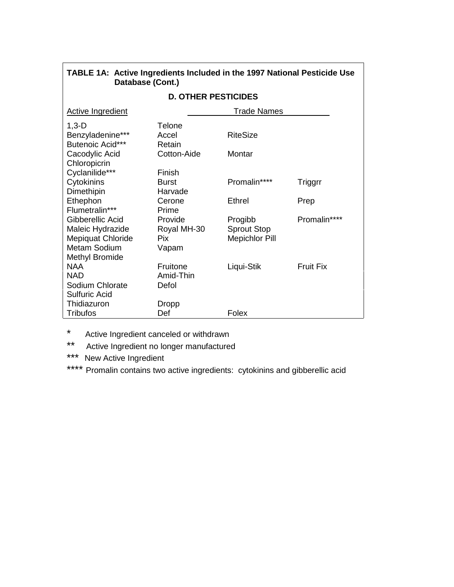| Database (Cont.)                                                                                   |                                         |                                                        |                  |
|----------------------------------------------------------------------------------------------------|-----------------------------------------|--------------------------------------------------------|------------------|
|                                                                                                    | <b>D. OTHER PESTICIDES</b>              |                                                        |                  |
| <b>Active Ingredient</b>                                                                           |                                         | <b>Trade Names</b>                                     |                  |
| $1,3-D$<br>Benzyladenine***<br>Butenoic Acid***                                                    | <b>Telone</b><br>Accel<br>Retain        | <b>RiteSize</b>                                        |                  |
| Cacodylic Acid                                                                                     | Cotton-Aide                             | Montar                                                 |                  |
| Chloropicrin<br>Cyclanilide***                                                                     | Finish                                  |                                                        |                  |
| Cytokinins<br>Dimethipin                                                                           | <b>Burst</b><br>Harvade                 | Promalin****                                           | Triggrr          |
| Ethephon<br>Flumetralin***                                                                         | Cerone<br>Prime                         | <b>Ethrel</b>                                          | Prep             |
| Gibberellic Acid<br>Maleic Hydrazide<br>Mepiquat Chloride<br>Metam Sodium<br><b>Methyl Bromide</b> | Provide<br>Royal MH-30<br>Pix.<br>Vapam | Progibb<br><b>Sprout Stop</b><br><b>Mepichlor Pill</b> | Promalin****     |
| <b>NAA</b><br><b>NAD</b><br>Sodium Chlorate<br><b>Sulfuric Acid</b><br>Thidiazuron                 | Fruitone<br>Amid-Thin<br>Defol          | Liqui-Stik                                             | <b>Fruit Fix</b> |
| <b>Tribufos</b>                                                                                    | Dropp<br>Def                            | Folex                                                  |                  |

TABLE 1A: Active Ingredients Included in the 1997 National Pesticide Use

 $\star$ Active Ingredient canceled or withdrawn

 $***$ Active Ingredient no longer manufactured

\*\*\* New Active Ingredient

\*\*\*\* Promalin contains two active ingredients: cytokinins and gibberellic acid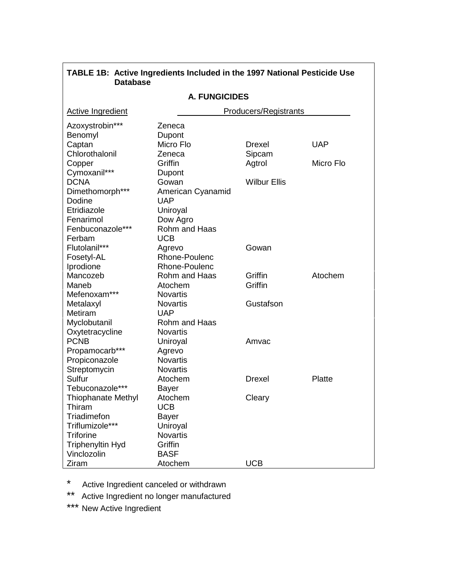| <b>Database</b>           |                      |                              |            |
|---------------------------|----------------------|------------------------------|------------|
|                           | <b>A. FUNGICIDES</b> |                              |            |
| <b>Active Ingredient</b>  |                      | <b>Producers/Registrants</b> |            |
| Azoxystrobin***           | Zeneca               |                              |            |
| Benomyl                   | Dupont               |                              |            |
| Captan                    | Micro Flo            | Drexel                       | <b>UAP</b> |
| Chlorothalonil            | Zeneca               | Sipcam                       |            |
| Copper                    | Griffin              | Agtrol                       | Micro Flo  |
| Cymoxanil***              | Dupont               |                              |            |
| <b>DCNA</b>               | Gowan                | <b>Wilbur Ellis</b>          |            |
| Dimethomorph***           | American Cyanamid    |                              |            |
| Dodine                    | <b>UAP</b>           |                              |            |
| Etridiazole               | Uniroyal             |                              |            |
| Fenarimol                 | Dow Agro             |                              |            |
| Fenbuconazole***          | Rohm and Haas        |                              |            |
| Ferbam                    | <b>UCB</b>           |                              |            |
| Flutolanil***             | Agrevo               | Gowan                        |            |
| Fosetyl-AL                | Rhone-Poulenc        |                              |            |
| Iprodione                 | Rhone-Poulenc        |                              |            |
| Mancozeb                  | Rohm and Haas        | Griffin                      | Atochem    |
| Maneb                     | Atochem              | Griffin                      |            |
| Mefenoxam***              | <b>Novartis</b>      |                              |            |
| Metalaxyl                 | <b>Novartis</b>      | Gustafson                    |            |
| Metiram                   | <b>UAP</b>           |                              |            |
| Myclobutanil              | Rohm and Haas        |                              |            |
| Oxytetracycline           | <b>Novartis</b>      |                              |            |
| <b>PCNB</b>               | Uniroyal             | Amvac                        |            |
| Propamocarb***            | Agrevo               |                              |            |
| Propiconazole             | <b>Novartis</b>      |                              |            |
| Streptomycin              | <b>Novartis</b>      |                              |            |
| Sulfur                    | Atochem              | <b>Drexel</b>                | Platte     |
| Tebuconazole***           | <b>Bayer</b>         |                              |            |
| <b>Thiophanate Methyl</b> | Atochem              | Cleary                       |            |
| Thiram                    | <b>UCB</b>           |                              |            |
| Triadimefon               | <b>Bayer</b>         |                              |            |
| Triflumizole***           | Uniroyal             |                              |            |
| <b>Triforine</b>          | <b>Novartis</b>      |                              |            |
| <b>Triphenyltin Hyd</b>   | Griffin              |                              |            |
| Vinclozolin               | <b>BASF</b>          |                              |            |
| Ziram                     | Atochem              | <b>UCB</b>                   |            |

**TABLE 1B: Active Ingredients Included in the 1997 National Pesticide Use**

\* Active Ingredient canceled or withdrawn

\*\* Active Ingredient no longer manufactured

\*\*\* New Active Ingredient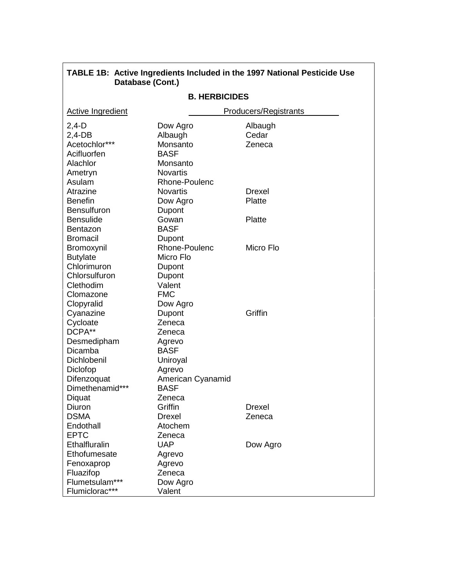| Database (Cont.)         |                             |                       |  |
|--------------------------|-----------------------------|-----------------------|--|
| <b>B. HERBICIDES</b>     |                             |                       |  |
| <b>Active Ingredient</b> |                             | Producers/Registrants |  |
| $2,4-D$                  | Dow Agro                    | Albaugh               |  |
| $2,4$ -DB                | Albaugh                     | Cedar                 |  |
| Acetochlor***            | Monsanto                    | Zeneca                |  |
| Acifluorfen              | <b>BASF</b>                 |                       |  |
| Alachlor                 | Monsanto                    |                       |  |
| Ametryn                  | <b>Novartis</b>             |                       |  |
| Asulam                   | Rhone-Poulenc               |                       |  |
| Atrazine                 | Novartis                    | Drexel                |  |
| <b>Benefin</b>           | Dow Agro                    | Platte                |  |
| <b>Bensulfuron</b>       | Dupont                      |                       |  |
| <b>Bensulide</b>         | Gowan                       | Platte                |  |
| <b>Bentazon</b>          | <b>BASF</b>                 |                       |  |
| <b>Bromacil</b>          | Dupont                      |                       |  |
| Bromoxynil               | Rhone-Poulenc               | Micro Flo             |  |
| <b>Butylate</b>          | Micro Flo                   |                       |  |
| Chlorimuron              | Dupont                      |                       |  |
| Chlorsulfuron            | Dupont                      |                       |  |
| Clethodim                | Valent                      |                       |  |
| Clomazone                | <b>FMC</b>                  |                       |  |
| Clopyralid               | Dow Agro                    |                       |  |
| Cyanazine                | Dupont                      | Griffin               |  |
| Cycloate<br>DCPA**       | Zeneca                      |                       |  |
|                          | Zeneca                      |                       |  |
| Desmedipham<br>Dicamba   | Agrevo<br><b>BASF</b>       |                       |  |
| Dichlobenil              | Uniroyal                    |                       |  |
| Diclofop                 |                             |                       |  |
| Difenzoquat              | Agrevo<br>American Cyanamid |                       |  |
| Dimethenamid***          | <b>BASF</b>                 |                       |  |
| Diquat                   | Zeneca                      |                       |  |
| Diuron                   | Griffin                     | Drexel                |  |
| <b>DSMA</b>              | <b>Drexel</b>               | Zeneca                |  |
| Endothall                | Atochem                     |                       |  |
| <b>EPTC</b>              | Zeneca                      |                       |  |
| Ethalfluralin            | <b>UAP</b>                  | Dow Agro              |  |
| Ethofumesate             | Agrevo                      |                       |  |
| Fenoxaprop               | Agrevo                      |                       |  |
| Fluazifop                | Zeneca                      |                       |  |
| Flumetsulam***           | Dow Agro                    |                       |  |
| Flumiclorac***           | Valent                      |                       |  |

**TABLE 1B: Active Ingredients Included in the 1997 National Pesticide Use**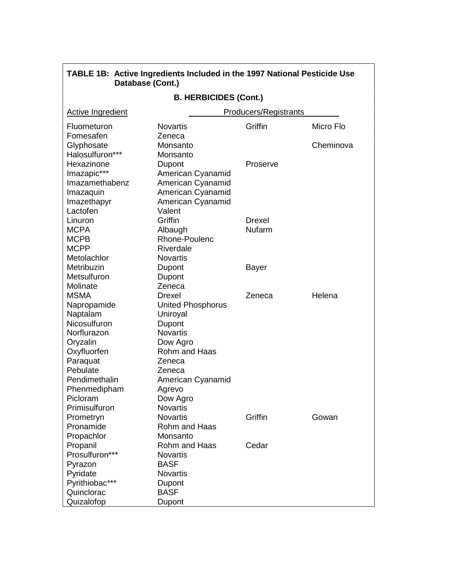|                   | TABLE 1B: Active Ingredients Included in the 1997 National Pesticide Use<br>Database (Cont.) |                              |           |
|-------------------|----------------------------------------------------------------------------------------------|------------------------------|-----------|
|                   | <b>B. HERBICIDES (Cont.)</b>                                                                 |                              |           |
| Active Ingredient |                                                                                              | <b>Producers/Registrants</b> |           |
| Fluometuron       | <b>Novartis</b>                                                                              | Griffin                      | Micro Flo |
| Fomesafen         | Zeneca                                                                                       |                              |           |
| Glyphosate        | Monsanto                                                                                     |                              | Cheminova |
| Halosulfuron***   | Monsanto                                                                                     |                              |           |
| Hexazinone        | Dupont                                                                                       | Proserve                     |           |
| Imazapic***       | American Cyanamid                                                                            |                              |           |
| Imazamethabenz    | American Cyanamid                                                                            |                              |           |
| Imazaquin         | American Cyanamid                                                                            |                              |           |
| Imazethapyr       | American Cyanamid                                                                            |                              |           |
| Lactofen          | Valent                                                                                       |                              |           |
| Linuron           | Griffin                                                                                      | <b>Drexel</b>                |           |
| <b>MCPA</b>       | Albaugh                                                                                      | <b>Nufarm</b>                |           |
| <b>MCPB</b>       | Rhone-Poulenc                                                                                |                              |           |
| <b>MCPP</b>       | Riverdale                                                                                    |                              |           |
| Metolachlor       | <b>Novartis</b>                                                                              |                              |           |
| Metribuzin        | Dupont                                                                                       | <b>Bayer</b>                 |           |
| Metsulfuron       | Dupont                                                                                       |                              |           |
| Molinate          | Zeneca                                                                                       |                              |           |
| <b>MSMA</b>       | <b>Drexel</b>                                                                                | Zeneca                       | Helena    |
| Napropamide       | <b>United Phosphorus</b>                                                                     |                              |           |
| Naptalam          | Uniroyal                                                                                     |                              |           |
| Nicosulfuron      | Dupont                                                                                       |                              |           |
| Norflurazon       | <b>Novartis</b>                                                                              |                              |           |
| Oryzalin          | Dow Agro                                                                                     |                              |           |
| Oxyfluorfen       | Rohm and Haas                                                                                |                              |           |
| Paraquat          | Zeneca                                                                                       |                              |           |
| Pebulate          | Zeneca                                                                                       |                              |           |
| Pendimethalin     | American Cyanamid                                                                            |                              |           |
| Phenmedipham      | Agrevo                                                                                       |                              |           |
| Picloram          | Dow Agro                                                                                     |                              |           |
| Primisulfuron     | <b>Novartis</b>                                                                              |                              |           |
| Prometryn         | <b>Novartis</b>                                                                              | Griffin                      | Gowan     |
| Pronamide         | Rohm and Haas                                                                                |                              |           |
| Propachlor        | Monsanto                                                                                     |                              |           |
| Propanil          | Rohm and Haas<br><b>Novartis</b>                                                             | Cedar                        |           |
| Prosulfuron***    |                                                                                              |                              |           |
| Pyrazon           | <b>BASF</b>                                                                                  |                              |           |
| Pyridate          | <b>Novartis</b>                                                                              |                              |           |
| Pyrithiobac***    | Dupont                                                                                       |                              |           |
| Quinclorac        | <b>BASF</b>                                                                                  |                              |           |
| Quizalofop        | Dupont                                                                                       |                              |           |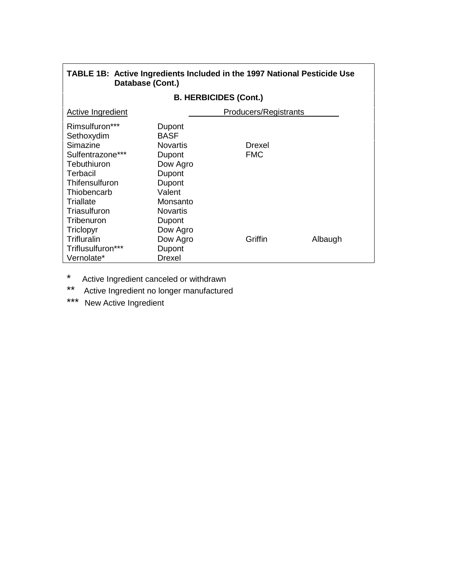| TABLE 1B: Active Ingredients Included in the 1997 National Pesticide Use<br>Database (Cont.) |                              |            |         |  |  |
|----------------------------------------------------------------------------------------------|------------------------------|------------|---------|--|--|
|                                                                                              | <b>B. HERBICIDES (Cont.)</b> |            |         |  |  |
| Producers/Registrants<br>Active Ingredient                                                   |                              |            |         |  |  |
| Rimsulfuron***                                                                               | Dupont                       |            |         |  |  |
| Sethoxydim                                                                                   | <b>BASF</b>                  |            |         |  |  |
| Simazine                                                                                     | <b>Novartis</b>              | Drexel     |         |  |  |
| Sulfentrazone***                                                                             | Dupont                       | <b>FMC</b> |         |  |  |
| Tebuthiuron                                                                                  | Dow Agro                     |            |         |  |  |
| Terbacil                                                                                     | Dupont                       |            |         |  |  |
| Thifensulfuron                                                                               | Dupont                       |            |         |  |  |
| Thiobencarb                                                                                  | Valent                       |            |         |  |  |
| Triallate                                                                                    | Monsanto                     |            |         |  |  |
| Triasulfuron                                                                                 | <b>Novartis</b>              |            |         |  |  |
| Tribenuron                                                                                   | Dupont                       |            |         |  |  |
| Triclopyr                                                                                    | Dow Agro                     |            |         |  |  |
| Trifluralin                                                                                  | Dow Agro                     | Griffin    | Albaugh |  |  |
| Triflusulfuron***                                                                            | Dupont                       |            |         |  |  |
| Vernolate*                                                                                   | Drexel                       |            |         |  |  |

\* Active Ingredient canceled or withdrawn

\*\* Active Ingredient no longer manufactured

\*\*\* New Active Ingredient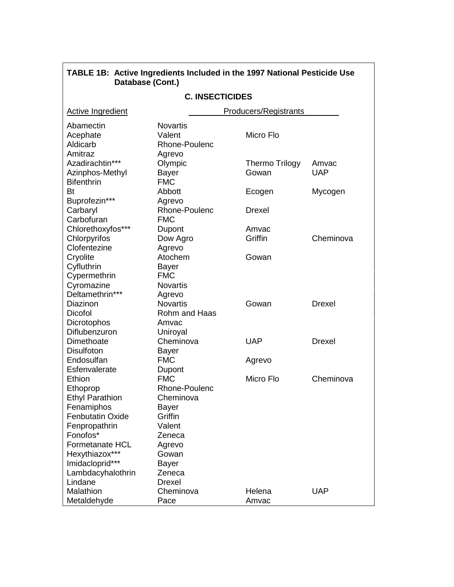| Database (Cont.)                             |                                                      |                              |               |
|----------------------------------------------|------------------------------------------------------|------------------------------|---------------|
| <b>C. INSECTICIDES</b>                       |                                                      |                              |               |
| <b>Active Ingredient</b>                     |                                                      | <b>Producers/Registrants</b> |               |
| Abamectin<br>Acephate<br>Aldicarb<br>Amitraz | <b>Novartis</b><br>Valent<br>Rhone-Poulenc<br>Agrevo | Micro Flo                    |               |
| Azadirachtin***                              | Olympic                                              | <b>Thermo Trilogy</b>        | Amvac         |
| Azinphos-Methyl<br><b>Bifenthrin</b>         | <b>Bayer</b><br><b>FMC</b>                           | Gowan                        | <b>UAP</b>    |
| Bt                                           | Abbott                                               | Ecogen                       | Mycogen       |
| Buprofezin***<br>Carbaryl<br>Carbofuran      | Agrevo<br>Rhone-Poulenc<br><b>FMC</b>                | Drexel                       |               |
| Chlorethoxyfos***                            | Dupont                                               | Amvac                        |               |
| Chlorpyrifos                                 | Dow Agro                                             | Griffin                      | Cheminova     |
| Clofentezine<br>Cryolite                     | Agrevo<br>Atochem                                    | Gowan                        |               |
| Cyfluthrin                                   | <b>Bayer</b>                                         |                              |               |
| Cypermethrin                                 | <b>FMC</b>                                           |                              |               |
| Cyromazine                                   | <b>Novartis</b>                                      |                              |               |
| Deltamethrin***                              | Agrevo                                               |                              |               |
| Diazinon                                     | <b>Novartis</b>                                      | Gowan                        | <b>Drexel</b> |
| Dicofol                                      | Rohm and Haas                                        |                              |               |
| Dicrotophos                                  | Amvac                                                |                              |               |
| Diflubenzuron                                | Uniroyal                                             |                              |               |
| Dimethoate                                   | Cheminova                                            | <b>UAP</b>                   | Drexel        |
| <b>Disulfoton</b>                            | Bayer                                                |                              |               |
| Endosulfan                                   | <b>FMC</b>                                           | Agrevo                       |               |
| Esfenvalerate                                | Dupont                                               |                              |               |
| Ethion                                       | <b>FMC</b>                                           | Micro Flo                    | Cheminova     |
| Ethoprop                                     | Rhone-Poulenc                                        |                              |               |
| <b>Ethyl Parathion</b>                       | Cheminova                                            |                              |               |
| Fenamiphos                                   | <b>Bayer</b>                                         |                              |               |
| <b>Fenbutatin Oxide</b>                      | Griffin                                              |                              |               |
| Fenpropathrin                                | Valent                                               |                              |               |
| Fonofos*                                     | Zeneca                                               |                              |               |
| Formetanate HCL                              | Agrevo                                               |                              |               |
| Hexythiazox***                               | Gowan                                                |                              |               |
| Imidacloprid***                              | <b>Bayer</b>                                         |                              |               |
| Lambdacyhalothrin                            | Zeneca                                               |                              |               |
| Lindane                                      | <b>Drexel</b>                                        |                              |               |
| Malathion                                    | Cheminova                                            | Helena                       | <b>UAP</b>    |
| Metaldehyde                                  | Pace                                                 | Amvac                        |               |

**TABLE 1B: Active Ingredients Included in the 1997 National Pesticide Use**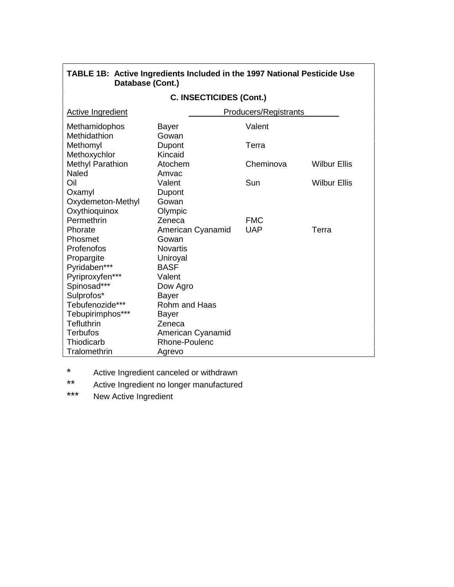| Database (Cont.)         |                   |                              |                     |
|--------------------------|-------------------|------------------------------|---------------------|
| C. INSECTICIDES (Cont.)  |                   |                              |                     |
| <b>Active Ingredient</b> |                   | <b>Producers/Registrants</b> |                     |
| Methamidophos            | Bayer             | Valent                       |                     |
| Methidathion             | Gowan             |                              |                     |
| Methomyl                 | Dupont            | Terra                        |                     |
| Methoxychlor             | Kincaid           |                              |                     |
| <b>Methyl Parathion</b>  | Atochem           | Cheminova                    | <b>Wilbur Ellis</b> |
| Naled                    | Amvac             |                              |                     |
| Oil                      | Valent            | Sun                          | <b>Wilbur Ellis</b> |
| Oxamyl                   | Dupont            |                              |                     |
| Oxydemeton-Methyl        | Gowan             |                              |                     |
| Oxythioquinox            | Olympic           |                              |                     |
| Permethrin               | Zeneca            | <b>FMC</b>                   |                     |
| Phorate                  | American Cyanamid | <b>UAP</b>                   | Terra               |
| Phosmet                  | Gowan             |                              |                     |
| Profenofos               | <b>Novartis</b>   |                              |                     |
| Propargite               | Uniroyal          |                              |                     |
| Pyridaben***             | <b>BASF</b>       |                              |                     |
| Pyriproxyfen***          | Valent            |                              |                     |
| Spinosad***              | Dow Agro          |                              |                     |
| Sulprofos*               | <b>Bayer</b>      |                              |                     |
| Tebufenozide***          | Rohm and Haas     |                              |                     |
| Tebupirimphos***         | <b>Bayer</b>      |                              |                     |
| Tefluthrin               | Zeneca            |                              |                     |
| <b>Terbufos</b>          | American Cyanamid |                              |                     |
| Thiodicarb               | Rhone-Poulenc     |                              |                     |
| Tralomethrin             | Agrevo            |                              |                     |

# **TABLE 1B: Active Ingredients Included in the 1997 National Pesticide Use Database (Cont.)**

\* Active Ingredient canceled or withdrawn<br>\*\* Active Ingredient no Ingger monufactured

- Active Ingredient no longer manufactured
- \*\*\* New Active Ingredient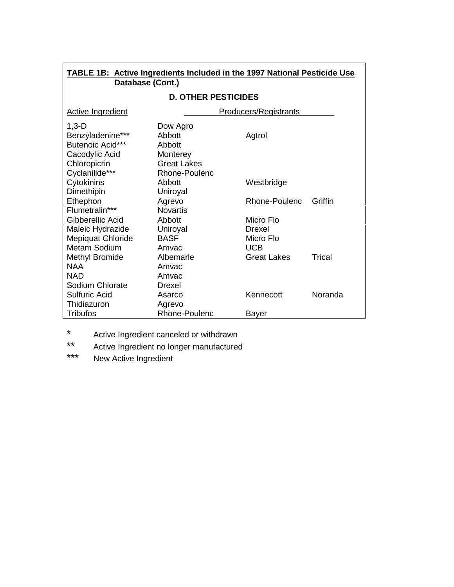| <b>TABLE 1B: Active Ingredients Included in the 1997 National Pesticide Use</b><br>Database (Cont.) |                            |                              |         |
|-----------------------------------------------------------------------------------------------------|----------------------------|------------------------------|---------|
|                                                                                                     | <b>D. OTHER PESTICIDES</b> |                              |         |
| <b>Active Ingredient</b>                                                                            |                            | <b>Producers/Registrants</b> |         |
| $1,3 - D$                                                                                           | Dow Agro                   |                              |         |
| Benzyladenine***                                                                                    | Abbott                     | Agtrol                       |         |
| Butenoic Acid***                                                                                    | Abbott                     |                              |         |
| Cacodylic Acid                                                                                      | Monterey                   |                              |         |
| Chloropicrin                                                                                        | <b>Great Lakes</b>         |                              |         |
| Cyclanilide***                                                                                      | Rhone-Poulenc              |                              |         |
| Cytokinins                                                                                          | Abbott                     | Westbridge                   |         |
| Dimethipin                                                                                          | Uniroyal                   |                              |         |
| Ethephon                                                                                            | Agrevo                     | Rhone-Poulenc                | Griffin |
| Flumetralin***                                                                                      | <b>Novartis</b>            |                              |         |
| Gibberellic Acid                                                                                    | Abbott                     | Micro Flo                    |         |
| Maleic Hydrazide                                                                                    | Uniroyal                   | Drexel                       |         |
| <b>Mepiquat Chloride</b>                                                                            | <b>BASF</b>                | Micro Flo                    |         |
| Metam Sodium                                                                                        | Amvac                      | <b>UCB</b>                   |         |
| <b>Methyl Bromide</b>                                                                               | Albemarle                  | <b>Great Lakes</b>           | Trical  |
| <b>NAA</b>                                                                                          | Amvac                      |                              |         |
| <b>NAD</b>                                                                                          | Amvac                      |                              |         |
| Sodium Chlorate                                                                                     | Drexel                     |                              |         |
| <b>Sulfuric Acid</b>                                                                                | Asarco                     | Kennecott                    | Noranda |
| Thidiazuron                                                                                         | Agrevo                     |                              |         |
| <b>Tribufos</b>                                                                                     | Rhone-Poulenc              | Bayer                        |         |

\* Active Ingredient canceled or withdrawn<br>\*\* Active Ingredient no longer manufactures

\*\* Active Ingredient no longer manufactured<br>\*\*\* Now Active Ingredient

New Active Ingredient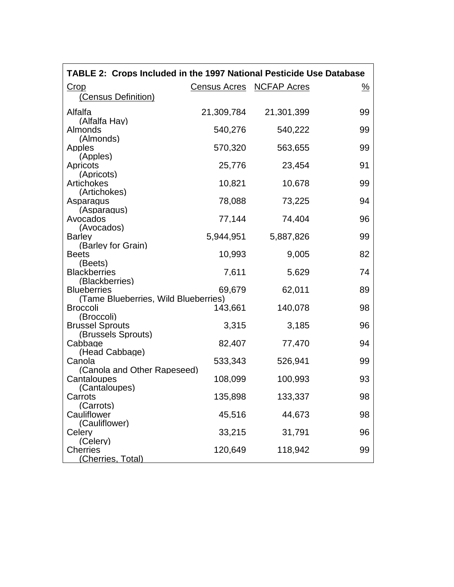| TABLE 2: Crops Included in the 1997 National Pesticide Use Database |            |                          |               |
|---------------------------------------------------------------------|------------|--------------------------|---------------|
| Crop                                                                |            | Census Acres NCFAP Acres | $\frac{9}{6}$ |
| (Census Definition)                                                 |            |                          |               |
| Alfalfa                                                             | 21,309,784 |                          |               |
| (Alfalfa Hay)                                                       |            | 21,301,399               | 99            |
| Almonds                                                             | 540,276    | 540,222                  | 99            |
| (Almonds)                                                           |            |                          |               |
| Apples                                                              | 570,320    | 563,655                  | 99            |
| (Apples)                                                            |            |                          |               |
| Apricots<br>(Apricots)                                              | 25,776     | 23,454                   | 91            |
| <b>Artichokes</b>                                                   | 10,821     | 10,678                   | 99            |
| (Artichokes)                                                        |            |                          |               |
| Asparagus                                                           | 78,088     | 73,225                   | 94            |
| (Asparagus)                                                         |            |                          |               |
| Avocados                                                            | 77,144     | 74,404                   | 96            |
| (Avocados)<br><b>Barley</b>                                         | 5,944,951  | 5,887,826                | 99            |
| (Barley for Grain)                                                  |            |                          |               |
| <b>Beets</b>                                                        | 10,993     | 9,005                    | 82            |
| (Beets)                                                             |            |                          |               |
| <b>Blackberries</b>                                                 | 7,611      | 5,629                    | 74            |
| (Blackberries)<br><b>Blueberries</b>                                | 69,679     |                          | 89            |
| (Tame Blueberries, Wild Blueberries)                                |            | 62,011                   |               |
| <b>Broccoli</b>                                                     | 143,661    | 140,078                  | 98            |
| (Broccoli)                                                          |            |                          |               |
| <b>Brussel Sprouts</b>                                              | 3,315      | 3,185                    | 96            |
| (Brussels Sprouts)                                                  |            |                          |               |
| Cabbage<br>(Head Cabbage)                                           | 82,407     | 77,470                   | 94            |
| Canola                                                              | 533,343    | 526,941                  | 99            |
| (Canola and Other Rapeseed)                                         |            |                          |               |
| Cantaloupes                                                         | 108,099    | 100,993                  | 93            |
| (Cantaloupes)                                                       |            |                          |               |
| Carrots                                                             | 135,898    | 133,337                  | 98            |
| (Carrots)<br>Cauliflower                                            | 45,516     | 44,673                   | 98            |
| (Cauliflower)                                                       |            |                          |               |
| Celery                                                              | 33,215     | 31,791                   | 96            |
| (Celery)                                                            |            |                          |               |
| <b>Cherries</b>                                                     | 120,649    | 118,942                  | 99            |
| (Cherries, Total)                                                   |            |                          |               |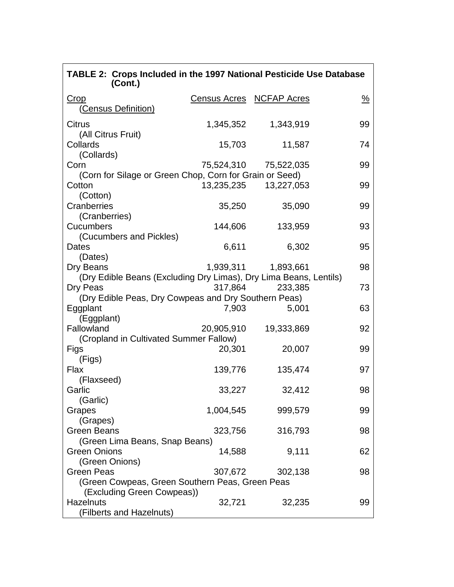| TABLE 2: Crops Included in the 1997 National Pesticide Use Database<br>(Cont.) |                          |                       |               |
|--------------------------------------------------------------------------------|--------------------------|-----------------------|---------------|
| <u>Crop</u>                                                                    | Census Acres NCFAP Acres |                       | $\frac{9}{6}$ |
| <u>(Census Definition)</u>                                                     |                          |                       |               |
| <b>Citrus</b>                                                                  | 1,345,352                | 1,343,919             | 99            |
| (All Citrus Fruit)<br>Collards                                                 | 15,703                   | 11,587                | 74            |
| (Collards)<br>Corn                                                             |                          | 75,524,310 75,522,035 | 99            |
| (Corn for Silage or Green Chop, Corn for Grain or Seed)<br>Cotton<br>(Cotton)  | 13,235,235               | 13,227,053            | 99            |
| Cranberries<br>(Cranberries)                                                   | 35,250                   | 35,090                | 99            |
| <b>Cucumbers</b><br>(Cucumbers and Pickles)                                    | 144,606                  | 133,959               | 93            |
| Dates<br>(Dates)                                                               | 6,611                    | 6,302                 | 95            |
| Dry Beans                                                                      |                          | 1,939,311   1,893,661 | 98            |
| (Dry Edible Beans (Excluding Dry Limas), Dry Lima Beans, Lentils)<br>Dry Peas  | 317,864                  | 233,385               | 73            |
| (Dry Edible Peas, Dry Cowpeas and Dry Southern Peas)<br>Eggplant<br>(Eggplant) | 7,903                    | 5,001                 | 63            |
| Fallowland<br>(Cropland in Cultivated Summer Fallow)                           | 20,905,910               | 19,333,869            | 92            |
| Figs<br>(Figs)                                                                 | 20,301                   | 20,007                | 99            |
| Flax<br>(Flaxseed)                                                             | 139,776                  | 135,474               | 97            |
| Garlic<br>(Garlic)                                                             | 33,227                   | 32,412                | 98            |
| Grapes<br>(Grapes)                                                             | 1,004,545                | 999,579               | 99            |
| Green Beans                                                                    | 323,756                  | 316,793               | 98            |
| (Green Lima Beans, Snap Beans)<br><b>Green Onions</b>                          | 14,588                   | 9,111                 | 62            |
| (Green Onions)<br><b>Green Peas</b>                                            | 307,672                  | 302,138               | 98            |
| (Green Cowpeas, Green Southern Peas, Green Peas<br>(Excluding Green Cowpeas))  |                          |                       |               |
| <b>Hazelnuts</b><br>(Filberts and Hazelnuts)                                   | 32,721                   | 32,235                | 99            |

r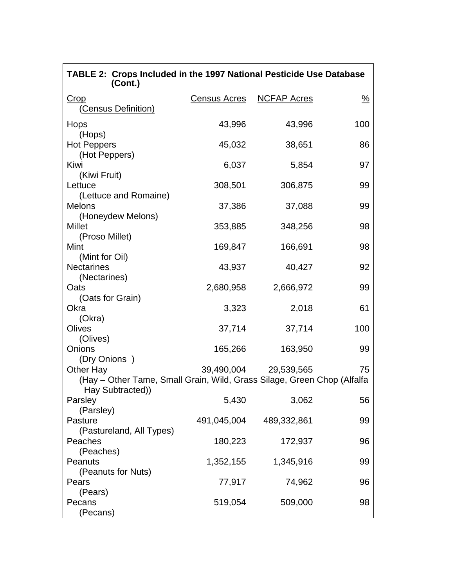| TABLE 2: Crops Included in the 1997 National Pesticide Use Database<br>(Cont.)                           |                     |                       |                       |
|----------------------------------------------------------------------------------------------------------|---------------------|-----------------------|-----------------------|
| Crop<br>(Census Definition)                                                                              | <b>Census Acres</b> | <b>NCFAP Acres</b>    | $\frac{\%}{\sqrt{2}}$ |
| Hops<br>(Hops)                                                                                           | 43,996              | 43,996                | 100                   |
| <b>Hot Peppers</b><br>(Hot Peppers)                                                                      | 45,032              | 38,651                | 86                    |
| Kiwi<br>(Kiwi Fruit)                                                                                     | 6,037               | 5,854                 | 97                    |
| Lettuce<br>(Lettuce and Romaine)                                                                         | 308,501             | 306,875               | 99                    |
| <b>Melons</b><br>(Honeydew Melons)                                                                       | 37,386              | 37,088                | 99                    |
| Millet<br>(Proso Millet)                                                                                 | 353,885             | 348,256               | 98                    |
| Mint<br>(Mint for Oil)                                                                                   | 169,847             | 166,691               | 98                    |
| <b>Nectarines</b><br>(Nectarines)                                                                        | 43,937              | 40,427                | 92                    |
| Oats<br>(Oats for Grain)                                                                                 | 2,680,958           | 2,666,972             | 99                    |
| Okra<br>(Okra)                                                                                           | 3,323               | 2,018                 | 61                    |
| Olives<br>(Olives)                                                                                       | 37,714              | 37,714                | 100                   |
| Onions<br>(Dry Onions)                                                                                   | 165,266             | 163,950               | 99                    |
| Other Hay<br>(Hay – Other Tame, Small Grain, Wild, Grass Silage, Green Chop (Alfalfa<br>Hay Subtracted)) |                     | 39,490,004 29,539,565 | 75                    |
| Parsley<br>(Parsley)                                                                                     | 5,430               | 3,062                 | 56                    |
| Pasture<br>(Pastureland, All Types)                                                                      | 491,045,004         | 489,332,861           | 99                    |
| Peaches<br>(Peaches)                                                                                     | 180,223             | 172,937               | 96                    |
| Peanuts<br>(Peanuts for Nuts)                                                                            | 1,352,155           | 1,345,916             | 99                    |
| Pears<br>(Pears)                                                                                         | 77,917              | 74,962                | 96                    |
| Pecans<br>(Pecans)                                                                                       | 519,054             | 509,000               | 98                    |

٦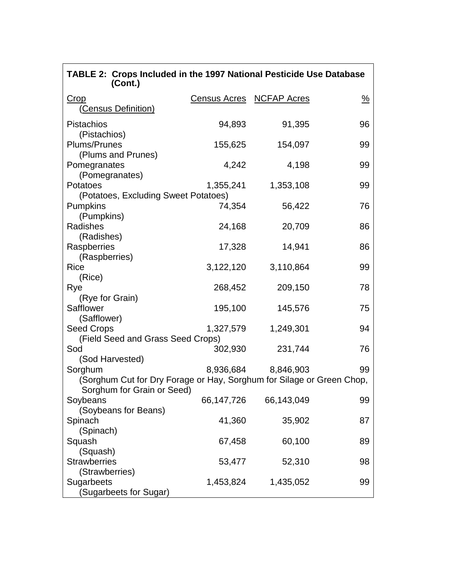| TABLE 2: Crops Included in the 1997 National Pesticide Use Database<br>(Cont.)                      |            |                          |               |
|-----------------------------------------------------------------------------------------------------|------------|--------------------------|---------------|
| <b>Crop</b><br>(Census Definition)                                                                  |            | Census Acres NCFAP Acres | $\frac{9}{6}$ |
| <b>Pistachios</b><br>(Pistachios)                                                                   | 94,893     | 91,395                   | 96            |
| Plums/Prunes<br>(Plums and Prunes)                                                                  | 155,625    | 154,097                  | 99            |
| Pomegranates                                                                                        | 4,242      | 4,198                    | 99            |
| (Pomegranates)<br>Potatoes                                                                          | 1,355,241  | 1,353,108                | 99            |
| (Potatoes, Excluding Sweet Potatoes)<br><b>Pumpkins</b>                                             | 74,354     | 56,422                   | 76            |
| (Pumpkins)<br>Radishes                                                                              | 24,168     | 20,709                   | 86            |
| (Radishes)<br>Raspberries                                                                           | 17,328     | 14,941                   | 86            |
| (Raspberries)<br><b>Rice</b>                                                                        | 3,122,120  | 3,110,864                | 99            |
| (Rice)<br>Rye                                                                                       | 268,452    | 209,150                  | 78            |
| (Rye for Grain)<br>Safflower                                                                        | 195,100    | 145,576                  | 75            |
| (Safflower)<br><b>Seed Crops</b>                                                                    | 1,327,579  | 1,249,301                | 94            |
| (Field Seed and Grass Seed Crops)<br>Sod                                                            | 302,930    | 231,744                  | 76            |
| (Sod Harvested)<br>Sorghum                                                                          | 8,936,684  | 8,846,903                | 99            |
| (Sorghum Cut for Dry Forage or Hay, Sorghum for Silage or Green Chop,<br>Sorghum for Grain or Seed) |            |                          |               |
| Soybeans<br>(Soybeans for Beans)                                                                    | 66,147,726 | 66,143,049               | 99            |
| Spinach<br>(Spinach)                                                                                | 41,360     | 35,902                   | 87            |
| Squash<br>(Squash)                                                                                  | 67,458     | 60,100                   | 89            |
| <b>Strawberries</b><br>(Strawberries)                                                               | 53,477     | 52,310                   | 98            |
| Sugarbeets<br>(Sugarbeets for Sugar)                                                                | 1,453,824  | 1,435,052                | 99            |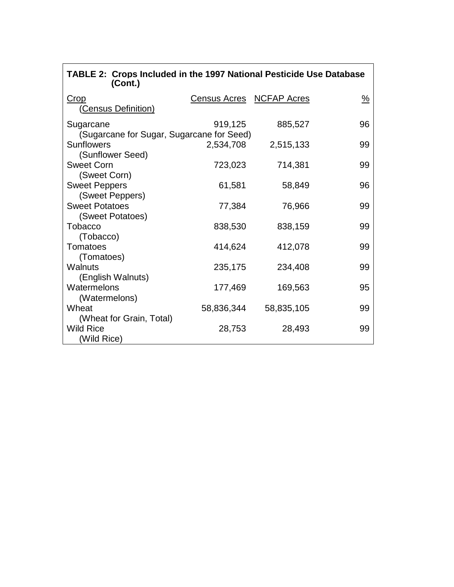| TABLE 2: Crops Included in the 1997 National Pesticide Use Database<br>(Cont.) |                          |            |               |
|--------------------------------------------------------------------------------|--------------------------|------------|---------------|
| Crop                                                                           | Census Acres NCFAP Acres |            | $\frac{9}{6}$ |
| <b>Census Definition)</b>                                                      |                          |            |               |
| Sugarcane                                                                      | 919,125                  | 885,527    | 96            |
| (Sugarcane for Sugar, Sugarcane for Seed)                                      |                          |            |               |
| Sunflowers                                                                     | 2,534,708                | 2,515,133  | 99            |
| (Sunflower Seed)                                                               |                          |            |               |
| <b>Sweet Corn</b>                                                              | 723,023                  | 714,381    | 99            |
| (Sweet Corn)                                                                   |                          |            |               |
| <b>Sweet Peppers</b>                                                           | 61,581                   | 58,849     | 96            |
| (Sweet Peppers)                                                                |                          |            |               |
| <b>Sweet Potatoes</b>                                                          | 77,384                   | 76,966     | 99            |
| (Sweet Potatoes)                                                               |                          |            |               |
| Tobacco                                                                        | 838,530                  | 838,159    | 99            |
| (Tobacco)                                                                      |                          |            |               |
| Tomatoes                                                                       | 414,624                  | 412,078    | 99            |
| (Tomatoes)                                                                     |                          |            |               |
| Walnuts                                                                        | 235,175                  | 234,408    | 99            |
| (English Walnuts)<br>Watermelons                                               |                          |            |               |
|                                                                                | 177,469                  | 169,563    | 95            |
| (Watermelons)<br>Wheat                                                         |                          |            |               |
|                                                                                | 58,836,344               | 58,835,105 | 99            |
| (Wheat for Grain, Total)<br><b>Wild Rice</b>                                   | 28,753                   | 28,493     | 99            |
| (Wild Rice)                                                                    |                          |            |               |
|                                                                                |                          |            |               |

٦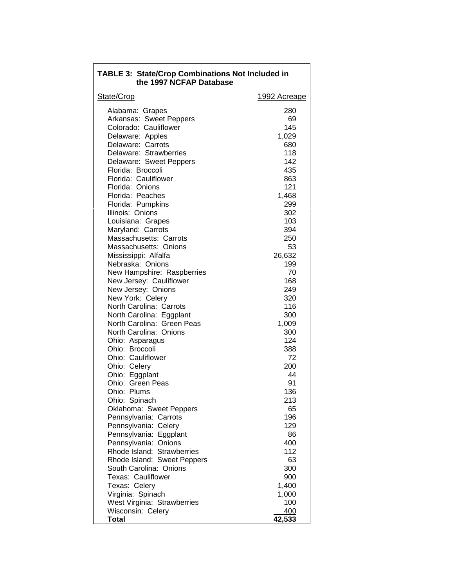| <b>TABLE 3: State/Crop Combinations Not Included in</b><br>the 1997 NCFAP Database |              |  |
|------------------------------------------------------------------------------------|--------------|--|
| State/Crop                                                                         | 1992 Acreage |  |
| Alabama: Grapes                                                                    | 280          |  |
| Arkansas: Sweet Peppers                                                            | 69           |  |
| Colorado: Cauliflower                                                              | 145          |  |
| Delaware: Apples                                                                   | 1,029        |  |
| Delaware: Carrots                                                                  | 680          |  |
| Delaware: Strawberries                                                             | 118          |  |
| Delaware: Sweet Peppers                                                            | 142          |  |
| Florida: Broccoli                                                                  | 435          |  |
| Florida: Cauliflower                                                               | 863          |  |
| Florida: Onions                                                                    | 121          |  |
| Florida: Peaches                                                                   | 1,468        |  |
| Florida: Pumpkins                                                                  | 299          |  |
| Illinois: Onions                                                                   | 302          |  |
| Louisiana: Grapes                                                                  | 103          |  |
| Maryland: Carrots                                                                  | 394          |  |
| Massachusetts: Carrots                                                             | 250          |  |
| Massachusetts: Onions                                                              | 53           |  |
| Mississippi: Alfalfa                                                               | 26,632       |  |
| Nebraska: Onions                                                                   | 199          |  |
| New Hampshire: Raspberries                                                         | 70           |  |
| New Jersey: Cauliflower                                                            | 168<br>249   |  |
| New Jersey: Onions                                                                 |              |  |
| New York: Celery<br>North Carolina: Carrots                                        | 320<br>116   |  |
| North Carolina: Eggplant                                                           | 300          |  |
| North Carolina: Green Peas                                                         | 1,009        |  |
| North Carolina: Onions                                                             | 300          |  |
| Ohio: Asparagus                                                                    | 124          |  |
| Ohio: Broccoli                                                                     | 388          |  |
| Ohio: Cauliflower                                                                  | 72           |  |
| Ohio: Celery                                                                       | 200          |  |
| Ohio: Eggplant                                                                     | 44           |  |
| Ohio: Green Peas                                                                   | 91           |  |
| Ohio: Plums                                                                        | 136          |  |
| Ohio: Spinach                                                                      | 213          |  |
| Oklahoma: Sweet Peppers                                                            | 65           |  |
| Pennsylvania: Carrots                                                              | 196          |  |
| Pennsylvania: Celery                                                               | 129          |  |
| Pennsylvania: Eggplant                                                             | 86           |  |
| Pennsylvania: Onions                                                               | 400          |  |
| Rhode Island: Strawberries                                                         | 112          |  |
| Rhode Island: Sweet Peppers                                                        | 63           |  |
| South Carolina: Onions                                                             | 300          |  |
| Texas: Cauliflower                                                                 | 900          |  |
| Texas: Celery                                                                      | 1,400        |  |
| Virginia: Spinach                                                                  | 1,000        |  |
| West Virginia: Strawberries<br>Wisconsin: Celery                                   | 100<br>400   |  |
| Total                                                                              | 42,533       |  |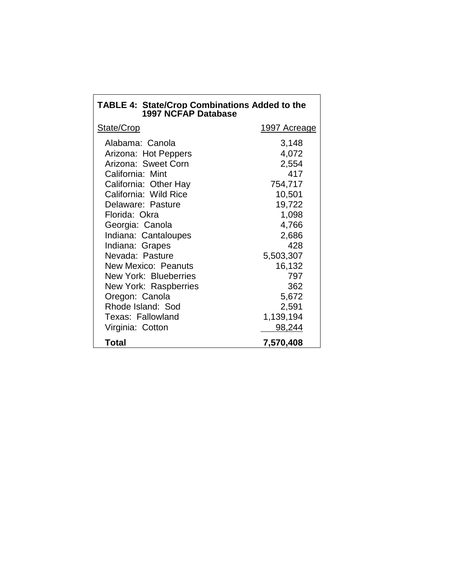| <b>TABLE 4: State/Crop Combinations Added to the</b><br><b>1997 NCFAP Database</b> |                     |  |
|------------------------------------------------------------------------------------|---------------------|--|
| State/Crop                                                                         | <u>1997 Acreage</u> |  |
| Alabama: Canola                                                                    | 3,148               |  |
| Arizona: Hot Peppers<br>Arizona: Sweet Corn                                        | 4,072<br>2,554      |  |
| California: Mint                                                                   | 417                 |  |
| California: Other Hay                                                              | 754,717             |  |
| California: Wild Rice                                                              | 10,501              |  |
| Delaware: Pasture<br>Florida: Okra                                                 | 19,722<br>1,098     |  |
| Georgia: Canola                                                                    | 4,766               |  |
| Indiana: Cantaloupes                                                               | 2,686               |  |
| Indiana: Grapes                                                                    | 428                 |  |
| Nevada: Pasture                                                                    | 5,503,307           |  |
| New Mexico: Peanuts<br>New York: Blueberries                                       | 16,132<br>797       |  |
| New York: Raspberries                                                              | 362                 |  |
| Oregon: Canola                                                                     | 5,672               |  |
| Rhode Island: Sod                                                                  | 2,591               |  |
| <b>Texas: Fallowland</b>                                                           | 1,139,194           |  |
| Virginia: Cotton                                                                   | 98,244              |  |
| Total                                                                              | 7,570,408           |  |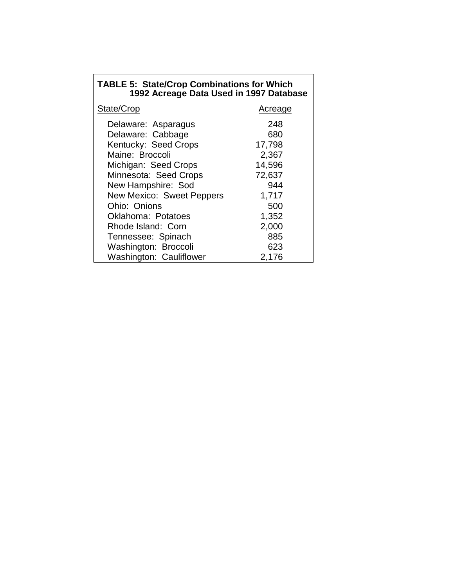| <b>TABLE 5: State/Crop Combinations for Which</b> |  |  |
|---------------------------------------------------|--|--|
| 1992 Acreage Data Used in 1997 Database           |  |  |

| State/Crop                       | Acreage |
|----------------------------------|---------|
| Delaware: Asparagus              | 248     |
| Delaware: Cabbage                | 680     |
| Kentucky: Seed Crops             | 17,798  |
| Maine: Broccoli                  | 2,367   |
| Michigan: Seed Crops             | 14,596  |
| Minnesota: Seed Crops            | 72,637  |
| New Hampshire: Sod               | 944     |
| <b>New Mexico: Sweet Peppers</b> | 1,717   |
| Ohio: Onions                     | 500     |
| <b>Oklahoma: Potatoes</b>        | 1,352   |
| Rhode Island: Corn               | 2,000   |
| Tennessee: Spinach               | 885     |
| Washington: Broccoli             | 623     |
| Washington: Cauliflower          | 2,176   |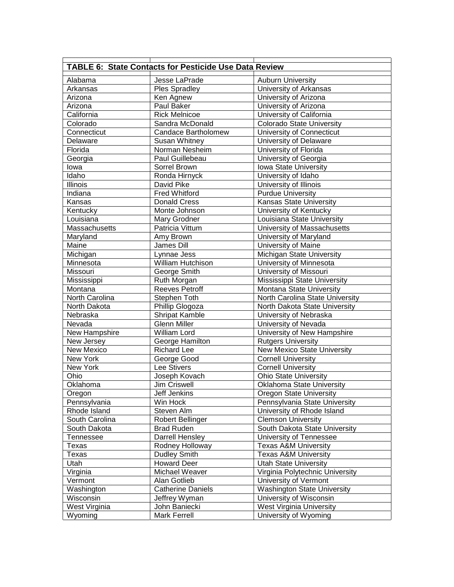| <b>TABLE 6: State Contacts for Pesticide Use Data Review</b> |                          |                                    |  |
|--------------------------------------------------------------|--------------------------|------------------------------------|--|
| Alabama                                                      | Jesse LaPrade            | <b>Auburn University</b>           |  |
| Arkansas                                                     | <b>Ples Spradley</b>     | University of Arkansas             |  |
| Arizona                                                      | Ken Agnew                | University of Arizona              |  |
| Arizona                                                      | Paul Baker               | University of Arizona              |  |
| California                                                   | <b>Rick Melnicoe</b>     | University of California           |  |
| Colorado                                                     | Sandra McDonald          | <b>Colorado State University</b>   |  |
| Connecticut                                                  | Candace Bartholomew      | University of Connecticut          |  |
| Delaware                                                     | Susan Whitney            | University of Delaware             |  |
| Florida                                                      | Norman Nesheim           | University of Florida              |  |
| Georgia                                                      | Paul Guillebeau          | University of Georgia              |  |
| lowa                                                         | Sorrel Brown             | Iowa State University              |  |
| Idaho                                                        | Ronda Hirnyck            | University of Idaho                |  |
| Illinois                                                     | David Pike               | University of Illinois             |  |
| Indiana                                                      | <b>Fred Whitford</b>     | <b>Purdue University</b>           |  |
| Kansas                                                       | <b>Donald Cress</b>      | <b>Kansas State University</b>     |  |
| Kentucky                                                     | Monte Johnson            | University of Kentucky             |  |
| Louisiana                                                    | Mary Grodner             | Louisiana State University         |  |
| Massachusetts                                                | Patricia Vittum          | University of Massachusetts        |  |
| Maryland                                                     | Amy Brown                | University of Maryland             |  |
| Maine                                                        | James Dill               | University of Maine                |  |
| Michigan                                                     | Lynnae Jess              | Michigan State University          |  |
| Minnesota                                                    | <b>William Hutchison</b> | University of Minnesota            |  |
| Missouri                                                     | George Smith             | University of Missouri             |  |
| Mississippi                                                  | Ruth Morgan              | Mississippi State University       |  |
| Montana                                                      | <b>Reeves Petroff</b>    | Montana State University           |  |
| North Carolina                                               | Stephen Toth             | North Carolina State University    |  |
| North Dakota                                                 | Phillip Glogoza          | North Dakota State University      |  |
| Nebraska                                                     | <b>Shripat Kamble</b>    | University of Nebraska             |  |
| Nevada                                                       | <b>Glenn Miller</b>      | University of Nevada               |  |
| New Hampshire                                                | <b>William Lord</b>      | University of New Hampshire        |  |
| New Jersey                                                   | George Hamilton          | <b>Rutgers University</b>          |  |
| <b>New Mexico</b>                                            | <b>Richard Lee</b>       | <b>New Mexico State University</b> |  |
| New York                                                     | George Good              | <b>Cornell University</b>          |  |
| New York                                                     | Lee Stivers              | <b>Cornell University</b>          |  |
| Ohio                                                         | Joseph Kovach            | <b>Ohio State University</b>       |  |
| Oklahoma                                                     | <b>Jim Criswell</b>      | <b>Oklahoma State University</b>   |  |
| Oregon                                                       | Jeff Jenkins             | <b>Oregon State University</b>     |  |
| Pennsylvania                                                 | Win Hock                 | Pennsylvania State University      |  |
| Rhode Island                                                 | Steven Alm               | University of Rhode Island         |  |
| South Carolina                                               | <b>Robert Bellinger</b>  | <b>Clemson University</b>          |  |
| South Dakota                                                 | <b>Brad Ruden</b>        | South Dakota State University      |  |
| Tennessee                                                    | Darrell Hensley          | University of Tennessee            |  |
| Texas                                                        | Rodney Holloway          | <b>Texas A&amp;M University</b>    |  |
| Texas                                                        | <b>Dudley Smith</b>      | <b>Texas A&amp;M University</b>    |  |
| Utah                                                         | <b>Howard Deer</b>       | <b>Utah State University</b>       |  |
| Virginia                                                     | Michael Weaver           | Virginia Polytechnic University    |  |
| Vermont                                                      | Alan Gotlieb             | University of Vermont              |  |
| Washington                                                   | <b>Catherine Daniels</b> | <b>Washington State University</b> |  |
| Wisconsin                                                    | Jeffrey Wyman            | University of Wisconsin            |  |
| West Virginia                                                | John Baniecki            | West Virginia University           |  |
| Wyoming                                                      | <b>Mark Ferrell</b>      | University of Wyoming              |  |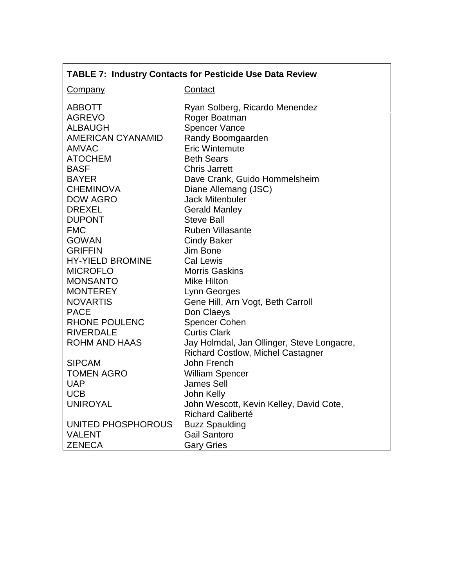# **TABLE 7: Industry Contacts for Pesticide Use Data Review**

# Contact

| <b>ABBOTT</b>            | Ryan Solberg, Ricardo Menendez             |
|--------------------------|--------------------------------------------|
| <b>AGREVO</b>            | Roger Boatman                              |
| <b>ALBAUGH</b>           | <b>Spencer Vance</b>                       |
| <b>AMERICAN CYANAMID</b> | Randy Boomgaarden                          |
| <b>AMVAC</b>             | <b>Eric Wintemute</b>                      |
| <b>ATOCHEM</b>           | <b>Beth Sears</b>                          |
| <b>BASF</b>              | <b>Chris Jarrett</b>                       |
| <b>BAYER</b>             | Dave Crank, Guido Hommelsheim              |
| <b>CHEMINOVA</b>         | Diane Allemang (JSC)                       |
| <b>DOW AGRO</b>          | <b>Jack Mitenbuler</b>                     |
| <b>DREXEL</b>            | <b>Gerald Manley</b>                       |
| <b>DUPONT</b>            | <b>Steve Ball</b>                          |
| <b>FMC</b>               | <b>Ruben Villasante</b>                    |
| <b>GOWAN</b>             | <b>Cindy Baker</b>                         |
| <b>GRIFFIN</b>           | Jim Bone                                   |
| <b>HY-YIELD BROMINE</b>  | <b>Cal Lewis</b>                           |
| <b>MICROFLO</b>          | <b>Morris Gaskins</b>                      |
| <b>MONSANTO</b>          | <b>Mike Hilton</b>                         |
| <b>MONTEREY</b>          | Lynn Georges                               |
| <b>NOVARTIS</b>          | Gene Hill, Arn Vogt, Beth Carroll          |
| <b>PACE</b>              | Don Claeys                                 |
| <b>RHONE POULENC</b>     | <b>Spencer Cohen</b>                       |
| <b>RIVERDALE</b>         | <b>Curtis Clark</b>                        |
| <b>ROHM AND HAAS</b>     | Jay Holmdal, Jan Ollinger, Steve Longacre, |
|                          | <b>Richard Costlow, Michel Castagner</b>   |
| <b>SIPCAM</b>            | John French                                |
| <b>TOMEN AGRO</b>        | <b>William Spencer</b>                     |
| <b>UAP</b>               | <b>James Sell</b>                          |
| <b>UCB</b>               | John Kelly                                 |
| <b>UNIROYAL</b>          | John Wescott, Kevin Kelley, David Cote,    |
|                          | <b>Richard Caliberté</b>                   |
| UNITED PHOSPHOROUS       | <b>Buzz Spaulding</b>                      |
| <b>VALENT</b>            | <b>Gail Santoro</b>                        |
| <b>ZENECA</b>            | <b>Gary Gries</b>                          |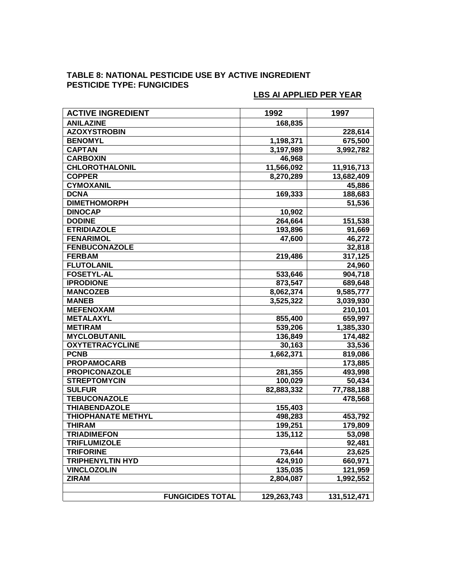# **TABLE 8: NATIONAL PESTICIDE USE BY ACTIVE INGREDIENT PESTICIDE TYPE: FUNGICIDES**

| <b>ACTIVE INGREDIENT</b>  | 1992        | 1997        |
|---------------------------|-------------|-------------|
| <b>ANILAZINE</b>          | 168,835     |             |
| <b>AZOXYSTROBIN</b>       |             | 228,614     |
| <b>BENOMYL</b>            | 1,198,371   | 675,500     |
| <b>CAPTAN</b>             | 3,197,989   | 3,992,782   |
| <b>CARBOXIN</b>           | 46,968      |             |
| <b>CHLOROTHALONIL</b>     | 11,566,092  | 11,916,713  |
| <b>COPPER</b>             | 8,270,289   | 13,682,409  |
| <b>CYMOXANIL</b>          |             | 45,886      |
| <b>DCNA</b>               | 169,333     | 188,683     |
| <b>DIMETHOMORPH</b>       |             | 51,536      |
| <b>DINOCAP</b>            | 10,902      |             |
| <b>DODINE</b>             | 264,664     | 151,538     |
| <b>ETRIDIAZOLE</b>        | 193,896     | 91,669      |
| <b>FENARIMOL</b>          | 47,600      | 46,272      |
| <b>FENBUCONAZOLE</b>      |             | 32,818      |
| <b>FERBAM</b>             | 219,486     | 317,125     |
| <b>FLUTOLANIL</b>         |             | 24,960      |
| <b>FOSETYL-AL</b>         | 533,646     | 904,718     |
| <b>IPRODIONE</b>          | 873,547     | 689,648     |
| <b>MANCOZEB</b>           | 8,062,374   | 9,585,777   |
| <b>MANEB</b>              | 3,525,322   | 3,039,930   |
| <b>MEFENOXAM</b>          |             | 210,101     |
| <b>METALAXYL</b>          | 855,400     | 659,997     |
| <b>METIRAM</b>            | 539,206     | 1,385,330   |
| <b>MYCLOBUTANIL</b>       | 136,849     | 174,482     |
| <b>OXYTETRACYCLINE</b>    | 30,163      | 33,536      |
| <b>PCNB</b>               | 1,662,371   | 819,086     |
| <b>PROPAMOCARB</b>        |             | 173,885     |
| <b>PROPICONAZOLE</b>      | 281,355     | 493,998     |
| <b>STREPTOMYCIN</b>       | 100,029     | 50,434      |
| <b>SULFUR</b>             | 82,883,332  | 77,788,188  |
| <b>TEBUCONAZOLE</b>       |             | 478,568     |
| <b>THIABENDAZOLE</b>      | 155,403     |             |
| <b>THIOPHANATE METHYL</b> | 498,283     | 453,792     |
| <b>THIRAM</b>             | 199,251     | 179,809     |
| <b>TRIADIMEFON</b>        | 135,112     | 53,098      |
| <b>TRIFLUMIZOLE</b>       |             | 92,481      |
| <b>TRIFORINE</b>          | 73,644      | 23,625      |
| <b>TRIPHENYLTIN HYD</b>   | 424,910     | 660,971     |
| <b>VINCLOZOLIN</b>        | 135,035     | 121,959     |
| <b>ZIRAM</b>              | 2,804,087   | 1,992,552   |
|                           |             |             |
| <b>FUNGICIDES TOTAL</b>   | 129,263,743 | 131,512,471 |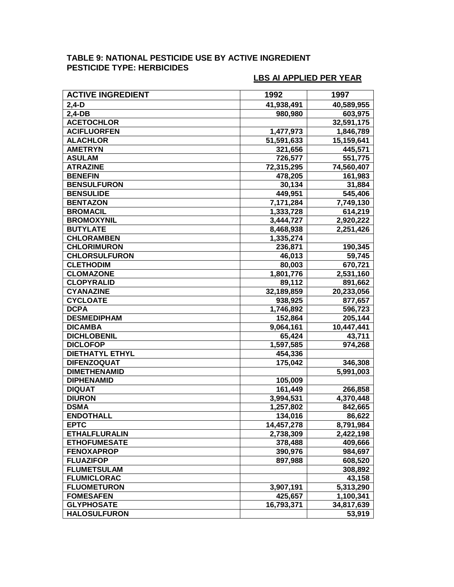# **TABLE 9: NATIONAL PESTICIDE USE BY ACTIVE INGREDIENT PESTICIDE TYPE: HERBICIDES**

| <b>ACTIVE INGREDIENT</b> | 1992       | 1997       |
|--------------------------|------------|------------|
| $2,4-D$                  | 41,938,491 | 40,589,955 |
| $2,4-DB$                 | 980,980    | 603,975    |
| <b>ACETOCHLOR</b>        |            | 32,591,175 |
| <b>ACIFLUORFEN</b>       | 1,477,973  | 1,846,789  |
| <b>ALACHLOR</b>          | 51,591,633 | 15,159,641 |
| <b>AMETRYN</b>           | 321,656    | 445,571    |
| <b>ASULAM</b>            | 726,577    | 551,775    |
| <b>ATRAZINE</b>          | 72,315,295 | 74,560,407 |
| <b>BENEFIN</b>           | 478,205    | 161,983    |
| <b>BENSULFURON</b>       | 30,134     | 31,884     |
| <b>BENSULIDE</b>         | 449,951    | 545,406    |
| <b>BENTAZON</b>          | 7,171,284  | 7,749,130  |
| <b>BROMACIL</b>          | 1,333,728  | 614,219    |
| <b>BROMOXYNIL</b>        | 3,444,727  | 2,920,222  |
| <b>BUTYLATE</b>          | 8,468,938  | 2,251,426  |
| <b>CHLORAMBEN</b>        | 1,335,274  |            |
| <b>CHLORIMURON</b>       | 236,871    | 190,345    |
| <b>CHLORSULFURON</b>     | 46,013     | 59,745     |
| <b>CLETHODIM</b>         | 80,003     | 670,721    |
| <b>CLOMAZONE</b>         | 1,801,776  | 2,531,160  |
| <b>CLOPYRALID</b>        | 89,112     | 891,662    |
| <b>CYANAZINE</b>         | 32,189,859 | 20,233,056 |
| <b>CYCLOATE</b>          | 938,925    | 877,657    |
| <b>DCPA</b>              | 1,746,892  | 596,723    |
| <b>DESMEDIPHAM</b>       | 152,864    | 205, 144   |
| <b>DICAMBA</b>           | 9,064,161  | 10,447,441 |
| <b>DICHLOBENIL</b>       | 65,424     | 43,711     |
| <b>DICLOFOP</b>          | 1,597,585  | 974,268    |
| <b>DIETHATYL ETHYL</b>   | 454,336    |            |
| <b>DIFENZOQUAT</b>       | 175,042    | 346,308    |
| <b>DIMETHENAMID</b>      |            | 5,991,003  |
| <b>DIPHENAMID</b>        | 105,009    |            |
| <b>DIQUAT</b>            | 161,449    | 266,858    |
| <b>DIURON</b>            | 3,994,531  | 4,370,448  |
| <b>DSMA</b>              | 1,257,802  | 842,665    |
| <b>ENDOTHALL</b>         | 134,016    | 86,622     |
| <b>EPTC</b>              | 14,457,278 | 8,791,984  |
| <b>ETHALFLURALIN</b>     | 2,738,309  | 2,422,198  |
| <b>ETHOFUMESATE</b>      | 378,488    | 409,666    |
| <b>FENOXAPROP</b>        | 390,976    | 984,697    |
| <b>FLUAZIFOP</b>         | 897,988    | 608,520    |
| <b>FLUMETSULAM</b>       |            | 308,892    |
| <b>FLUMICLORAC</b>       |            | 43,158     |
| <b>FLUOMETURON</b>       | 3,907,191  | 5,313,290  |
| <b>FOMESAFEN</b>         | 425,657    | 1,100,341  |
| <b>GLYPHOSATE</b>        | 16,793,371 | 34,817,639 |
| <b>HALOSULFURON</b>      |            | 53,919     |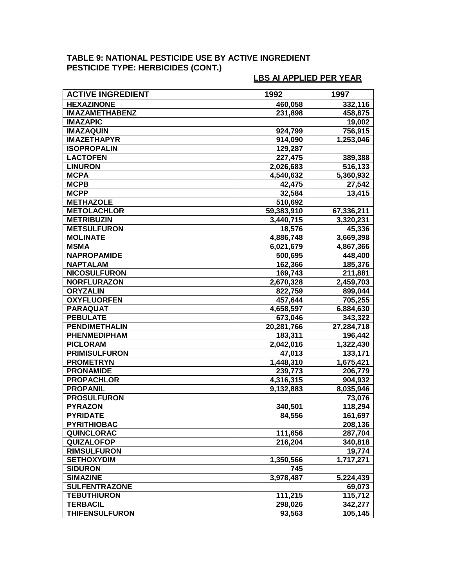### **TABLE 9: NATIONAL PESTICIDE USE BY ACTIVE INGREDIENT PESTICIDE TYPE: HERBICIDES (CONT.)**

| <b>ACTIVE INGREDIENT</b> | 1992       | 1997                |
|--------------------------|------------|---------------------|
| <b>HEXAZINONE</b>        | 460,058    | 332,116             |
| <b>IMAZAMETHABENZ</b>    | 231,898    | 458,875             |
| <b>IMAZAPIC</b>          |            | 19,002              |
| <b>IMAZAQUIN</b>         | 924,799    | 756,915             |
| <b>IMAZETHAPYR</b>       | 914,090    | 1,253,046           |
| <b>ISOPROPALIN</b>       | 129,287    |                     |
| <b>LACTOFEN</b>          | 227,475    | 389,388             |
| <b>LINURON</b>           | 2,026,683  | 516,133             |
| <b>MCPA</b>              | 4,540,632  | 5,360,932           |
| <b>MCPB</b>              | 42,475     | $\overline{27,542}$ |
| <b>MCPP</b>              | 32,584     | 13,415              |
| <b>METHAZOLE</b>         | 510,692    |                     |
| <b>METOLACHLOR</b>       | 59,383,910 | 67,336,211          |
| <b>METRIBUZIN</b>        | 3,440,715  | 3,320,231           |
| <b>METSULFURON</b>       | 18,576     | 45,336              |
| <b>MOLINATE</b>          | 4,886,748  | 3,669,398           |
| <b>MSMA</b>              | 6,021,679  | 4,867,366           |
| <b>NAPROPAMIDE</b>       | 500,695    | 448,400             |
| <b>NAPTALAM</b>          | 162,366    | 185,376             |
| <b>NICOSULFURON</b>      | 169,743    | 211,881             |
| <b>NORFLURAZON</b>       | 2,670,328  | 2,459,703           |
| <b>ORYZALIN</b>          | 822,759    | 899,044             |
| <b>OXYFLUORFEN</b>       | 457,644    | 705,255             |
| <b>PARAQUAT</b>          | 4,658,597  | 6,884,630           |
| <b>PEBULATE</b>          | 673,046    | 343,322             |
| <b>PENDIMETHALIN</b>     | 20,281,766 | 27,284,718          |
| PHENMEDIPHAM             | 183,311    | 196,442             |
| <b>PICLORAM</b>          | 2,042,016  | 1,322,430           |
| <b>PRIMISULFURON</b>     | 47,013     | 133,171             |
| <b>PROMETRYN</b>         | 1,448,310  | 1,675,421           |
| <b>PRONAMIDE</b>         | 239,773    | 206,779             |
| <b>PROPACHLOR</b>        | 4,316,315  | 904,932             |
| <b>PROPANIL</b>          | 9,132,883  | 8,035,946           |
| <b>PROSULFURON</b>       |            | 73,076              |
| <b>PYRAZON</b>           | 340,501    | 118,294             |
| <b>PYRIDATE</b>          | 84,556     | 161,697             |
| <b>PYRITHIOBAC</b>       |            | 208,136             |
| QUINCLORAC               | 111,656    | 287,704             |
| <b>QUIZALOFOP</b>        | 216,204    | 340,818             |
| <b>RIMSULFURON</b>       |            | 19,774              |
| <b>SETHOXYDIM</b>        | 1,350,566  | 1,717,271           |
| <b>SIDURON</b>           | 745        |                     |
| <b>SIMAZINE</b>          | 3,978,487  | 5,224,439           |
| <b>SULFENTRAZONE</b>     |            | 69,073              |
| <b>TEBUTHIURON</b>       | 111,215    | 115,712             |
| <b>TERBACIL</b>          | 298,026    | 342,277             |
| <b>THIFENSULFURON</b>    | 93,563     | 105,145             |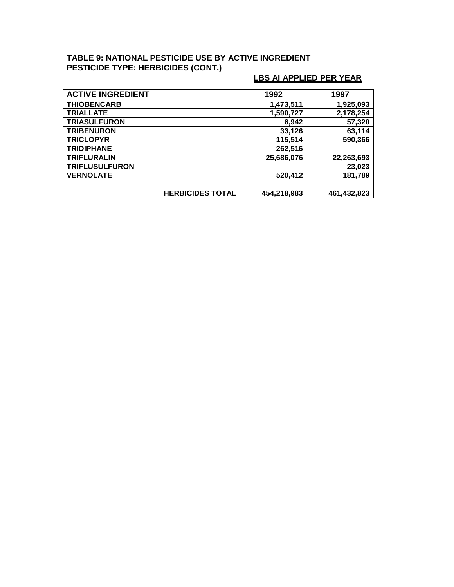### **TABLE 9: NATIONAL PESTICIDE USE BY ACTIVE INGREDIENT PESTICIDE TYPE: HERBICIDES (CONT.)**

| <b>ACTIVE INGREDIENT</b> |                         | 1992        | 1997        |
|--------------------------|-------------------------|-------------|-------------|
| <b>THIOBENCARB</b>       |                         | 1,473,511   | 1,925,093   |
| <b>TRIALLATE</b>         |                         | 1,590,727   | 2,178,254   |
| <b>TRIASULFURON</b>      |                         | 6,942       | 57,320      |
| <b>TRIBENURON</b>        |                         | 33,126      | 63,114      |
| <b>TRICLOPYR</b>         |                         | 115,514     | 590,366     |
| <b>TRIDIPHANE</b>        |                         | 262,516     |             |
| <b>TRIFLURALIN</b>       |                         | 25,686,076  | 22,263,693  |
| <b>TRIFLUSULFURON</b>    |                         |             | 23,023      |
| <b>VERNOLATE</b>         |                         | 520,412     | 181,789     |
|                          |                         |             |             |
|                          | <b>HERBICIDES TOTAL</b> | 454,218,983 | 461,432,823 |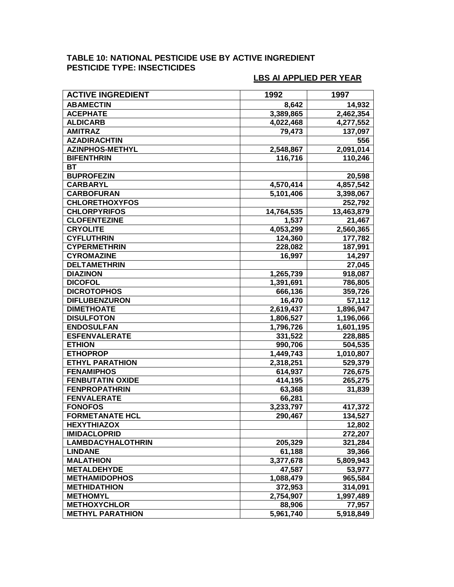# **TABLE 10: NATIONAL PESTICIDE USE BY ACTIVE INGREDIENT PESTICIDE TYPE: INSECTICIDES**

| <b>ACTIVE INGREDIENT</b> | 1992       | 1997       |
|--------------------------|------------|------------|
| <b>ABAMECTIN</b>         | 8,642      | 14,932     |
| <b>ACEPHATE</b>          | 3,389,865  | 2,462,354  |
| <b>ALDICARB</b>          | 4,022,468  | 4,277,552  |
| <b>AMITRAZ</b>           | 79,473     | 137,097    |
| <b>AZADIRACHTIN</b>      |            | 556        |
| <b>AZINPHOS-METHYL</b>   | 2,548,867  | 2,091,014  |
| <b>BIFENTHRIN</b>        | 116,716    | 110,246    |
| <b>BT</b>                |            |            |
| <b>BUPROFEZIN</b>        |            | 20,598     |
| <b>CARBARYL</b>          | 4,570,414  | 4,857,542  |
| <b>CARBOFURAN</b>        | 5,101,406  | 3,398,067  |
| <b>CHLORETHOXYFOS</b>    |            | 252,792    |
| <b>CHLORPYRIFOS</b>      | 14,764,535 | 13,463,879 |
| <b>CLOFENTEZINE</b>      | 1,537      | 21,467     |
| <b>CRYOLITE</b>          | 4,053,299  | 2,560,365  |
| <b>CYFLUTHRIN</b>        | 124,360    | 177,782    |
| <b>CYPERMETHRIN</b>      | 228,082    | 187,991    |
| <b>CYROMAZINE</b>        | 16,997     | 14,297     |
| <b>DELTAMETHRIN</b>      |            | 27,045     |
| <b>DIAZINON</b>          | 1,265,739  | 918,087    |
| <b>DICOFOL</b>           | 1,391,691  | 786,805    |
| <b>DICROTOPHOS</b>       | 666,136    | 359,726    |
| <b>DIFLUBENZURON</b>     | 16,470     | 57,112     |
| <b>DIMETHOATE</b>        | 2,619,437  | 1,896,947  |
| <b>DISULFOTON</b>        | 1,806,527  | 1,196,066  |
| <b>ENDOSULFAN</b>        | 1,796,726  | 1,601,195  |
| <b>ESFENVALERATE</b>     | 331,522    | 228,885    |
| <b>ETHION</b>            | 990,706    | 504,535    |
| <b>ETHOPROP</b>          | 1,449,743  | 1,010,807  |
| <b>ETHYL PARATHION</b>   | 2,318,251  | 529,379    |
| <b>FENAMIPHOS</b>        | 614,937    | 726,675    |
| <b>FENBUTATIN OXIDE</b>  | 414,195    | 265,275    |
| <b>FENPROPATHRIN</b>     | 63,368     | 31,839     |
| <b>FENVALERATE</b>       | 66,281     |            |
| <b>FONOFOS</b>           | 3,233,797  | 417,372    |
| <b>FORMETANATE HCL</b>   | 290,467    | 134,527    |
| <b>HEXYTHIAZOX</b>       |            | 12,802     |
| <b>IMIDACLOPRID</b>      |            | 272,207    |
| <b>LAMBDACYHALOTHRIN</b> | 205,329    | 321,284    |
| <b>LINDANE</b>           | 61,188     | 39,366     |
| <b>MALATHION</b>         | 3,377,678  | 5,809,943  |
| <b>METALDEHYDE</b>       | 47,587     | 53,977     |
| <b>METHAMIDOPHOS</b>     | 1,088,479  | 965,584    |
| <b>METHIDATHION</b>      | 372,953    | 314,091    |
| <b>METHOMYL</b>          | 2,754,907  | 1,997,489  |
| <b>METHOXYCHLOR</b>      | 88,906     | 77,957     |
| <b>METHYL PARATHION</b>  | 5.961,740  | 5,918,849  |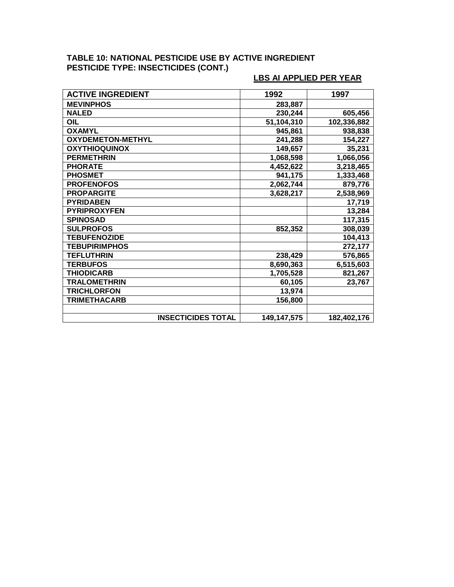## **TABLE 10: NATIONAL PESTICIDE USE BY ACTIVE INGREDIENT PESTICIDE TYPE: INSECTICIDES (CONT.)**

| <b>ACTIVE INGREDIENT</b>  | 1992        | 1997        |
|---------------------------|-------------|-------------|
| <b>MEVINPHOS</b>          | 283,887     |             |
| <b>NALED</b>              | 230,244     | 605,456     |
| OIL                       | 51,104,310  | 102,336,882 |
| <b>OXAMYL</b>             | 945,861     | 938,838     |
| <b>OXYDEMETON-METHYL</b>  | 241,288     | 154,227     |
| <b>OXYTHIOQUINOX</b>      | 149,657     | 35,231      |
| <b>PERMETHRIN</b>         | 1,068,598   | 1,066,056   |
| <b>PHORATE</b>            | 4,452,622   | 3,218,465   |
| <b>PHOSMET</b>            | 941,175     | 1,333,468   |
| <b>PROFENOFOS</b>         | 2,062,744   | 879,776     |
| <b>PROPARGITE</b>         | 3,628,217   | 2,538,969   |
| <b>PYRIDABEN</b>          |             | 17,719      |
| <b>PYRIPROXYFEN</b>       |             | 13,284      |
| <b>SPINOSAD</b>           |             | 117,315     |
| <b>SULPROFOS</b>          | 852,352     | 308,039     |
| <b>TEBUFENOZIDE</b>       |             | 104,413     |
| <b>TEBUPIRIMPHOS</b>      |             | 272,177     |
| <b>TEFLUTHRIN</b>         | 238,429     | 576,865     |
| <b>TERBUFOS</b>           | 8,690,363   | 6,515,603   |
| <b>THIODICARB</b>         | 1,705,528   | 821,267     |
| <b>TRALOMETHRIN</b>       | 60,105      | 23,767      |
| <b>TRICHLORFON</b>        | 13,974      |             |
| <b>TRIMETHACARB</b>       | 156,800     |             |
|                           |             |             |
| <b>INSECTICIDES TOTAL</b> | 149,147,575 | 182,402,176 |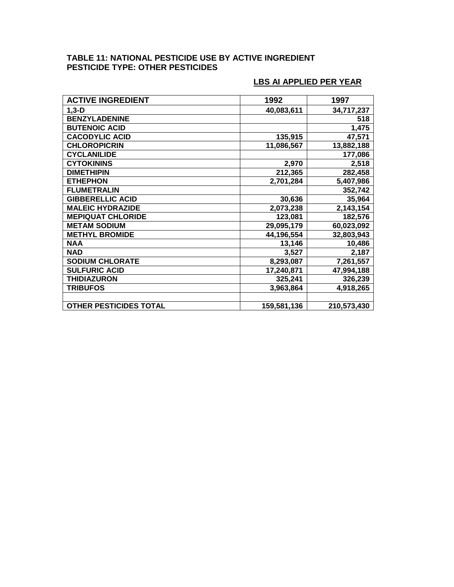#### **TABLE 11: NATIONAL PESTICIDE USE BY ACTIVE INGREDIENT PESTICIDE TYPE: OTHER PESTICIDES**

| <b>ACTIVE INGREDIENT</b>      | 1992        | 1997        |
|-------------------------------|-------------|-------------|
| $1,3-D$                       | 40,083,611  | 34,717,237  |
| <b>BENZYLADENINE</b>          |             | 518         |
| <b>BUTENOIC ACID</b>          |             | 1,475       |
| <b>CACODYLIC ACID</b>         | 135,915     | 47,571      |
| <b>CHLOROPICRIN</b>           | 11,086,567  | 13,882,188  |
| <b>CYCLANILIDE</b>            |             | 177,086     |
| <b>CYTOKININS</b>             | 2,970       | 2,518       |
| <b>DIMETHIPIN</b>             | 212,365     | 282,458     |
| <b>ETHEPHON</b>               | 2,701,284   | 5,407,986   |
| <b>FLUMETRALIN</b>            |             | 352,742     |
| <b>GIBBERELLIC ACID</b>       | 30,636      | 35,964      |
| <b>MALEIC HYDRAZIDE</b>       | 2,073,238   | 2,143,154   |
| <b>MEPIQUAT CHLORIDE</b>      | 123,081     | 182,576     |
| <b>METAM SODIUM</b>           | 29,095,179  | 60,023,092  |
| <b>METHYL BROMIDE</b>         | 44,196,554  | 32,803,943  |
| <b>NAA</b>                    | 13,146      | 10,486      |
| <b>NAD</b>                    | 3,527       | 2,187       |
| <b>SODIUM CHLORATE</b>        | 8,293,087   | 7,261,557   |
| <b>SULFURIC ACID</b>          | 17,240,871  | 47,994,188  |
| <b>THIDIAZURON</b>            | 325,241     | 326,239     |
| <b>TRIBUFOS</b>               | 3,963,864   | 4,918,265   |
|                               |             |             |
| <b>OTHER PESTICIDES TOTAL</b> | 159,581,136 | 210,573,430 |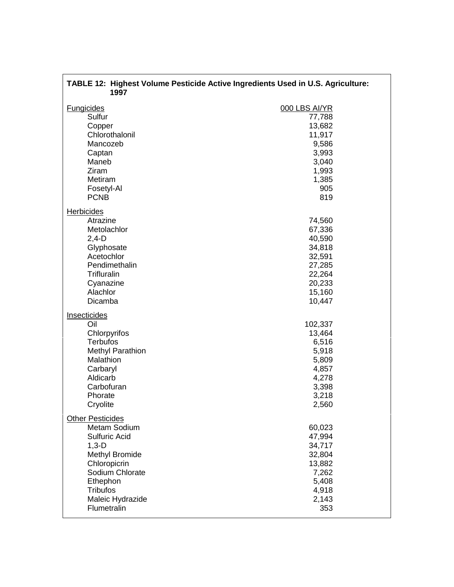| TABLE 12: Highest Volume Pesticide Active Ingredients Used in U.S. Agriculture:<br>1997                                                                                                    |                                                                                                        |  |
|--------------------------------------------------------------------------------------------------------------------------------------------------------------------------------------------|--------------------------------------------------------------------------------------------------------|--|
| <b>Fungicides</b><br>Sulfur<br>Copper<br>Chlorothalonil<br>Mancozeb<br>Captan<br>Maneb<br>Ziram<br>Metiram<br>Fosetyl-Al<br><b>PCNB</b>                                                    | 000 LBS AI/YR<br>77,788<br>13,682<br>11,917<br>9,586<br>3,993<br>3,040<br>1,993<br>1,385<br>905<br>819 |  |
| <b>Herbicides</b><br>Atrazine<br>Metolachlor<br>$2,4-D$<br>Glyphosate<br>Acetochlor<br>Pendimethalin<br><b>Trifluralin</b><br>Cyanazine<br>Alachlor<br>Dicamba                             | 74,560<br>67,336<br>40,590<br>34,818<br>32,591<br>27,285<br>22,264<br>20,233<br>15,160<br>10,447       |  |
| Insecticides<br>Oil<br>Chlorpyrifos<br><b>Terbufos</b><br><b>Methyl Parathion</b><br>Malathion<br>Carbaryl<br>Aldicarb<br>Carbofuran<br>Phorate<br>Cryolite                                | 102,337<br>13,464<br>6,516<br>5,918<br>5,809<br>4,857<br>4,278<br>3,398<br>3,218<br>2,560              |  |
| <b>Other Pesticides</b><br>Metam Sodium<br>Sulfuric Acid<br>$1,3-D$<br>Methyl Bromide<br>Chloropicrin<br>Sodium Chlorate<br>Ethephon<br><b>Tribufos</b><br>Maleic Hydrazide<br>Flumetralin | 60,023<br>47,994<br>34,717<br>32,804<br>13,882<br>7,262<br>5,408<br>4,918<br>2,143<br>353              |  |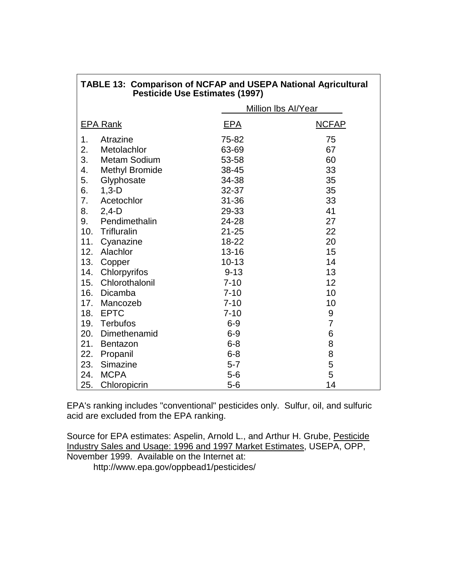| INDEE TJ.  UUIIIpaHSUII UI NUI AF aHU UJEI A NAUUHAI AYHUUKHAI<br><b>Pesticide Use Estimates (1997)</b> |                       |                            |              |
|---------------------------------------------------------------------------------------------------------|-----------------------|----------------------------|--------------|
|                                                                                                         |                       | <b>Million Ibs Al/Year</b> |              |
|                                                                                                         | <b>EPA Rank</b>       | EPA                        | <b>NCFAP</b> |
| 1.                                                                                                      | Atrazine              | 75-82                      | 75           |
| 2.                                                                                                      | Metolachlor           | 63-69                      | 67           |
| 3.                                                                                                      | <b>Metam Sodium</b>   | 53-58                      | 60           |
| 4.                                                                                                      | <b>Methyl Bromide</b> | 38-45                      | 33           |
| 5.                                                                                                      | Glyphosate            | 34-38                      | 35           |
| 6.                                                                                                      | $1,3-D$               | $32 - 37$                  | 35           |
| 7.                                                                                                      | Acetochlor            | $31 - 36$                  | 33           |
| 8.                                                                                                      | $2,4-D$               | 29-33                      | 41           |
| 9.                                                                                                      | Pendimethalin         | 24-28                      | 27           |
| 10.                                                                                                     | Trifluralin           | $21 - 25$                  | 22           |
| 11.                                                                                                     | Cyanazine             | 18-22                      | 20           |
| 12.                                                                                                     | Alachlor              | $13 - 16$                  | 15           |
| 13.                                                                                                     | Copper                | $10 - 13$                  | 14           |
| 14.                                                                                                     | Chlorpyrifos          | $9 - 13$                   | 13           |
| 15.                                                                                                     | Chlorothalonil        | $7 - 10$                   | 12           |
|                                                                                                         | 16. Dicamba           | $7 - 10$                   | 10           |
| 17.                                                                                                     | Mancozeb              | $7 - 10$                   | 10           |
|                                                                                                         | 18. EPTC              | $7 - 10$                   | 9            |
| 19.                                                                                                     | <b>Terbufos</b>       | $6 - 9$                    | 7            |
| 20.                                                                                                     | Dimethenamid          | $6-9$                      | 6            |
| 21.                                                                                                     | <b>Bentazon</b>       | $6 - 8$                    | 8            |
| 22.                                                                                                     | Propanil              | $6 - 8$                    | 8            |
| 23.                                                                                                     | Simazine              | $5 - 7$                    | 5            |
| 24.                                                                                                     | <b>MCPA</b>           | $5-6$                      | 5            |
| 25.                                                                                                     | Chloropicrin          | $5-6$                      | 14           |

**TABLE 13: Comparison of NCFAP and USEPA National Agricultural**

EPA's ranking includes "conventional" pesticides only. Sulfur, oil, and sulfuric acid are excluded from the EPA ranking.

Source for EPA estimates: Aspelin, Arnold L., and Arthur H. Grube, Pesticide Industry Sales and Usage: 1996 and 1997 Market Estimates, USEPA, OPP, November 1999. Available on the Internet at:

http://www.epa.gov/oppbead1/pesticides/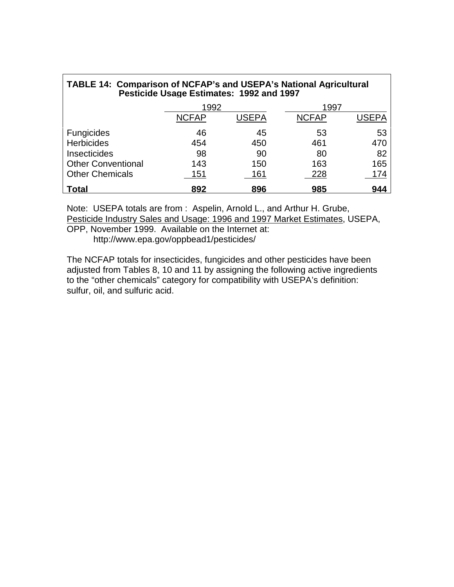| TABLE 14: Comparison of NCFAP's and USEPA's National Agricultural<br>Pesticide Usage Estimates: 1992 and 1997 |              |       |              |       |
|---------------------------------------------------------------------------------------------------------------|--------------|-------|--------------|-------|
|                                                                                                               | 1992         |       | 1997         |       |
|                                                                                                               | <b>NCFAP</b> | USEPA | <b>NCFAP</b> | USEPA |
| <b>Fungicides</b>                                                                                             | 46           | 45    | 53           | 53    |
| <b>Herbicides</b>                                                                                             | 454          | 450   | 461          | 470   |
| <b>Insecticides</b>                                                                                           | 98           | 90    | 80           | 82    |
| <b>Other Conventional</b>                                                                                     | 143          | 150   | 163          | 165   |
| <b>Other Chemicals</b>                                                                                        | 151          | 161   | 228          | 174   |
| <b>Total</b>                                                                                                  | 892          | 896   | 985          | 944   |

Note: USEPA totals are from : Aspelin, Arnold L., and Arthur H. Grube, Pesticide Industry Sales and Usage: 1996 and 1997 Market Estimates, USEPA,

OPP, November 1999. Available on the Internet at: http://www.epa.gov/oppbead1/pesticides/

The NCFAP totals for insecticides, fungicides and other pesticides have been adjusted from Tables 8, 10 and 11 by assigning the following active ingredients to the "other chemicals" category for compatibility with USEPA's definition: sulfur, oil, and sulfuric acid.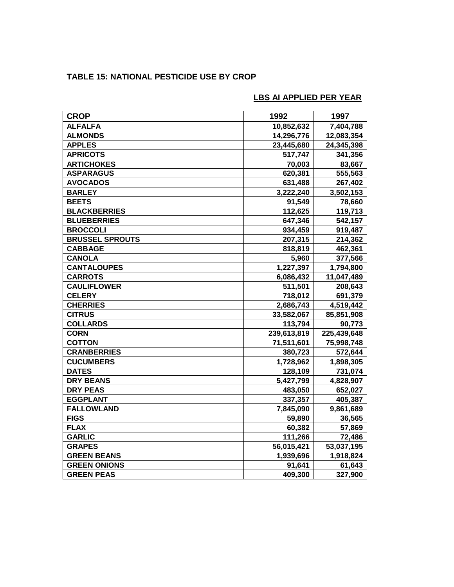# **TABLE 15: NATIONAL PESTICIDE USE BY CROP**

| <b>CROP</b>            | 1992        | 1997        |
|------------------------|-------------|-------------|
| <b>ALFALFA</b>         | 10,852,632  | 7,404,788   |
| <b>ALMONDS</b>         | 14,296,776  | 12,083,354  |
| <b>APPLES</b>          | 23,445,680  | 24,345,398  |
| <b>APRICOTS</b>        | 517,747     | 341,356     |
| <b>ARTICHOKES</b>      | 70,003      | 83,667      |
| <b>ASPARAGUS</b>       | 620,381     | 555,563     |
| <b>AVOCADOS</b>        | 631,488     | 267,402     |
| <b>BARLEY</b>          | 3,222,240   | 3,502,153   |
| <b>BEETS</b>           | 91,549      | 78,660      |
| <b>BLACKBERRIES</b>    | 112,625     | 119,713     |
| <b>BLUEBERRIES</b>     | 647,346     | 542,157     |
| <b>BROCCOLI</b>        | 934,459     | 919,487     |
| <b>BRUSSEL SPROUTS</b> | 207,315     | 214,362     |
| <b>CABBAGE</b>         | 818,819     | 462,361     |
| <b>CANOLA</b>          | 5,960       | 377,566     |
| <b>CANTALOUPES</b>     | 1,227,397   | 1,794,800   |
| <b>CARROTS</b>         | 6,086,432   | 11,047,489  |
| <b>CAULIFLOWER</b>     | 511,501     | 208,643     |
| <b>CELERY</b>          | 718,012     | 691,379     |
| <b>CHERRIES</b>        | 2,686,743   | 4,519,442   |
| <b>CITRUS</b>          | 33,582,067  | 85,851,908  |
| <b>COLLARDS</b>        | 113,794     | 90,773      |
| <b>CORN</b>            | 239,613,819 | 225,439,648 |
| <b>COTTON</b>          | 71,511,601  | 75,998,748  |
| <b>CRANBERRIES</b>     | 380,723     | 572,644     |
| <b>CUCUMBERS</b>       | 1,728,962   | 1,898,305   |
| <b>DATES</b>           | 128,109     | 731,074     |
| <b>DRY BEANS</b>       | 5,427,799   | 4,828,907   |
| <b>DRY PEAS</b>        | 483,050     | 652,027     |
| <b>EGGPLANT</b>        | 337,357     | 405,387     |
| <b>FALLOWLAND</b>      | 7,845,090   | 9,861,689   |
| <b>FIGS</b>            | 59,890      | 36,565      |
| <b>FLAX</b>            | 60,382      | 57,869      |
| <b>GARLIC</b>          | 111,266     | 72,486      |
| <b>GRAPES</b>          | 56,015,421  | 53,037,195  |
| <b>GREEN BEANS</b>     | 1,939,696   | 1,918,824   |
| <b>GREEN ONIONS</b>    | 91,641      | 61,643      |
| <b>GREEN PEAS</b>      | 409,300     | 327,900     |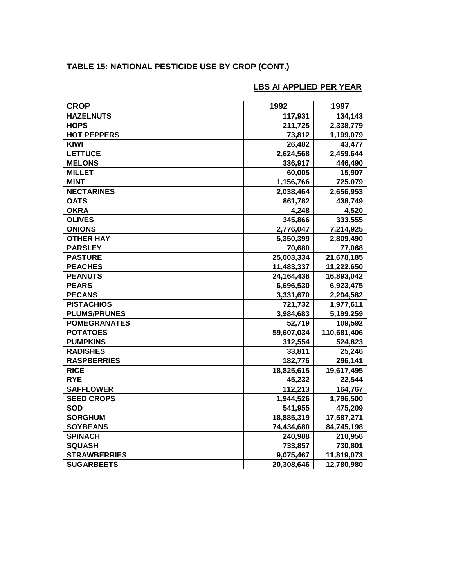# **TABLE 15: NATIONAL PESTICIDE USE BY CROP (CONT.)**

| <b>CROP</b>         | 1992       | 1997        |
|---------------------|------------|-------------|
| <b>HAZELNUTS</b>    | 117,931    | 134,143     |
| <b>HOPS</b>         | 211,725    | 2,338,779   |
| <b>HOT PEPPERS</b>  | 73,812     | 1,199,079   |
| KIWI                | 26,482     | 43,477      |
| <b>LETTUCE</b>      | 2,624,568  | 2,459,644   |
| <b>MELONS</b>       | 336,917    | 446,490     |
| <b>MILLET</b>       | 60,005     | 15,907      |
| <b>MINT</b>         | 1,156,766  | 725,079     |
| <b>NECTARINES</b>   | 2,038,464  | 2,656,953   |
| <b>OATS</b>         | 861,782    | 438,749     |
| <b>OKRA</b>         | 4,248      | 4,520       |
| <b>OLIVES</b>       | 345,866    | 333,555     |
| <b>ONIONS</b>       | 2,776,047  | 7,214,925   |
| <b>OTHER HAY</b>    | 5,350,399  | 2,809,490   |
| <b>PARSLEY</b>      | 70,680     | 77,068      |
| <b>PASTURE</b>      | 25,003,334 | 21,678,185  |
| <b>PEACHES</b>      | 11,483,337 | 11,222,650  |
| <b>PEANUTS</b>      | 24,164,438 | 16,893,042  |
| <b>PEARS</b>        | 6,696,530  | 6,923,475   |
| <b>PECANS</b>       | 3,331,670  | 2,294,582   |
| <b>PISTACHIOS</b>   | 721,732    | 1,977,611   |
| <b>PLUMS/PRUNES</b> | 3,984,683  | 5,199,259   |
| <b>POMEGRANATES</b> | 52,719     | 109,592     |
| <b>POTATOES</b>     | 59,607,034 | 110,681,406 |
| <b>PUMPKINS</b>     | 312,554    | 524,823     |
| <b>RADISHES</b>     | 33,811     | 25,246      |
| <b>RASPBERRIES</b>  | 182,776    | 296,141     |
| <b>RICE</b>         | 18,825,615 | 19,617,495  |
| <b>RYE</b>          | 45,232     | 22,544      |
| <b>SAFFLOWER</b>    | 112,213    | 164,767     |
| <b>SEED CROPS</b>   | 1,944,526  | 1,796,500   |
| <b>SOD</b>          | 541,955    | 475,209     |
| <b>SORGHUM</b>      | 18,885,319 | 17,587,271  |
| <b>SOYBEANS</b>     | 74,434,680 | 84,745,198  |
| <b>SPINACH</b>      | 240,988    | 210,956     |
| <b>SQUASH</b>       | 733,857    | 730,801     |
| <b>STRAWBERRIES</b> | 9,075,467  | 11,819,073  |
| <b>SUGARBEETS</b>   | 20,308,646 | 12,780,980  |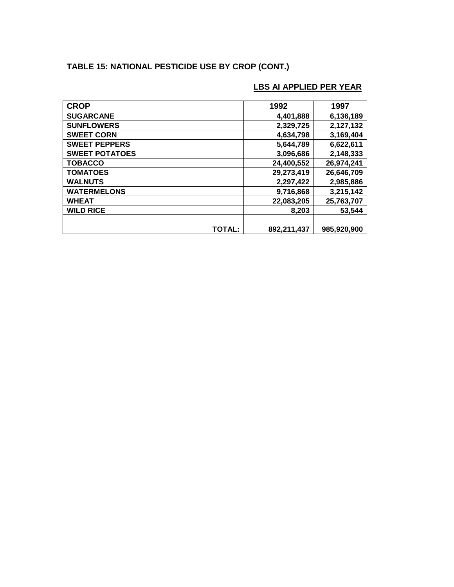# **TABLE 15: NATIONAL PESTICIDE USE BY CROP (CONT.)**

| <b>CROP</b>           | 1992        | 1997        |
|-----------------------|-------------|-------------|
| <b>SUGARCANE</b>      | 4,401,888   | 6,136,189   |
| <b>SUNFLOWERS</b>     | 2,329,725   | 2,127,132   |
| <b>SWEET CORN</b>     | 4,634,798   | 3,169,404   |
| <b>SWEET PEPPERS</b>  | 5,644,789   | 6,622,611   |
| <b>SWEET POTATOES</b> | 3,096,686   | 2,148,333   |
| <b>TOBACCO</b>        | 24,400,552  | 26,974,241  |
| <b>TOMATOES</b>       | 29,273,419  | 26,646,709  |
| <b>WALNUTS</b>        | 2,297,422   | 2,985,886   |
| <b>WATERMELONS</b>    | 9,716,868   | 3,215,142   |
| <b>WHEAT</b>          | 22,083,205  | 25,763,707  |
| <b>WILD RICE</b>      | 8,203       | 53,544      |
|                       |             |             |
| <b>TOTAL:</b>         | 892,211,437 | 985,920,900 |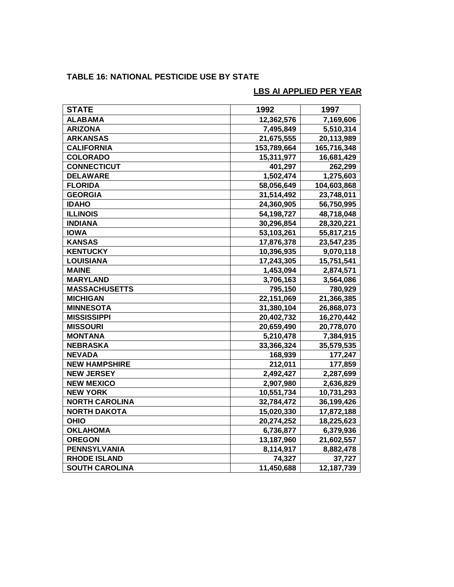# **TABLE 16: NATIONAL PESTICIDE USE BY STATE**

| <b>STATE</b>          | 1992        | 1997        |
|-----------------------|-------------|-------------|
| <b>ALABAMA</b>        | 12,362,576  | 7,169,606   |
| <b>ARIZONA</b>        | 7,495,849   | 5,510,314   |
| <b>ARKANSAS</b>       | 21,675,555  | 20,113,989  |
| <b>CALIFORNIA</b>     | 153,789,664 | 165,716,348 |
| <b>COLORADO</b>       | 15,311,977  | 16,681,429  |
| <b>CONNECTICUT</b>    | 401,297     | 262,299     |
| <b>DELAWARE</b>       | 1,502,474   | 1,275,603   |
| <b>FLORIDA</b>        | 58,056,649  | 104,603,868 |
| <b>GEORGIA</b>        | 31,514,492  | 23,748,011  |
| <b>IDAHO</b>          | 24,360,905  | 56,750,995  |
| <b>ILLINOIS</b>       | 54,198,727  | 48,718,048  |
| <b>INDIANA</b>        | 30,296,854  | 28,320,221  |
| <b>IOWA</b>           | 53,103,261  | 55,817,215  |
| <b>KANSAS</b>         | 17,876,378  | 23,547,235  |
| <b>KENTUCKY</b>       | 10,396,935  | 9,070,118   |
| <b>LOUISIANA</b>      | 17,243,305  | 15,751,541  |
| <b>MAINE</b>          | 1,453,094   | 2,874,571   |
| <b>MARYLAND</b>       | 3,706,163   | 3,564,086   |
| <b>MASSACHUSETTS</b>  | 795,150     | 780,929     |
| <b>MICHIGAN</b>       | 22,151,069  | 21,366,385  |
| <b>MINNESOTA</b>      | 31,380,104  | 26,868,073  |
| <b>MISSISSIPPI</b>    | 20,402,732  | 16,270,442  |
| <b>MISSOURI</b>       | 20,659,490  | 20,778,070  |
| <b>MONTANA</b>        | 5,210,478   | 7,384,915   |
| <b>NEBRASKA</b>       | 33,366,324  | 35,579,535  |
| <b>NEVADA</b>         | 168,939     | 177,247     |
| <b>NEW HAMPSHIRE</b>  | 212,011     | 177,859     |
| <b>NEW JERSEY</b>     | 2,492,427   | 2,287,699   |
| <b>NEW MEXICO</b>     | 2,907,980   | 2,636,829   |
| <b>NEW YORK</b>       | 10,551,734  | 10,731,293  |
| <b>NORTH CAROLINA</b> | 32,784,472  | 36,199,426  |
| <b>NORTH DAKOTA</b>   | 15,020,330  | 17,872,188  |
| <b>OHIO</b>           | 20,274,252  | 18,225,623  |
| <b>OKLAHOMA</b>       | 6,736,877   | 6,379,936   |
| <b>OREGON</b>         | 13,187,960  | 21,602,557  |
| <b>PENNSYLVANIA</b>   | 8,114,917   | 8,882,478   |
| <b>RHODE ISLAND</b>   | 74,327      | 37,727      |
| <b>SOUTH CAROLINA</b> | 11,450,688  | 12,187,739  |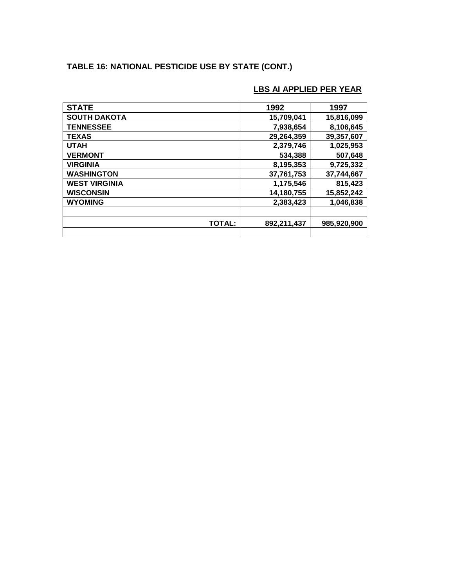# **TABLE 16: NATIONAL PESTICIDE USE BY STATE (CONT.)**

| <b>STATE</b>         | 1992        | 1997        |
|----------------------|-------------|-------------|
| <b>SOUTH DAKOTA</b>  | 15,709,041  | 15,816,099  |
| <b>TENNESSEE</b>     | 7,938,654   | 8,106,645   |
| <b>TEXAS</b>         | 29,264,359  | 39,357,607  |
| <b>UTAH</b>          | 2,379,746   | 1,025,953   |
| <b>VERMONT</b>       | 534,388     | 507,648     |
| <b>VIRGINIA</b>      | 8,195,353   | 9,725,332   |
| <b>WASHINGTON</b>    | 37,761,753  | 37,744,667  |
| <b>WEST VIRGINIA</b> | 1,175,546   | 815,423     |
| <b>WISCONSIN</b>     | 14,180,755  | 15,852,242  |
| <b>WYOMING</b>       | 2,383,423   | 1,046,838   |
|                      |             |             |
| <b>TOTAL:</b>        | 892,211,437 | 985,920,900 |
|                      |             |             |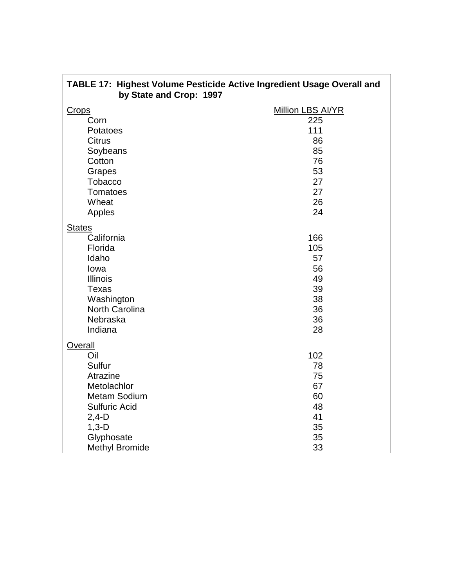| TABLE 17: Highest Volume Pesticide Active Ingredient Usage Overall and<br>by State and Crop: 1997        |                                          |  |  |
|----------------------------------------------------------------------------------------------------------|------------------------------------------|--|--|
| <b>Crops</b>                                                                                             | Million LBS AI/YR                        |  |  |
| Corn                                                                                                     | 225                                      |  |  |
| Potatoes                                                                                                 | 111                                      |  |  |
| <b>Citrus</b>                                                                                            | 86                                       |  |  |
| Soybeans                                                                                                 | 85                                       |  |  |
| Cotton                                                                                                   | 76                                       |  |  |
| Grapes                                                                                                   | 53                                       |  |  |
| <b>Tobacco</b>                                                                                           | 27                                       |  |  |
| <b>Tomatoes</b>                                                                                          | 27                                       |  |  |
| Wheat                                                                                                    | 26                                       |  |  |
| Apples                                                                                                   | 24                                       |  |  |
| <b>States</b><br>California<br>Florida<br>Idaho<br>lowa<br><b>Illinois</b><br><b>Texas</b><br>Washington | 166<br>105<br>57<br>56<br>49<br>39<br>38 |  |  |
| North Carolina                                                                                           | 36                                       |  |  |
| Nebraska                                                                                                 | 36                                       |  |  |
| Indiana                                                                                                  | 28                                       |  |  |
| <b>Overall</b><br>Oil<br>Sulfur<br>Atrazine                                                              | 102<br>78<br>75                          |  |  |
| Metolachlor                                                                                              | 67                                       |  |  |
| <b>Metam Sodium</b>                                                                                      | 60                                       |  |  |
| <b>Sulfuric Acid</b>                                                                                     | 48                                       |  |  |
| $2,4-D$                                                                                                  | 41                                       |  |  |
| $1,3-D$                                                                                                  | 35                                       |  |  |
| Glyphosate                                                                                               | 35                                       |  |  |
| <b>Methyl Bromide</b>                                                                                    | 33                                       |  |  |

 $\mathbf{r}$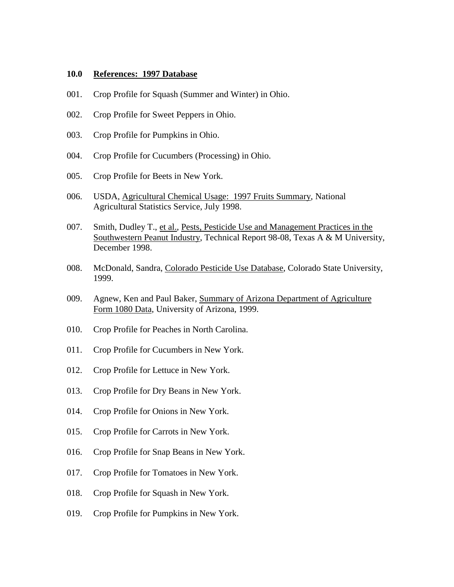#### **10.0 References: 1997 Database**

- 001. Crop Profile for Squash (Summer and Winter) in Ohio.
- 002. Crop Profile for Sweet Peppers in Ohio.
- 003. Crop Profile for Pumpkins in Ohio.
- 004. Crop Profile for Cucumbers (Processing) in Ohio.
- 005. Crop Profile for Beets in New York.
- 006. USDA, Agricultural Chemical Usage: 1997 Fruits Summary, National Agricultural Statistics Service, July 1998.
- 007. Smith, Dudley T., et al., Pests, Pesticide Use and Management Practices in the Southwestern Peanut Industry, Technical Report 98-08, Texas A & M University, December 1998.
- 008. McDonald, Sandra, Colorado Pesticide Use Database, Colorado State University, 1999.
- 009. Agnew, Ken and Paul Baker, Summary of Arizona Department of Agriculture Form 1080 Data, University of Arizona, 1999.
- 010. Crop Profile for Peaches in North Carolina.
- 011. Crop Profile for Cucumbers in New York.
- 012. Crop Profile for Lettuce in New York.
- 013. Crop Profile for Dry Beans in New York.
- 014. Crop Profile for Onions in New York.
- 015. Crop Profile for Carrots in New York.
- 016. Crop Profile for Snap Beans in New York.
- 017. Crop Profile for Tomatoes in New York.
- 018. Crop Profile for Squash in New York.
- 019. Crop Profile for Pumpkins in New York.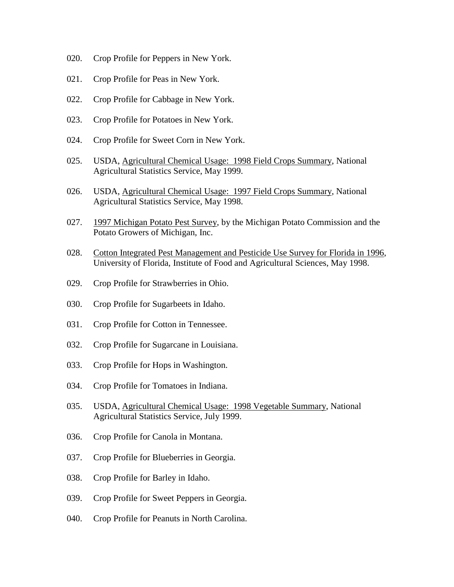- 020. Crop Profile for Peppers in New York.
- 021. Crop Profile for Peas in New York.
- 022. Crop Profile for Cabbage in New York.
- 023. Crop Profile for Potatoes in New York.
- 024. Crop Profile for Sweet Corn in New York.
- 025. USDA, Agricultural Chemical Usage: 1998 Field Crops Summary, National Agricultural Statistics Service, May 1999.
- 026. USDA, Agricultural Chemical Usage: 1997 Field Crops Summary, National Agricultural Statistics Service, May 1998.
- 027. 1997 Michigan Potato Pest Survey, by the Michigan Potato Commission and the Potato Growers of Michigan, Inc.
- 028. Cotton Integrated Pest Management and Pesticide Use Survey for Florida in 1996, University of Florida, Institute of Food and Agricultural Sciences, May 1998.
- 029. Crop Profile for Strawberries in Ohio.
- 030. Crop Profile for Sugarbeets in Idaho.
- 031. Crop Profile for Cotton in Tennessee.
- 032. Crop Profile for Sugarcane in Louisiana.
- 033. Crop Profile for Hops in Washington.
- 034. Crop Profile for Tomatoes in Indiana.
- 035. USDA, Agricultural Chemical Usage: 1998 Vegetable Summary, National Agricultural Statistics Service, July 1999.
- 036. Crop Profile for Canola in Montana.
- 037. Crop Profile for Blueberries in Georgia.
- 038. Crop Profile for Barley in Idaho.
- 039. Crop Profile for Sweet Peppers in Georgia.
- 040. Crop Profile for Peanuts in North Carolina.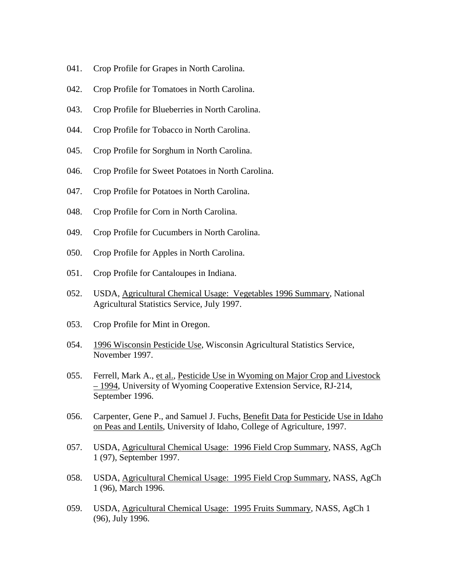- 041. Crop Profile for Grapes in North Carolina.
- 042. Crop Profile for Tomatoes in North Carolina.
- 043. Crop Profile for Blueberries in North Carolina.
- 044. Crop Profile for Tobacco in North Carolina.
- 045. Crop Profile for Sorghum in North Carolina.
- 046. Crop Profile for Sweet Potatoes in North Carolina.
- 047. Crop Profile for Potatoes in North Carolina.
- 048. Crop Profile for Corn in North Carolina.
- 049. Crop Profile for Cucumbers in North Carolina.
- 050. Crop Profile for Apples in North Carolina.
- 051. Crop Profile for Cantaloupes in Indiana.
- 052. USDA, Agricultural Chemical Usage: Vegetables 1996 Summary, National Agricultural Statistics Service, July 1997.
- 053. Crop Profile for Mint in Oregon.
- 054. 1996 Wisconsin Pesticide Use, Wisconsin Agricultural Statistics Service, November 1997.
- 055. Ferrell, Mark A., et al., Pesticide Use in Wyoming on Major Crop and Livestock – 1994, University of Wyoming Cooperative Extension Service, RJ-214, September 1996.
- 056. Carpenter, Gene P., and Samuel J. Fuchs, Benefit Data for Pesticide Use in Idaho on Peas and Lentils, University of Idaho, College of Agriculture, 1997.
- 057. USDA, Agricultural Chemical Usage: 1996 Field Crop Summary, NASS, AgCh 1 (97), September 1997.
- 058. USDA, Agricultural Chemical Usage: 1995 Field Crop Summary, NASS, AgCh 1 (96), March 1996.
- 059. USDA, Agricultural Chemical Usage: 1995 Fruits Summary, NASS, AgCh 1 (96), July 1996.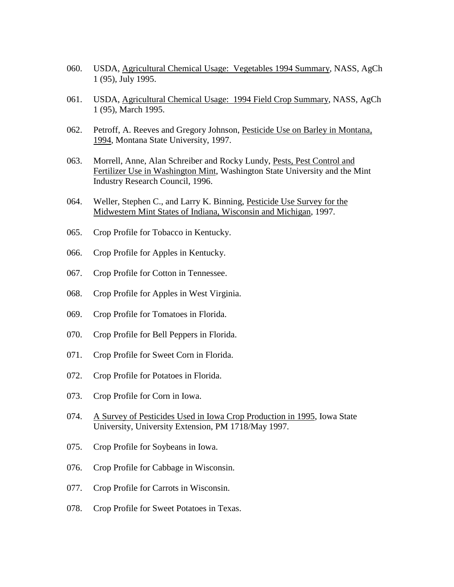- 060. USDA, Agricultural Chemical Usage: Vegetables 1994 Summary, NASS, AgCh 1 (95), July 1995.
- 061. USDA, Agricultural Chemical Usage: 1994 Field Crop Summary, NASS, AgCh 1 (95), March 1995.
- 062. Petroff, A. Reeves and Gregory Johnson, Pesticide Use on Barley in Montana, 1994, Montana State University, 1997.
- 063. Morrell, Anne, Alan Schreiber and Rocky Lundy, Pests, Pest Control and Fertilizer Use in Washington Mint, Washington State University and the Mint Industry Research Council, 1996.
- 064. Weller, Stephen C., and Larry K. Binning, Pesticide Use Survey for the Midwestern Mint States of Indiana, Wisconsin and Michigan, 1997.
- 065. Crop Profile for Tobacco in Kentucky.
- 066. Crop Profile for Apples in Kentucky.
- 067. Crop Profile for Cotton in Tennessee.
- 068. Crop Profile for Apples in West Virginia.
- 069. Crop Profile for Tomatoes in Florida.
- 070. Crop Profile for Bell Peppers in Florida.
- 071. Crop Profile for Sweet Corn in Florida.
- 072. Crop Profile for Potatoes in Florida.
- 073. Crop Profile for Corn in Iowa.
- 074. A Survey of Pesticides Used in Iowa Crop Production in 1995, Iowa State University, University Extension, PM 1718/May 1997.
- 075. Crop Profile for Soybeans in Iowa.
- 076. Crop Profile for Cabbage in Wisconsin.
- 077. Crop Profile for Carrots in Wisconsin.
- 078. Crop Profile for Sweet Potatoes in Texas.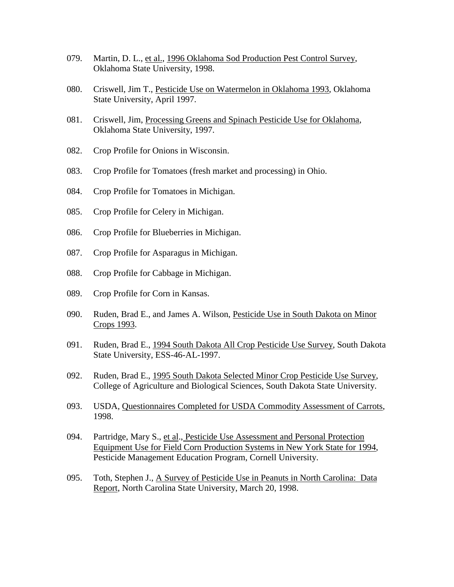- 079. Martin, D. L., et al., 1996 Oklahoma Sod Production Pest Control Survey, Oklahoma State University, 1998.
- 080. Criswell, Jim T., Pesticide Use on Watermelon in Oklahoma 1993, Oklahoma State University, April 1997.
- 081. Criswell, Jim, Processing Greens and Spinach Pesticide Use for Oklahoma, Oklahoma State University, 1997.
- 082. Crop Profile for Onions in Wisconsin.
- 083. Crop Profile for Tomatoes (fresh market and processing) in Ohio.
- 084. Crop Profile for Tomatoes in Michigan.
- 085. Crop Profile for Celery in Michigan.
- 086. Crop Profile for Blueberries in Michigan.
- 087. Crop Profile for Asparagus in Michigan.
- 088. Crop Profile for Cabbage in Michigan.
- 089. Crop Profile for Corn in Kansas.
- 090. Ruden, Brad E., and James A. Wilson, Pesticide Use in South Dakota on Minor Crops 1993.
- 091. Ruden, Brad E., 1994 South Dakota All Crop Pesticide Use Survey, South Dakota State University, ESS-46-AL-1997.
- 092. Ruden, Brad E., 1995 South Dakota Selected Minor Crop Pesticide Use Survey, College of Agriculture and Biological Sciences, South Dakota State University.
- 093. USDA, Questionnaires Completed for USDA Commodity Assessment of Carrots, 1998.
- 094. Partridge, Mary S., et al., Pesticide Use Assessment and Personal Protection Equipment Use for Field Corn Production Systems in New York State for 1994, Pesticide Management Education Program, Cornell University.
- 095. Toth, Stephen J., A Survey of Pesticide Use in Peanuts in North Carolina: Data Report, North Carolina State University, March 20, 1998.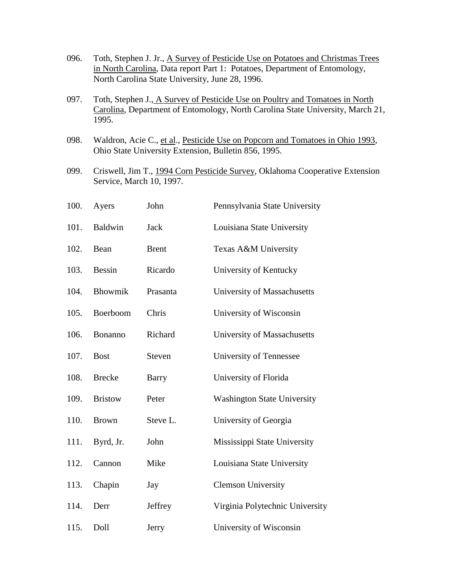| 096. | Toth, Stephen J. Jr., A Survey of Pesticide Use on Potatoes and Christmas Trees<br>in North Carolina, Data report Part 1: Potatoes, Department of Entomology,<br>North Carolina State University, June 28, 1996. |                |                                    |  |
|------|------------------------------------------------------------------------------------------------------------------------------------------------------------------------------------------------------------------|----------------|------------------------------------|--|
| 097. | Toth, Stephen J., A Survey of Pesticide Use on Poultry and Tomatoes in North<br>Carolina, Department of Entomology, North Carolina State University, March 21,<br>1995.                                          |                |                                    |  |
| 098. | Waldron, Acie C., et al., Pesticide Use on Popcorn and Tomatoes in Ohio 1993,<br>Ohio State University Extension, Bulletin 856, 1995.                                                                            |                |                                    |  |
| 099. | Criswell, Jim T., 1994 Corn Pesticide Survey, Oklahoma Cooperative Extension<br>Service, March 10, 1997.                                                                                                         |                |                                    |  |
| 100. | Ayers                                                                                                                                                                                                            | John           | Pennsylvania State University      |  |
| 101. | <b>Baldwin</b>                                                                                                                                                                                                   | Jack           | Louisiana State University         |  |
| 102. | Bean                                                                                                                                                                                                             | <b>Brent</b>   | Texas A&M University               |  |
| 103. | <b>Bessin</b>                                                                                                                                                                                                    | Ricardo        | University of Kentucky             |  |
| 104. | Bhowmik                                                                                                                                                                                                          | Prasanta       | University of Massachusetts        |  |
| 105. | Boerboom                                                                                                                                                                                                         | Chris          | University of Wisconsin            |  |
| 106. | Bonanno                                                                                                                                                                                                          | Richard        | University of Massachusetts        |  |
| 107. | <b>Bost</b>                                                                                                                                                                                                      | Steven         | University of Tennessee            |  |
| 108. | <b>Brecke</b>                                                                                                                                                                                                    | Barry          | University of Florida              |  |
| 109. | <b>Bristow</b>                                                                                                                                                                                                   | Peter          | <b>Washington State University</b> |  |
| 110. | <b>Brown</b>                                                                                                                                                                                                     | Steve L.       | University of Georgia              |  |
| 111. | Byrd, Jr.                                                                                                                                                                                                        | John           | Mississippi State University       |  |
| 112. | Cannon                                                                                                                                                                                                           | Mike           | Louisiana State University         |  |
| 113. | Chapin                                                                                                                                                                                                           | Jay            | <b>Clemson University</b>          |  |
| 114. | Derr                                                                                                                                                                                                             | <b>Jeffrey</b> | Virginia Polytechnic University    |  |
| 115. | Doll<br>University of Wisconsin<br>Jerry                                                                                                                                                                         |                |                                    |  |
|      |                                                                                                                                                                                                                  |                |                                    |  |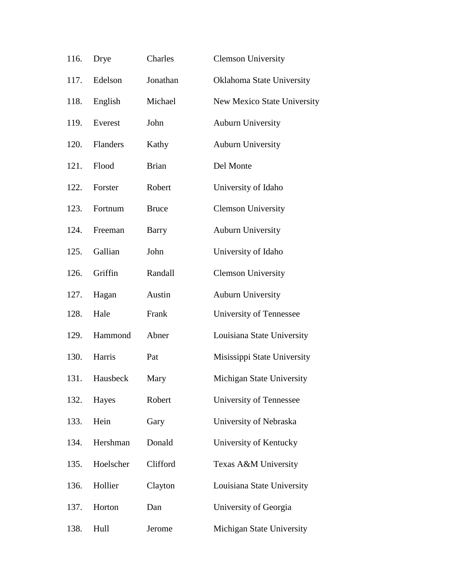| 116. | Drye      | Charles      | <b>Clemson University</b>   |
|------|-----------|--------------|-----------------------------|
| 117. | Edelson   | Jonathan     | Oklahoma State University   |
| 118. | English   | Michael      | New Mexico State University |
| 119. | Everest   | John         | <b>Auburn University</b>    |
| 120. | Flanders  | Kathy        | <b>Auburn University</b>    |
| 121. | Flood     | <b>Brian</b> | Del Monte                   |
| 122. | Forster   | Robert       | University of Idaho         |
| 123. | Fortnum   | <b>Bruce</b> | <b>Clemson University</b>   |
| 124. | Freeman   | <b>Barry</b> | <b>Auburn University</b>    |
| 125. | Gallian   | John         | University of Idaho         |
| 126. | Griffin   | Randall      | <b>Clemson University</b>   |
| 127. | Hagan     | Austin       | <b>Auburn University</b>    |
| 128. | Hale      | Frank        | University of Tennessee     |
| 129. | Hammond   | Abner        | Louisiana State University  |
| 130. | Harris    | Pat          | Misissippi State University |
| 131. | Hausbeck  | Mary         | Michigan State University   |
| 132. | Hayes     | Robert       | University of Tennessee     |
| 133. | Hein      | Gary         | University of Nebraska      |
| 134. | Hershman  | Donald       | University of Kentucky      |
| 135. | Hoelscher | Clifford     | Texas A&M University        |
| 136. | Hollier   | Clayton      | Louisiana State University  |
| 137. | Horton    | Dan          | University of Georgia       |
| 138. | Hull      | Jerome       | Michigan State University   |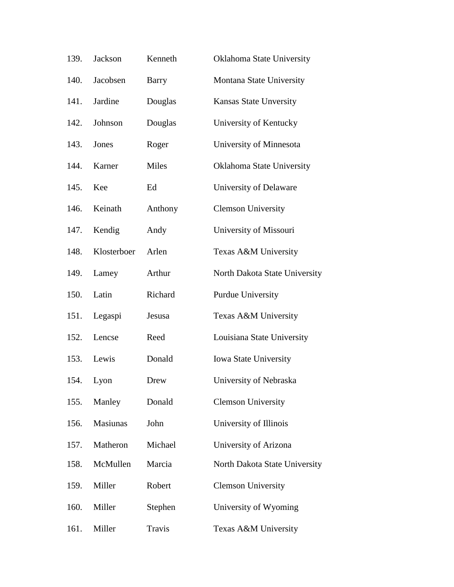| 139. | Jackson     | Kenneth | Oklahoma State University     |
|------|-------------|---------|-------------------------------|
| 140. | Jacobsen    | Barry   | Montana State University      |
| 141. | Jardine     | Douglas | <b>Kansas State Unversity</b> |
| 142. | Johnson     | Douglas | University of Kentucky        |
| 143. | Jones       | Roger   | University of Minnesota       |
| 144. | Karner      | Miles   | Oklahoma State University     |
| 145. | Kee         | Ed      | University of Delaware        |
| 146. | Keinath     | Anthony | <b>Clemson University</b>     |
| 147. | Kendig      | Andy    | University of Missouri        |
| 148. | Klosterboer | Arlen   | Texas A&M University          |
| 149. | Lamey       | Arthur  | North Dakota State University |
| 150. | Latin       | Richard | Purdue University             |
| 151. | Legaspi     | Jesusa  | Texas A&M University          |
| 152. | Lencse      | Reed    | Louisiana State University    |
| 153. | Lewis       | Donald  | <b>Iowa State University</b>  |
| 154. | Lyon        | Drew    | University of Nebraska        |
| 155. | Manley      | Donald  | <b>Clemson University</b>     |
| 156. | Masiunas    | John    | University of Illinois        |
| 157. | Matheron    | Michael | University of Arizona         |
| 158. | McMullen    | Marcia  | North Dakota State University |
| 159. | Miller      | Robert  | <b>Clemson University</b>     |
| 160. | Miller      | Stephen | University of Wyoming         |
| 161. | Miller      | Travis  | Texas A&M University          |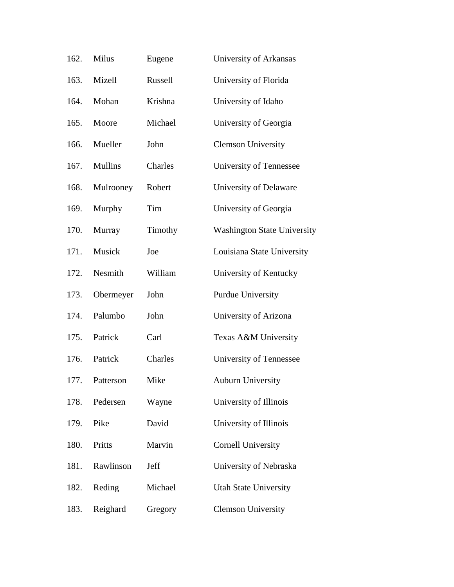| 162. | Milus          | Eugene  | University of Arkansas             |
|------|----------------|---------|------------------------------------|
| 163. | Mizell         | Russell | University of Florida              |
| 164. | Mohan          | Krishna | University of Idaho                |
| 165. | Moore          | Michael | University of Georgia              |
| 166. | Mueller        | John    | <b>Clemson University</b>          |
| 167. | <b>Mullins</b> | Charles | University of Tennessee            |
| 168. | Mulrooney      | Robert  | University of Delaware             |
| 169. | Murphy         | Tim     | University of Georgia              |
| 170. | Murray         | Timothy | <b>Washington State University</b> |
| 171. | Musick         | Joe     | Louisiana State University         |
| 172. | Nesmith        | William | University of Kentucky             |
| 173. | Obermeyer      | John    | <b>Purdue University</b>           |
| 174. | Palumbo        | John    | University of Arizona              |
| 175. | Patrick        | Carl    | Texas A&M University               |
| 176. | Patrick        | Charles | University of Tennessee            |
| 177. | Patterson      | Mike    | <b>Auburn University</b>           |
| 178. | Pedersen       | Wayne   | University of Illinois             |
| 179. | Pike           | David   | University of Illinois             |
| 180. | Pritts         | Marvin  | <b>Cornell University</b>          |
| 181. | Rawlinson      | Jeff    | University of Nebraska             |
| 182. | Reding         | Michael | <b>Utah State University</b>       |
| 183. | Reighard       | Gregory | <b>Clemson University</b>          |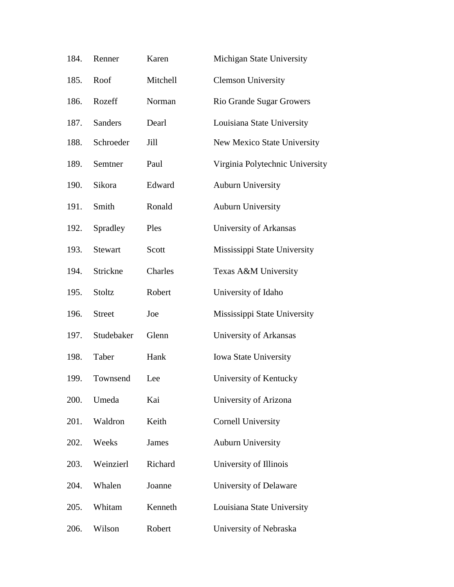| 184. | Renner         | Karen    | Michigan State University       |
|------|----------------|----------|---------------------------------|
| 185. | Roof           | Mitchell | <b>Clemson University</b>       |
| 186. | Rozeff         | Norman   | Rio Grande Sugar Growers        |
| 187. | <b>Sanders</b> | Dearl    | Louisiana State University      |
| 188. | Schroeder      | Jill     | New Mexico State University     |
| 189. | Semtner        | Paul     | Virginia Polytechnic University |
| 190. | Sikora         | Edward   | <b>Auburn University</b>        |
| 191. | Smith          | Ronald   | <b>Auburn University</b>        |
| 192. | Spradley       | Ples     | University of Arkansas          |
| 193. | <b>Stewart</b> | Scott    | Mississippi State University    |
| 194. | Strickne       | Charles  | Texas A&M University            |
| 195. | Stoltz         | Robert   | University of Idaho             |
| 196. | <b>Street</b>  | Joe      | Mississippi State University    |
| 197. | Studebaker     | Glenn    | University of Arkansas          |
| 198. | Taber          | Hank     | <b>Iowa State University</b>    |
| 199. | Townsend       | Lee      | University of Kentucky          |
| 200. | Umeda          | Kai      | University of Arizona           |
| 201. | Waldron        | Keith    | <b>Cornell University</b>       |
| 202. | Weeks          | James    | <b>Auburn University</b>        |
| 203. | Weinzierl      | Richard  | University of Illinois          |
| 204. | Whalen         | Joanne   | University of Delaware          |
| 205. | Whitam         | Kenneth  | Louisiana State University      |
| 206. | Wilson         | Robert   | University of Nebraska          |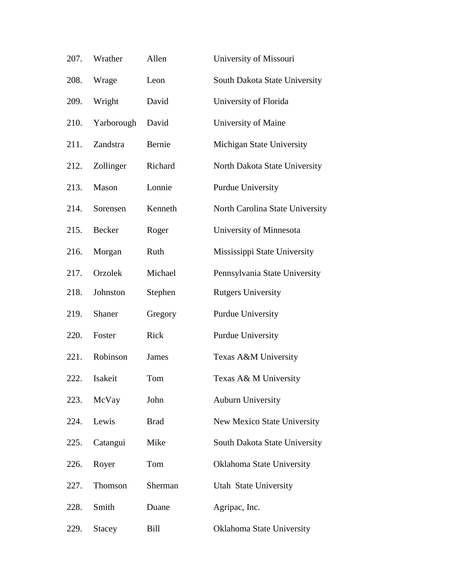| 207. | Wrather       | Allen        | University of Missouri          |
|------|---------------|--------------|---------------------------------|
| 208. | Wrage         | Leon         | South Dakota State University   |
| 209. | Wright        | David        | University of Florida           |
| 210. | Yarborough    | David        | University of Maine             |
| 211. | Zandstra      | Bernie       | Michigan State University       |
| 212. | Zollinger     | Richard      | North Dakota State University   |
| 213. | Mason         | Lonnie       | Purdue University               |
| 214. | Sorensen      | Kenneth      | North Carolina State University |
| 215. | Becker        | Roger        | University of Minnesota         |
| 216. | Morgan        | Ruth         | Mississippi State University    |
| 217. | Orzolek       | Michael      | Pennsylvania State University   |
| 218. | Johnston      | Stephen      | <b>Rutgers University</b>       |
| 219. | Shaner        | Gregory      | <b>Purdue University</b>        |
| 220. | Foster        | Rick         | Purdue University               |
| 221. | Robinson      | <b>James</b> | Texas A&M University            |
| 222. | Isakeit       | Tom          | Texas A& M University           |
| 223. | McVay         | John         | <b>Auburn University</b>        |
| 224. | Lewis         | <b>Brad</b>  | New Mexico State University     |
| 225. | Catangui      | Mike         | South Dakota State University   |
| 226. | Royer         | Tom          | Oklahoma State University       |
| 227. | Thomson       | Sherman      | Utah State University           |
| 228. | Smith         | Duane        | Agripac, Inc.                   |
| 229. | <b>Stacey</b> | Bill         | Oklahoma State University       |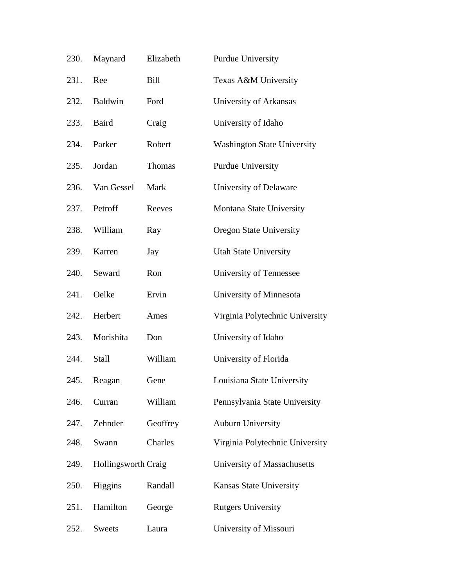| 230. | Maynard                    | Elizabeth | <b>Purdue University</b>           |
|------|----------------------------|-----------|------------------------------------|
| 231. | Ree                        | Bill      | Texas A&M University               |
| 232. | <b>Baldwin</b>             | Ford      | University of Arkansas             |
| 233. | <b>Baird</b>               | Craig     | University of Idaho                |
| 234. | Parker                     | Robert    | <b>Washington State University</b> |
| 235. | Jordan                     | Thomas    | Purdue University                  |
| 236. | Van Gessel                 | Mark      | University of Delaware             |
| 237. | Petroff                    | Reeves    | Montana State University           |
| 238. | William                    | Ray       | <b>Oregon State University</b>     |
| 239. | Karren                     | Jay       | <b>Utah State University</b>       |
| 240. | Seward                     | Ron       | University of Tennessee            |
| 241. | Oelke                      | Ervin     | University of Minnesota            |
| 242. | Herbert                    | Ames      | Virginia Polytechnic University    |
| 243. | Morishita                  | Don       | University of Idaho                |
| 244. | Stall                      | William   | University of Florida              |
| 245. | Reagan                     | Gene      | Louisiana State University         |
| 246. | Curran                     | William   | Pennsylvania State University      |
| 247. | Zehnder                    | Geoffrey  | <b>Auburn University</b>           |
| 248. | Swann                      | Charles   | Virginia Polytechnic University    |
| 249. | <b>Hollingsworth Craig</b> |           | University of Massachusetts        |
| 250. | Higgins                    | Randall   | Kansas State University            |
| 251. | Hamilton                   | George    | <b>Rutgers University</b>          |
| 252. | Sweets                     | Laura     | University of Missouri             |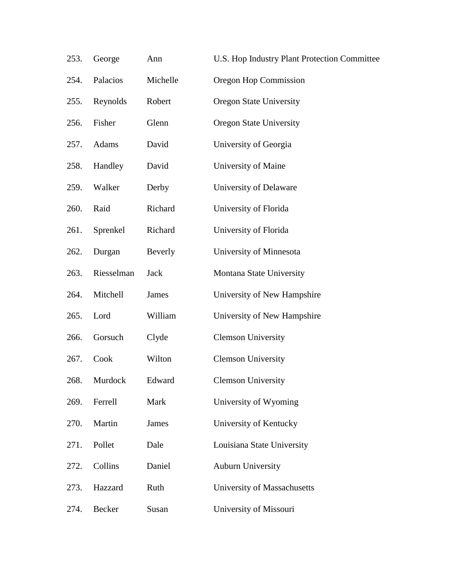| 253. | George     | Ann          | U.S. Hop Industry Plant Protection Committee |
|------|------------|--------------|----------------------------------------------|
| 254. | Palacios   | Michelle     | Oregon Hop Commission                        |
| 255. | Reynolds   | Robert       | <b>Oregon State University</b>               |
| 256. | Fisher     | Glenn        | <b>Oregon State University</b>               |
| 257. | Adams      | David        | University of Georgia                        |
| 258. | Handley    | David        | University of Maine                          |
| 259. | Walker     | Derby        | University of Delaware                       |
| 260. | Raid       | Richard      | University of Florida                        |
| 261. | Sprenkel   | Richard      | University of Florida                        |
| 262. | Durgan     | Beverly      | University of Minnesota                      |
| 263. | Riesselman | <b>Jack</b>  | Montana State University                     |
| 264. | Mitchell   | <b>James</b> | University of New Hampshire                  |
| 265. | Lord       | William      | University of New Hampshire                  |
| 266. | Gorsuch    | Clyde        | <b>Clemson University</b>                    |
| 267. | Cook       | Wilton       | <b>Clemson University</b>                    |
| 268. | Murdock    | Edward       | <b>Clemson University</b>                    |
| 269. | Ferrell    | Mark         | University of Wyoming                        |
| 270. | Martin     | <b>James</b> | University of Kentucky                       |
| 271. | Pollet     | Dale         | Louisiana State University                   |
| 272. | Collins    | Daniel       | <b>Auburn University</b>                     |
| 273. | Hazzard    | Ruth         | University of Massachusetts                  |
| 274. | Becker     | Susan        | University of Missouri                       |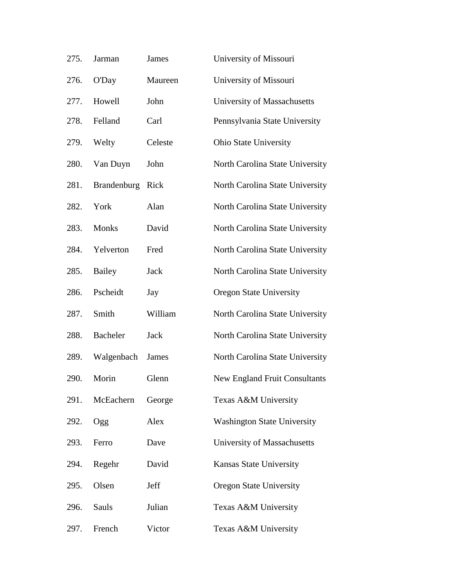| 275. | Jarman             | James       | University of Missouri               |
|------|--------------------|-------------|--------------------------------------|
| 276. | O'Day              | Maureen     | University of Missouri               |
| 277. | Howell             | John        | University of Massachusetts          |
| 278. | Felland            | Carl        | Pennsylvania State University        |
| 279. | Welty              | Celeste     | <b>Ohio State University</b>         |
| 280. | Van Duyn           | John        | North Carolina State University      |
| 281. | <b>Brandenburg</b> | Rick        | North Carolina State University      |
| 282. | York               | Alan        | North Carolina State University      |
| 283. | Monks              | David       | North Carolina State University      |
| 284. | Yelverton          | Fred        | North Carolina State University      |
| 285. | Bailey             | <b>Jack</b> | North Carolina State University      |
| 286. | Pscheidt           | Jay         | <b>Oregon State University</b>       |
| 287. | Smith              | William     | North Carolina State University      |
| 288. | <b>Bacheler</b>    | Jack        | North Carolina State University      |
| 289. | Walgenbach         | James       | North Carolina State University      |
| 290. | Morin              | Glenn       | <b>New England Fruit Consultants</b> |
| 291. | McEachern          | George      | Texas A&M University                 |
| 292. | Ogg                | Alex        | <b>Washington State University</b>   |
| 293. | Ferro              | Dave        | University of Massachusetts          |
| 294. | Regehr             | David       | <b>Kansas State University</b>       |
| 295. | Olsen              | Jeff        | <b>Oregon State University</b>       |
| 296. | Sauls              | Julian      | Texas A&M University                 |
| 297. | French             | Victor      | Texas A&M University                 |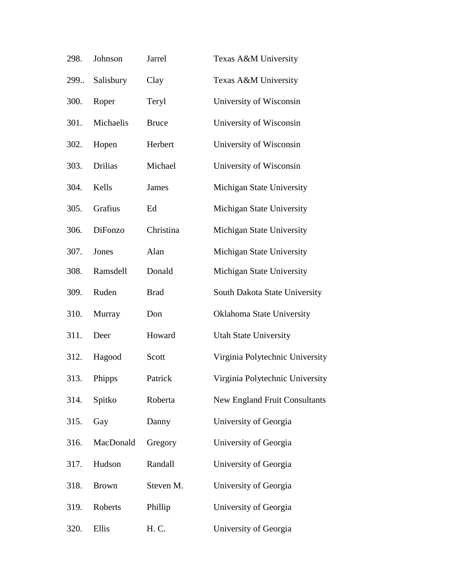| 298. | Johnson        | Jarrel       | Texas A&M University            |
|------|----------------|--------------|---------------------------------|
| 299. | Salisbury      | Clay         | Texas A&M University            |
| 300. | Roper          | Teryl        | University of Wisconsin         |
| 301. | Michaelis      | <b>Bruce</b> | University of Wisconsin         |
| 302. | Hopen          | Herbert      | University of Wisconsin         |
| 303. | <b>Drilias</b> | Michael      | University of Wisconsin         |
| 304. | Kells          | <b>James</b> | Michigan State University       |
| 305. | Grafius        | Ed           | Michigan State University       |
| 306. | DiFonzo        | Christina    | Michigan State University       |
| 307. | Jones          | Alan         | Michigan State University       |
| 308. | Ramsdell       | Donald       | Michigan State University       |
| 309. | Ruden          | <b>Brad</b>  | South Dakota State University   |
| 310. | Murray         | Don          | Oklahoma State University       |
| 311. | Deer           | Howard       | <b>Utah State University</b>    |
| 312. | Hagood         | Scott        | Virginia Polytechnic University |
| 313. | Phipps         | Patrick      | Virginia Polytechnic University |
| 314. | Spitko         | Roberta      | New England Fruit Consultants   |
| 315. | Gay            | Danny        | University of Georgia           |
| 316. | MacDonald      | Gregory      | University of Georgia           |
| 317. | Hudson         | Randall      | University of Georgia           |
| 318. | <b>Brown</b>   | Steven M.    | University of Georgia           |
| 319. | Roberts        | Phillip      | University of Georgia           |
| 320. | Ellis          | H. C.        | University of Georgia           |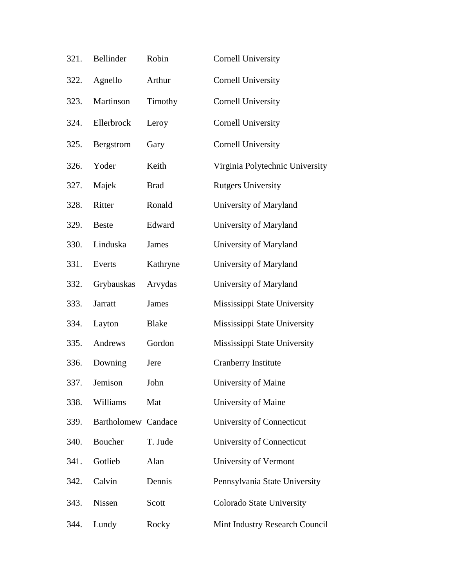| 321. | Bellinder           | Robin        | <b>Cornell University</b>       |
|------|---------------------|--------------|---------------------------------|
| 322. | Agnello             | Arthur       | <b>Cornell University</b>       |
| 323. | Martinson           | Timothy      | <b>Cornell University</b>       |
| 324. | Ellerbrock          | Leroy        | <b>Cornell University</b>       |
| 325. | <b>Bergstrom</b>    | Gary         | <b>Cornell University</b>       |
| 326. | Yoder               | Keith        | Virginia Polytechnic University |
| 327. | Majek               | <b>Brad</b>  | <b>Rutgers University</b>       |
| 328. | Ritter              | Ronald       | University of Maryland          |
| 329. | <b>Beste</b>        | Edward       | University of Maryland          |
| 330. | Linduska            | <b>James</b> | University of Maryland          |
| 331. | Everts              | Kathryne     | University of Maryland          |
| 332. | Grybauskas          | Arvydas      | University of Maryland          |
| 333. | Jarratt             | <b>James</b> | Mississippi State University    |
| 334. | Layton              | <b>Blake</b> | Mississippi State University    |
| 335. | Andrews             | Gordon       | Mississippi State University    |
| 336. | Downing             | Jere         | Cranberry Institute             |
| 337. | Jemison             | John         | University of Maine             |
| 338. | Williams            | Mat          | University of Maine             |
| 339. | Bartholomew Candace |              | University of Connecticut       |
| 340. | Boucher             | T. Jude      | University of Connecticut       |
| 341. | Gotlieb             | Alan         | University of Vermont           |
| 342. | Calvin              | Dennis       | Pennsylvania State University   |
| 343. | <b>Nissen</b>       | Scott        | Colorado State University       |
| 344. | Lundy               | Rocky        | Mint Industry Research Council  |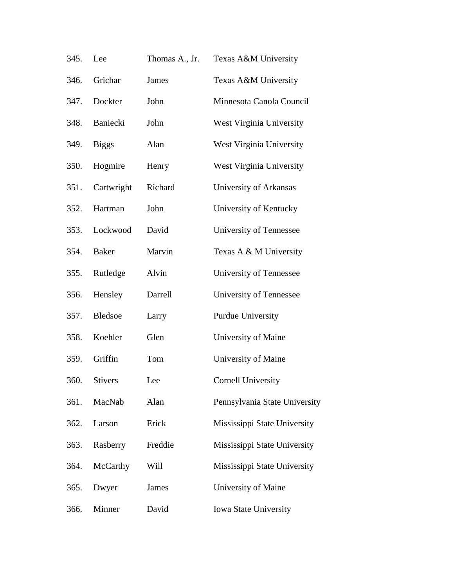| 345. | Lee            | Thomas A., Jr. | Texas A&M University          |
|------|----------------|----------------|-------------------------------|
| 346. | Grichar        | <b>James</b>   | Texas A&M University          |
| 347. | Dockter        | John           | Minnesota Canola Council      |
| 348. | Baniecki       | John           | West Virginia University      |
| 349. | <b>Biggs</b>   | Alan           | West Virginia University      |
| 350. | Hogmire        | Henry          | West Virginia University      |
| 351. | Cartwright     | Richard        | University of Arkansas        |
| 352. | Hartman        | John           | University of Kentucky        |
| 353. | Lockwood       | David          | University of Tennessee       |
| 354. | <b>Baker</b>   | Marvin         | Texas A & M University        |
| 355. | Rutledge       | Alvin          | University of Tennessee       |
| 356. | Hensley        | Darrell        | University of Tennessee       |
| 357. | <b>Bledsoe</b> | Larry          | Purdue University             |
| 358. | Koehler        | Glen           | University of Maine           |
| 359. | Griffin        | Tom            | University of Maine           |
| 360. | <b>Stivers</b> | Lee            | <b>Cornell University</b>     |
| 361. | MacNab         | Alan           | Pennsylvania State University |
| 362. | Larson         | Erick          | Mississippi State University  |
| 363. | Rasberry       | Freddie        | Mississippi State University  |
| 364. | McCarthy       | Will           | Mississippi State University  |
| 365. | Dwyer          | <b>James</b>   | University of Maine           |
| 366. | Minner         | David          | <b>Iowa State University</b>  |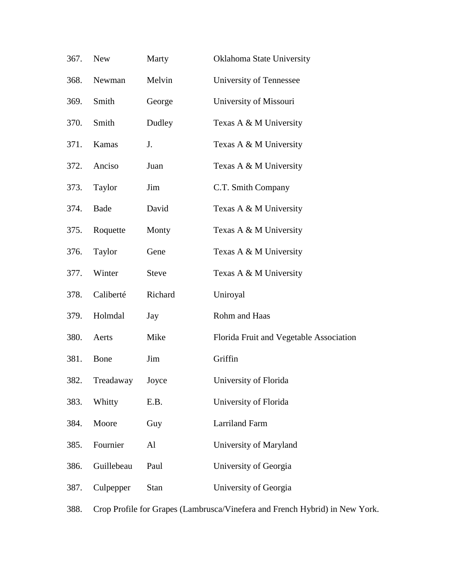| 367. | <b>New</b>                                                                  | Marty        | Oklahoma State University               |
|------|-----------------------------------------------------------------------------|--------------|-----------------------------------------|
| 368. | Newman                                                                      | Melvin       | University of Tennessee                 |
| 369. | Smith                                                                       | George       | University of Missouri                  |
| 370. | Smith                                                                       | Dudley       | Texas A & M University                  |
| 371. | Kamas                                                                       | J.           | Texas A & M University                  |
| 372. | Anciso                                                                      | Juan         | Texas A & M University                  |
| 373. | Taylor                                                                      | Jim          | C.T. Smith Company                      |
| 374. | Bade                                                                        | David        | Texas A & M University                  |
| 375. | Roquette                                                                    | Monty        | Texas A & M University                  |
| 376. | Taylor                                                                      | Gene         | Texas A & M University                  |
| 377. | Winter                                                                      | <b>Steve</b> | Texas A & M University                  |
| 378. | Caliberté                                                                   | Richard      | Uniroyal                                |
| 379. | Holmdal                                                                     | Jay          | Rohm and Haas                           |
| 380. | Aerts                                                                       | Mike         | Florida Fruit and Vegetable Association |
| 381. | Bone                                                                        | Jim          | Griffin                                 |
| 382. | Treadaway                                                                   | Joyce        | University of Florida                   |
| 383. | Whitty                                                                      | E.B.         | University of Florida                   |
| 384. | Moore                                                                       | Guy          | Larriland Farm                          |
| 385. | Fournier                                                                    | Al           | University of Maryland                  |
| 386. | Guillebeau                                                                  | Paul         | University of Georgia                   |
| 387. | Culpepper                                                                   | <b>Stan</b>  | University of Georgia                   |
| 388. | Crop Profile for Grapes (Lambrusca/Vinefera and French Hybrid) in New York. |              |                                         |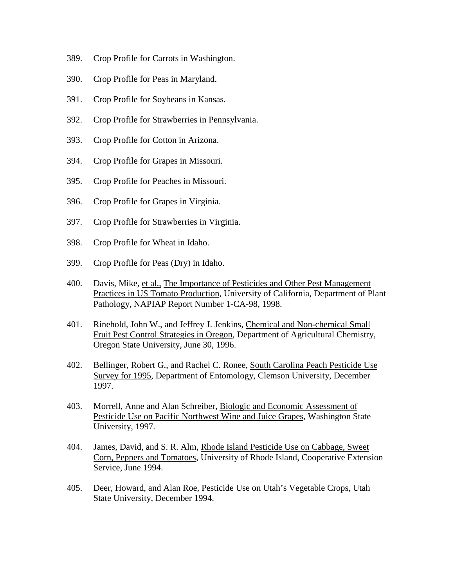- 389. Crop Profile for Carrots in Washington.
- 390. Crop Profile for Peas in Maryland.
- 391. Crop Profile for Soybeans in Kansas.
- 392. Crop Profile for Strawberries in Pennsylvania.
- 393. Crop Profile for Cotton in Arizona.
- 394. Crop Profile for Grapes in Missouri.
- 395. Crop Profile for Peaches in Missouri.
- 396. Crop Profile for Grapes in Virginia.
- 397. Crop Profile for Strawberries in Virginia.
- 398. Crop Profile for Wheat in Idaho.
- 399. Crop Profile for Peas (Dry) in Idaho.
- 400. Davis, Mike, et al., The Importance of Pesticides and Other Pest Management Practices in US Tomato Production, University of California, Department of Plant Pathology, NAPIAP Report Number 1-CA-98, 1998.
- 401. Rinehold, John W., and Jeffrey J. Jenkins, Chemical and Non-chemical Small Fruit Pest Control Strategies in Oregon, Department of Agricultural Chemistry, Oregon State University, June 30, 1996.
- 402. Bellinger, Robert G., and Rachel C. Ronee, South Carolina Peach Pesticide Use Survey for 1995, Department of Entomology, Clemson University, December 1997.
- 403. Morrell, Anne and Alan Schreiber, Biologic and Economic Assessment of Pesticide Use on Pacific Northwest Wine and Juice Grapes, Washington State University, 1997.
- 404. James, David, and S. R. Alm, Rhode Island Pesticide Use on Cabbage, Sweet Corn, Peppers and Tomatoes, University of Rhode Island, Cooperative Extension Service, June 1994.
- 405. Deer, Howard, and Alan Roe, Pesticide Use on Utah's Vegetable Crops, Utah State University, December 1994.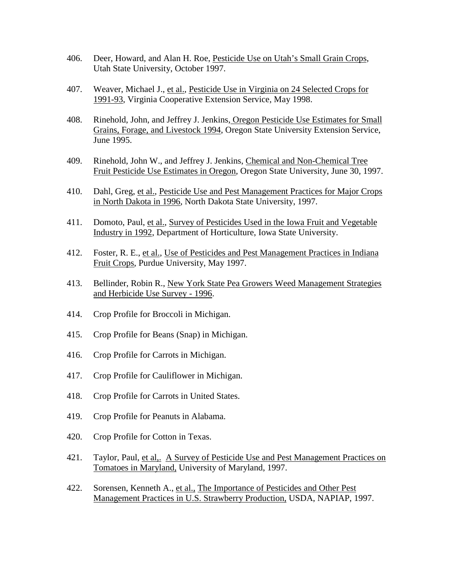- 406. Deer, Howard, and Alan H. Roe, Pesticide Use on Utah's Small Grain Crops, Utah State University, October 1997.
- 407. Weaver, Michael J., et al., Pesticide Use in Virginia on 24 Selected Crops for 1991-93, Virginia Cooperative Extension Service, May 1998.
- 408. Rinehold, John, and Jeffrey J. Jenkins, Oregon Pesticide Use Estimates for Small Grains, Forage, and Livestock 1994, Oregon State University Extension Service, June 1995.
- 409. Rinehold, John W., and Jeffrey J. Jenkins, Chemical and Non-Chemical Tree Fruit Pesticide Use Estimates in Oregon, Oregon State University, June 30, 1997.
- 410. Dahl, Greg, et al., Pesticide Use and Pest Management Practices for Major Crops in North Dakota in 1996, North Dakota State University, 1997.
- 411. Domoto, Paul, et al., Survey of Pesticides Used in the Iowa Fruit and Vegetable Industry in 1992, Department of Horticulture, Iowa State University.
- 412. Foster, R. E., et al., Use of Pesticides and Pest Management Practices in Indiana Fruit Crops, Purdue University, May 1997.
- 413. Bellinder, Robin R., New York State Pea Growers Weed Management Strategies and Herbicide Use Survey - 1996.
- 414. Crop Profile for Broccoli in Michigan.
- 415. Crop Profile for Beans (Snap) in Michigan.
- 416. Crop Profile for Carrots in Michigan.
- 417. Crop Profile for Cauliflower in Michigan.
- 418. Crop Profile for Carrots in United States.
- 419. Crop Profile for Peanuts in Alabama.
- 420. Crop Profile for Cotton in Texas.
- 421. Taylor, Paul, et al,. A Survey of Pesticide Use and Pest Management Practices on Tomatoes in Maryland, University of Maryland, 1997.
- 422. Sorensen, Kenneth A., et al., The Importance of Pesticides and Other Pest Management Practices in U.S. Strawberry Production, USDA, NAPIAP, 1997.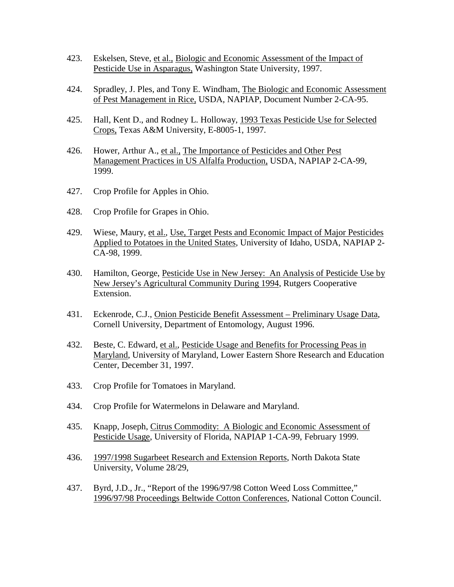- 423. Eskelsen, Steve, et al., Biologic and Economic Assessment of the Impact of Pesticide Use in Asparagus, Washington State University, 1997.
- 424. Spradley, J. Ples, and Tony E. Windham, The Biologic and Economic Assessment of Pest Management in Rice, USDA, NAPIAP, Document Number 2-CA-95.
- 425. Hall, Kent D., and Rodney L. Holloway, 1993 Texas Pesticide Use for Selected Crops, Texas A&M University, E-8005-1, 1997.
- 426. Hower, Arthur A., et al., The Importance of Pesticides and Other Pest Management Practices in US Alfalfa Production, USDA, NAPIAP 2-CA-99, 1999.
- 427. Crop Profile for Apples in Ohio.
- 428. Crop Profile for Grapes in Ohio.
- 429. Wiese, Maury, et al., Use, Target Pests and Economic Impact of Major Pesticides Applied to Potatoes in the United States, University of Idaho, USDA, NAPIAP 2- CA-98, 1999.
- 430. Hamilton, George, Pesticide Use in New Jersey: An Analysis of Pesticide Use by New Jersey's Agricultural Community During 1994, Rutgers Cooperative Extension.
- 431. Eckenrode, C.J., Onion Pesticide Benefit Assessment Preliminary Usage Data, Cornell University, Department of Entomology, August 1996.
- 432. Beste, C. Edward, et al., Pesticide Usage and Benefits for Processing Peas in Maryland, University of Maryland, Lower Eastern Shore Research and Education Center, December 31, 1997.
- 433. Crop Profile for Tomatoes in Maryland.
- 434. Crop Profile for Watermelons in Delaware and Maryland.
- 435. Knapp, Joseph, Citrus Commodity: A Biologic and Economic Assessment of Pesticide Usage, University of Florida, NAPIAP 1-CA-99, February 1999.
- 436. 1997/1998 Sugarbeet Research and Extension Reports, North Dakota State University, Volume 28/29,
- 437. Byrd, J.D., Jr., "Report of the 1996/97/98 Cotton Weed Loss Committee," 1996/97/98 Proceedings Beltwide Cotton Conferences, National Cotton Council.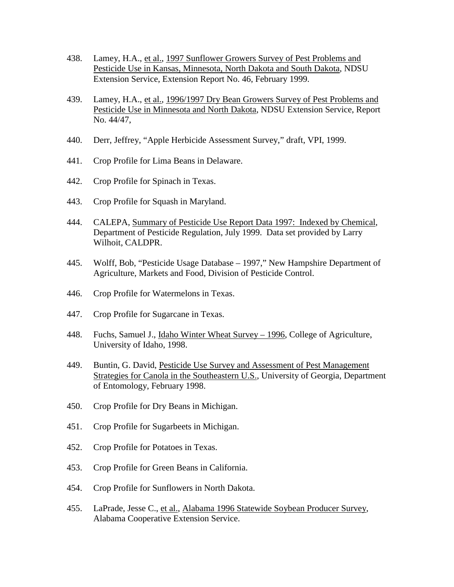- 438. Lamey, H.A., et al., 1997 Sunflower Growers Survey of Pest Problems and Pesticide Use in Kansas, Minnesota, North Dakota and South Dakota, NDSU Extension Service, Extension Report No. 46, February 1999.
- 439. Lamey, H.A., et al., 1996/1997 Dry Bean Growers Survey of Pest Problems and Pesticide Use in Minnesota and North Dakota, NDSU Extension Service, Report No. 44/47,
- 440. Derr, Jeffrey, "Apple Herbicide Assessment Survey," draft, VPI, 1999.
- 441. Crop Profile for Lima Beans in Delaware.
- 442. Crop Profile for Spinach in Texas.
- 443. Crop Profile for Squash in Maryland.
- 444. CALEPA, Summary of Pesticide Use Report Data 1997: Indexed by Chemical, Department of Pesticide Regulation, July 1999. Data set provided by Larry Wilhoit, CALDPR.
- 445. Wolff, Bob, "Pesticide Usage Database 1997," New Hampshire Department of Agriculture, Markets and Food, Division of Pesticide Control.
- 446. Crop Profile for Watermelons in Texas.
- 447. Crop Profile for Sugarcane in Texas.
- 448. Fuchs, Samuel J., Idaho Winter Wheat Survey 1996, College of Agriculture, University of Idaho, 1998.
- 449. Buntin, G. David, Pesticide Use Survey and Assessment of Pest Management Strategies for Canola in the Southeastern U.S., University of Georgia, Department of Entomology, February 1998.
- 450. Crop Profile for Dry Beans in Michigan.
- 451. Crop Profile for Sugarbeets in Michigan.
- 452. Crop Profile for Potatoes in Texas.
- 453. Crop Profile for Green Beans in California.
- 454. Crop Profile for Sunflowers in North Dakota.
- 455. LaPrade, Jesse C., et al., Alabama 1996 Statewide Soybean Producer Survey, Alabama Cooperative Extension Service.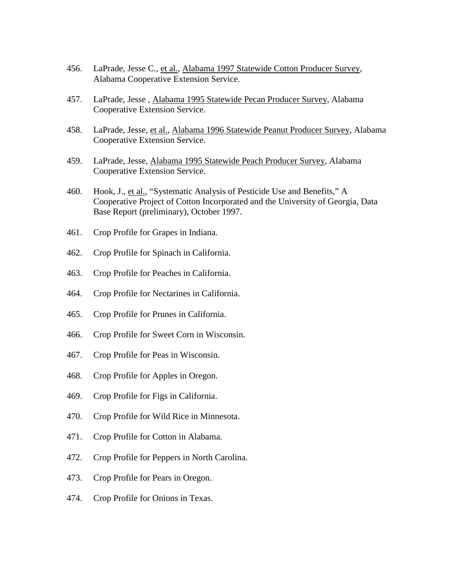- 456. LaPrade, Jesse C., et al., Alabama 1997 Statewide Cotton Producer Survey, Alabama Cooperative Extension Service.
- 457. LaPrade, Jesse , Alabama 1995 Statewide Pecan Producer Survey, Alabama Cooperative Extension Service.
- 458. LaPrade, Jesse, et al., Alabama 1996 Statewide Peanut Producer Survey, Alabama Cooperative Extension Service.
- 459. LaPrade, Jesse, Alabama 1995 Statewide Peach Producer Survey, Alabama Cooperative Extension Service.
- 460. Hook, J., et al., "Systematic Analysis of Pesticide Use and Benefits," A Cooperative Project of Cotton Incorporated and the University of Georgia, Data Base Report (preliminary), October 1997.
- 461. Crop Profile for Grapes in Indiana.
- 462. Crop Profile for Spinach in California.
- 463. Crop Profile for Peaches in California.
- 464. Crop Profile for Nectarines in California.
- 465. Crop Profile for Prunes in California.
- 466. Crop Profile for Sweet Corn in Wisconsin.
- 467. Crop Profile for Peas in Wisconsin.
- 468. Crop Profile for Apples in Oregon.
- 469. Crop Profile for Figs in California.
- 470. Crop Profile for Wild Rice in Minnesota.
- 471. Crop Profile for Cotton in Alabama.
- 472. Crop Profile for Peppers in North Carolina.
- 473. Crop Profile for Pears in Oregon.
- 474. Crop Profile for Onions in Texas.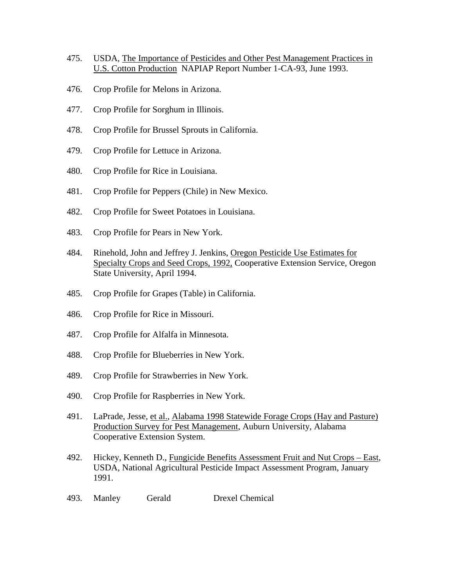- 475. USDA, The Importance of Pesticides and Other Pest Management Practices in U.S. Cotton Production NAPIAP Report Number 1-CA-93, June 1993.
- 476. Crop Profile for Melons in Arizona.
- 477. Crop Profile for Sorghum in Illinois.
- 478. Crop Profile for Brussel Sprouts in California.
- 479. Crop Profile for Lettuce in Arizona.
- 480. Crop Profile for Rice in Louisiana.
- 481. Crop Profile for Peppers (Chile) in New Mexico.
- 482. Crop Profile for Sweet Potatoes in Louisiana.
- 483. Crop Profile for Pears in New York.
- 484. Rinehold, John and Jeffrey J. Jenkins, Oregon Pesticide Use Estimates for Specialty Crops and Seed Crops, 1992, Cooperative Extension Service, Oregon State University, April 1994.
- 485. Crop Profile for Grapes (Table) in California.
- 486. Crop Profile for Rice in Missouri.
- 487. Crop Profile for Alfalfa in Minnesota.
- 488. Crop Profile for Blueberries in New York.
- 489. Crop Profile for Strawberries in New York.
- 490. Crop Profile for Raspberries in New York.
- 491. LaPrade, Jesse, et al., Alabama 1998 Statewide Forage Crops (Hay and Pasture) Production Survey for Pest Management, Auburn University, Alabama Cooperative Extension System.
- 492. Hickey, Kenneth D., Fungicide Benefits Assessment Fruit and Nut Crops East, USDA, National Agricultural Pesticide Impact Assessment Program, January 1991.
- 493. Manley Gerald Drexel Chemical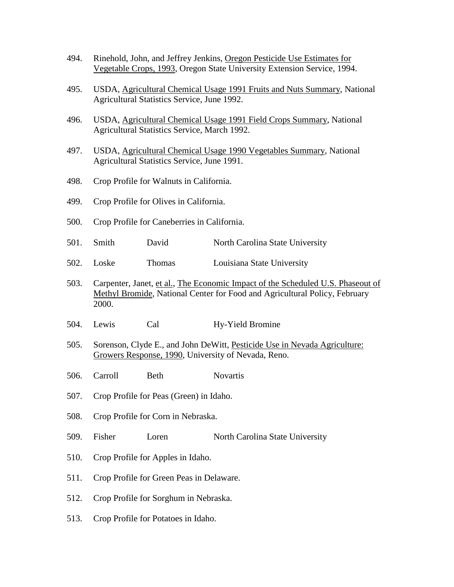- 494. Rinehold, John, and Jeffrey Jenkins, Oregon Pesticide Use Estimates for Vegetable Crops, 1993, Oregon State University Extension Service, 1994.
- 495. USDA, Agricultural Chemical Usage 1991 Fruits and Nuts Summary, National Agricultural Statistics Service, June 1992.
- 496. USDA, Agricultural Chemical Usage 1991 Field Crops Summary, National Agricultural Statistics Service, March 1992.
- 497. USDA, Agricultural Chemical Usage 1990 Vegetables Summary, National Agricultural Statistics Service, June 1991.
- 498. Crop Profile for Walnuts in California.
- 499. Crop Profile for Olives in California.
- 500. Crop Profile for Caneberries in California.
- 501. Smith David North Carolina State University
- 502. Loske Thomas Louisiana State University
- 503. Carpenter, Janet, et al., The Economic Impact of the Scheduled U.S. Phaseout of Methyl Bromide, National Center for Food and Agricultural Policy, February 2000.
- 504. Lewis Cal Hy-Yield Bromine
- 505. Sorenson, Clyde E., and John DeWitt, Pesticide Use in Nevada Agriculture: Growers Response, 1990, University of Nevada, Reno.
- 506. Carroll Beth Novartis
- 507. Crop Profile for Peas (Green) in Idaho.
- 508. Crop Profile for Corn in Nebraska.
- 509. Fisher Loren North Carolina State University
- 510. Crop Profile for Apples in Idaho.
- 511. Crop Profile for Green Peas in Delaware.
- 512. Crop Profile for Sorghum in Nebraska.
- 513. Crop Profile for Potatoes in Idaho.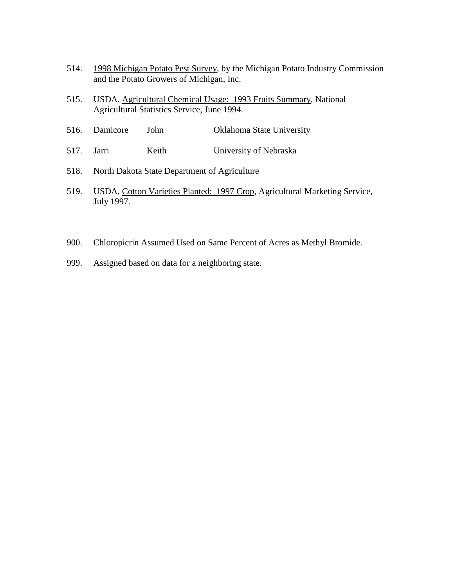- 514. 1998 Michigan Potato Pest Survey, by the Michigan Potato Industry Commission and the Potato Growers of Michigan, Inc.
- 515. USDA, Agricultural Chemical Usage: 1993 Fruits Summary, National Agricultural Statistics Service, June 1994.
- 516. Damicore John Oklahoma State University
- 517. Jarri Keith University of Nebraska
- 518. North Dakota State Department of Agriculture
- 519. USDA, Cotton Varieties Planted: 1997 Crop, Agricultural Marketing Service, July 1997.
- 900. Chloropicrin Assumed Used on Same Percent of Acres as Methyl Bromide.
- 999. Assigned based on data for a neighboring state.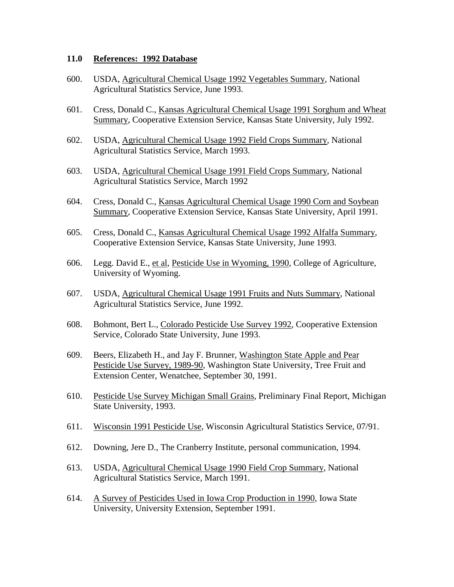## **11.0 References: 1992 Database**

- 600. USDA, Agricultural Chemical Usage 1992 Vegetables Summary, National Agricultural Statistics Service, June 1993.
- 601. Cress, Donald C., Kansas Agricultural Chemical Usage 1991 Sorghum and Wheat Summary, Cooperative Extension Service, Kansas State University, July 1992.
- 602. USDA, Agricultural Chemical Usage 1992 Field Crops Summary, National Agricultural Statistics Service, March 1993.
- 603. USDA, Agricultural Chemical Usage 1991 Field Crops Summary, National Agricultural Statistics Service, March 1992
- 604. Cress, Donald C., Kansas Agricultural Chemical Usage 1990 Corn and Soybean Summary, Cooperative Extension Service, Kansas State University, April 1991.
- 605. Cress, Donald C., Kansas Agricultural Chemical Usage 1992 Alfalfa Summary, Cooperative Extension Service, Kansas State University, June 1993.
- 606. Legg. David E., et al, Pesticide Use in Wyoming, 1990, College of Agriculture, University of Wyoming.
- 607. USDA, Agricultural Chemical Usage 1991 Fruits and Nuts Summary, National Agricultural Statistics Service, June 1992.
- 608. Bohmont, Bert L., Colorado Pesticide Use Survey 1992, Cooperative Extension Service, Colorado State University, June 1993.
- 609. Beers, Elizabeth H., and Jay F. Brunner, Washington State Apple and Pear Pesticide Use Survey, 1989-90, Washington State University, Tree Fruit and Extension Center, Wenatchee, September 30, 1991.
- 610. Pesticide Use Survey Michigan Small Grains, Preliminary Final Report, Michigan State University, 1993.
- 611. Wisconsin 1991 Pesticide Use, Wisconsin Agricultural Statistics Service, 07/91.
- 612. Downing, Jere D., The Cranberry Institute, personal communication, 1994.
- 613. USDA, Agricultural Chemical Usage 1990 Field Crop Summary, National Agricultural Statistics Service, March 1991.
- 614. A Survey of Pesticides Used in Iowa Crop Production in 1990, Iowa State University, University Extension, September 1991.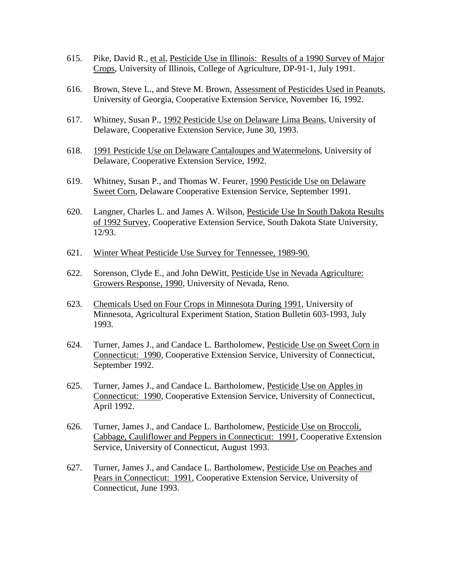- 615. Pike, David R., et al, Pesticide Use in Illinois: Results of a 1990 Survey of Major Crops, University of Illinois, College of Agriculture, DP-91-1, July 1991.
- 616. Brown, Steve L., and Steve M. Brown, Assessment of Pesticides Used in Peanuts, University of Georgia, Cooperative Extension Service, November 16, 1992.
- 617. Whitney, Susan P., 1992 Pesticide Use on Delaware Lima Beans, University of Delaware, Cooperative Extension Service, June 30, 1993.
- 618. 1991 Pesticide Use on Delaware Cantaloupes and Watermelons, University of Delaware, Cooperative Extension Service, 1992.
- 619. Whitney, Susan P., and Thomas W. Feurer, 1990 Pesticide Use on Delaware Sweet Corn, Delaware Cooperative Extension Service, September 1991.
- 620. Langner, Charles L. and James A. Wilson, Pesticide Use In South Dakota Results of 1992 Survey, Cooperative Extension Service, South Dakota State University, 12/93.
- 621. Winter Wheat Pesticide Use Survey for Tennessee, 1989-90.
- 622. Sorenson, Clyde E., and John DeWitt, Pesticide Use in Nevada Agriculture: Growers Response, 1990, University of Nevada, Reno.
- 623. Chemicals Used on Four Crops in Minnesota During 1991, University of Minnesota, Agricultural Experiment Station, Station Bulletin 603-1993, July 1993.
- 624. Turner, James J., and Candace L. Bartholomew, Pesticide Use on Sweet Corn in Connecticut: 1990, Cooperative Extension Service, University of Connecticut, September 1992.
- 625. Turner, James J., and Candace L. Bartholomew, Pesticide Use on Apples in Connecticut: 1990, Cooperative Extension Service, University of Connecticut, April 1992.
- 626. Turner, James J., and Candace L. Bartholomew, Pesticide Use on Broccoli, Cabbage, Cauliflower and Peppers in Connecticut: 1991, Cooperative Extension Service, University of Connecticut, August 1993.
- 627. Turner, James J., and Candace L. Bartholomew, Pesticide Use on Peaches and Pears in Connecticut: 1991, Cooperative Extension Service, University of Connecticut, June 1993.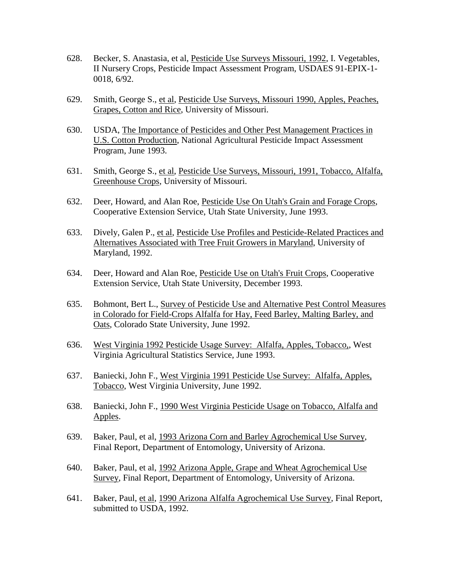- 628. Becker, S. Anastasia, et al, Pesticide Use Surveys Missouri, 1992, I. Vegetables, II Nursery Crops, Pesticide Impact Assessment Program, USDAES 91-EPIX-1- 0018, 6/92.
- 629. Smith, George S., et al, Pesticide Use Surveys, Missouri 1990, Apples, Peaches, Grapes, Cotton and Rice, University of Missouri.
- 630. USDA, The Importance of Pesticides and Other Pest Management Practices in U.S. Cotton Production, National Agricultural Pesticide Impact Assessment Program, June 1993.
- 631. Smith, George S., et al, Pesticide Use Surveys, Missouri, 1991, Tobacco, Alfalfa, Greenhouse Crops, University of Missouri.
- 632. Deer, Howard, and Alan Roe, Pesticide Use On Utah's Grain and Forage Crops, Cooperative Extension Service, Utah State University, June 1993.
- 633. Dively, Galen P., et al, Pesticide Use Profiles and Pesticide-Related Practices and Alternatives Associated with Tree Fruit Growers in Maryland, University of Maryland, 1992.
- 634. Deer, Howard and Alan Roe, Pesticide Use on Utah's Fruit Crops, Cooperative Extension Service, Utah State University, December 1993.
- 635. Bohmont, Bert L., Survey of Pesticide Use and Alternative Pest Control Measures in Colorado for Field-Crops Alfalfa for Hay, Feed Barley, Malting Barley, and Oats, Colorado State University, June 1992.
- 636. West Virginia 1992 Pesticide Usage Survey: Alfalfa, Apples, Tobacco,, West Virginia Agricultural Statistics Service, June 1993.
- 637. Baniecki, John F., West Virginia 1991 Pesticide Use Survey: Alfalfa, Apples, Tobacco, West Virginia University, June 1992.
- 638. Baniecki, John F., 1990 West Virginia Pesticide Usage on Tobacco, Alfalfa and Apples.
- 639. Baker, Paul, et al, 1993 Arizona Corn and Barley Agrochemical Use Survey, Final Report, Department of Entomology, University of Arizona.
- 640. Baker, Paul, et al, 1992 Arizona Apple, Grape and Wheat Agrochemical Use Survey, Final Report, Department of Entomology, University of Arizona.
- 641. Baker, Paul, et al, 1990 Arizona Alfalfa Agrochemical Use Survey, Final Report, submitted to USDA, 1992.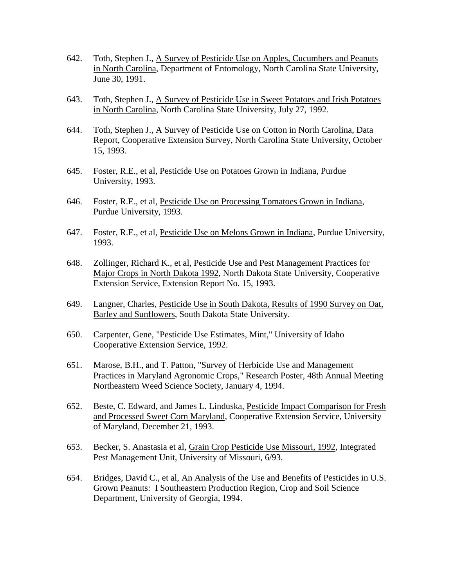- 642. Toth, Stephen J., A Survey of Pesticide Use on Apples, Cucumbers and Peanuts in North Carolina, Department of Entomology, North Carolina State University, June 30, 1991.
- 643. Toth, Stephen J., A Survey of Pesticide Use in Sweet Potatoes and Irish Potatoes in North Carolina, North Carolina State University, July 27, 1992.
- 644. Toth, Stephen J., A Survey of Pesticide Use on Cotton in North Carolina, Data Report, Cooperative Extension Survey, North Carolina State University, October 15, 1993.
- 645. Foster, R.E., et al, Pesticide Use on Potatoes Grown in Indiana, Purdue University, 1993.
- 646. Foster, R.E., et al, Pesticide Use on Processing Tomatoes Grown in Indiana, Purdue University, 1993.
- 647. Foster, R.E., et al, Pesticide Use on Melons Grown in Indiana, Purdue University, 1993.
- 648. Zollinger, Richard K., et al, Pesticide Use and Pest Management Practices for Major Crops in North Dakota 1992, North Dakota State University, Cooperative Extension Service, Extension Report No. 15, 1993.
- 649. Langner, Charles, Pesticide Use in South Dakota, Results of 1990 Survey on Oat, Barley and Sunflowers, South Dakota State University.
- 650. Carpenter, Gene, "Pesticide Use Estimates, Mint," University of Idaho Cooperative Extension Service, 1992.
- 651. Marose, B.H., and T. Patton, "Survey of Herbicide Use and Management Practices in Maryland Agronomic Crops," Research Poster, 48th Annual Meeting Northeastern Weed Science Society, January 4, 1994.
- 652. Beste, C. Edward, and James L. Linduska, Pesticide Impact Comparison for Fresh and Processed Sweet Corn Maryland, Cooperative Extension Service, University of Maryland, December 21, 1993.
- 653. Becker, S. Anastasia et al, Grain Crop Pesticide Use Missouri, 1992, Integrated Pest Management Unit, University of Missouri, 6/93.
- 654. Bridges, David C., et al, An Analysis of the Use and Benefits of Pesticides in U.S. Grown Peanuts: I Southeastern Production Region, Crop and Soil Science Department, University of Georgia, 1994.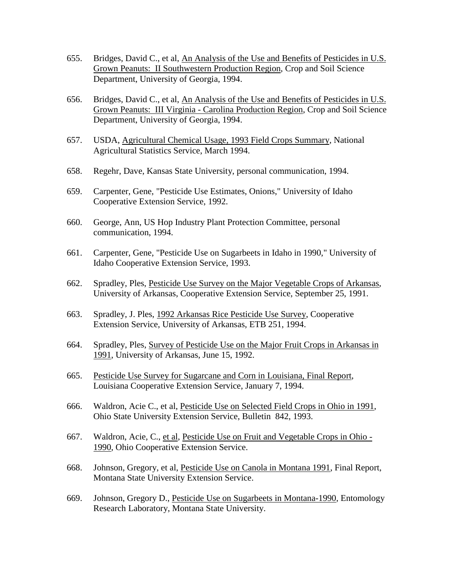- 655. Bridges, David C., et al, An Analysis of the Use and Benefits of Pesticides in U.S. Grown Peanuts: II Southwestern Production Region, Crop and Soil Science Department, University of Georgia, 1994.
- 656. Bridges, David C., et al, An Analysis of the Use and Benefits of Pesticides in U.S. Grown Peanuts: III Virginia - Carolina Production Region, Crop and Soil Science Department, University of Georgia, 1994.
- 657. USDA, Agricultural Chemical Usage, 1993 Field Crops Summary, National Agricultural Statistics Service, March 1994.
- 658. Regehr, Dave, Kansas State University, personal communication, 1994.
- 659. Carpenter, Gene, "Pesticide Use Estimates, Onions," University of Idaho Cooperative Extension Service, 1992.
- 660. George, Ann, US Hop Industry Plant Protection Committee, personal communication, 1994.
- 661. Carpenter, Gene, "Pesticide Use on Sugarbeets in Idaho in 1990," University of Idaho Cooperative Extension Service, 1993.
- 662. Spradley, Ples, Pesticide Use Survey on the Major Vegetable Crops of Arkansas, University of Arkansas, Cooperative Extension Service, September 25, 1991.
- 663. Spradley, J. Ples, 1992 Arkansas Rice Pesticide Use Survey, Cooperative Extension Service, University of Arkansas, ETB 251, 1994.
- 664. Spradley, Ples, Survey of Pesticide Use on the Major Fruit Crops in Arkansas in 1991, University of Arkansas, June 15, 1992.
- 665. Pesticide Use Survey for Sugarcane and Corn in Louisiana, Final Report, Louisiana Cooperative Extension Service, January 7, 1994.
- 666. Waldron, Acie C., et al, Pesticide Use on Selected Field Crops in Ohio in 1991, Ohio State University Extension Service, Bulletin 842, 1993.
- 667. Waldron, Acie, C., et al, Pesticide Use on Fruit and Vegetable Crops in Ohio 1990, Ohio Cooperative Extension Service.
- 668. Johnson, Gregory, et al, Pesticide Use on Canola in Montana 1991, Final Report, Montana State University Extension Service.
- 669. Johnson, Gregory D., Pesticide Use on Sugarbeets in Montana-1990, Entomology Research Laboratory, Montana State University.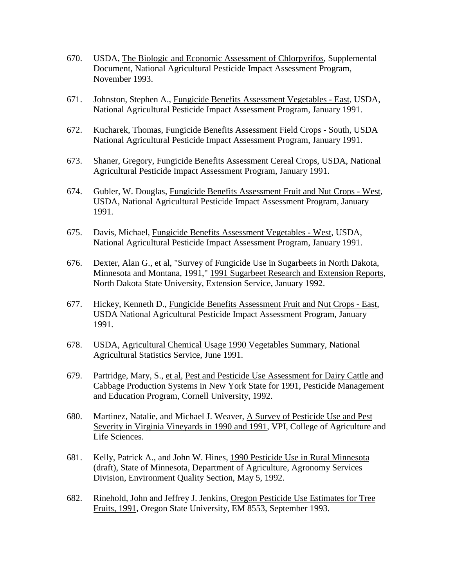- 670. USDA, The Biologic and Economic Assessment of Chlorpyrifos, Supplemental Document, National Agricultural Pesticide Impact Assessment Program, November 1993.
- 671. Johnston, Stephen A., Fungicide Benefits Assessment Vegetables East, USDA, National Agricultural Pesticide Impact Assessment Program, January 1991.
- 672. Kucharek, Thomas, Fungicide Benefits Assessment Field Crops South, USDA National Agricultural Pesticide Impact Assessment Program, January 1991.
- 673. Shaner, Gregory, Fungicide Benefits Assessment Cereal Crops, USDA, National Agricultural Pesticide Impact Assessment Program, January 1991.
- 674. Gubler, W. Douglas, Fungicide Benefits Assessment Fruit and Nut Crops West, USDA, National Agricultural Pesticide Impact Assessment Program, January 1991.
- 675. Davis, Michael, Fungicide Benefits Assessment Vegetables West, USDA, National Agricultural Pesticide Impact Assessment Program, January 1991.
- 676. Dexter, Alan G., et al, "Survey of Fungicide Use in Sugarbeets in North Dakota, Minnesota and Montana, 1991," 1991 Sugarbeet Research and Extension Reports, North Dakota State University, Extension Service, January 1992.
- 677. Hickey, Kenneth D., Fungicide Benefits Assessment Fruit and Nut Crops East, USDA National Agricultural Pesticide Impact Assessment Program, January 1991.
- 678. USDA, Agricultural Chemical Usage 1990 Vegetables Summary, National Agricultural Statistics Service, June 1991.
- 679. Partridge, Mary, S., et al, Pest and Pesticide Use Assessment for Dairy Cattle and Cabbage Production Systems in New York State for 1991, Pesticide Management and Education Program, Cornell University, 1992.
- 680. Martinez, Natalie, and Michael J. Weaver, A Survey of Pesticide Use and Pest Severity in Virginia Vineyards in 1990 and 1991, VPI, College of Agriculture and Life Sciences.
- 681. Kelly, Patrick A., and John W. Hines, 1990 Pesticide Use in Rural Minnesota (draft), State of Minnesota, Department of Agriculture, Agronomy Services Division, Environment Quality Section, May 5, 1992.
- 682. Rinehold, John and Jeffrey J. Jenkins, Oregon Pesticide Use Estimates for Tree Fruits, 1991, Oregon State University, EM 8553, September 1993.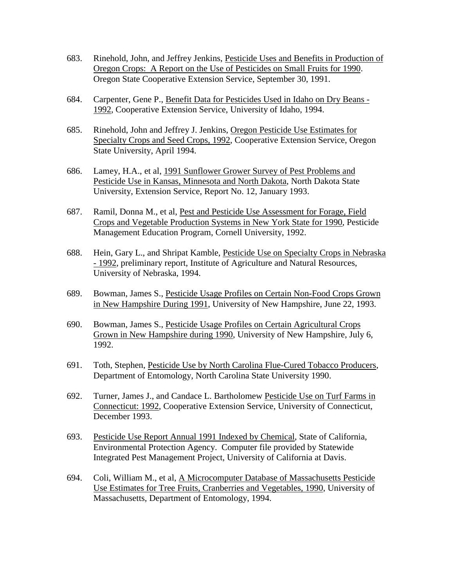- 683. Rinehold, John, and Jeffrey Jenkins, Pesticide Uses and Benefits in Production of Oregon Crops: A Report on the Use of Pesticides on Small Fruits for 1990. Oregon State Cooperative Extension Service, September 30, 1991.
- 684. Carpenter, Gene P., Benefit Data for Pesticides Used in Idaho on Dry Beans 1992, Cooperative Extension Service, University of Idaho, 1994.
- 685. Rinehold, John and Jeffrey J. Jenkins, Oregon Pesticide Use Estimates for Specialty Crops and Seed Crops, 1992, Cooperative Extension Service, Oregon State University, April 1994.
- 686. Lamey, H.A., et al, 1991 Sunflower Grower Survey of Pest Problems and Pesticide Use in Kansas, Minnesota and North Dakota, North Dakota State University, Extension Service, Report No. 12, January 1993.
- 687. Ramil, Donna M., et al, Pest and Pesticide Use Assessment for Forage, Field Crops and Vegetable Production Systems in New York State for 1990, Pesticide Management Education Program, Cornell University, 1992.
- 688. Hein, Gary L., and Shripat Kamble, Pesticide Use on Specialty Crops in Nebraska - 1992, preliminary report, Institute of Agriculture and Natural Resources, University of Nebraska, 1994.
- 689. Bowman, James S., Pesticide Usage Profiles on Certain Non-Food Crops Grown in New Hampshire During 1991, University of New Hampshire, June 22, 1993.
- 690. Bowman, James S., Pesticide Usage Profiles on Certain Agricultural Crops Grown in New Hampshire during 1990, University of New Hampshire, July 6, 1992.
- 691. Toth, Stephen, Pesticide Use by North Carolina Flue-Cured Tobacco Producers, Department of Entomology, North Carolina State University 1990.
- 692. Turner, James J., and Candace L. Bartholomew Pesticide Use on Turf Farms in Connecticut: 1992, Cooperative Extension Service, University of Connecticut, December 1993.
- 693. Pesticide Use Report Annual 1991 Indexed by Chemical, State of California, Environmental Protection Agency. Computer file provided by Statewide Integrated Pest Management Project, University of California at Davis.
- 694. Coli, William M., et al, A Microcomputer Database of Massachusetts Pesticide Use Estimates for Tree Fruits, Cranberries and Vegetables, 1990, University of Massachusetts, Department of Entomology, 1994.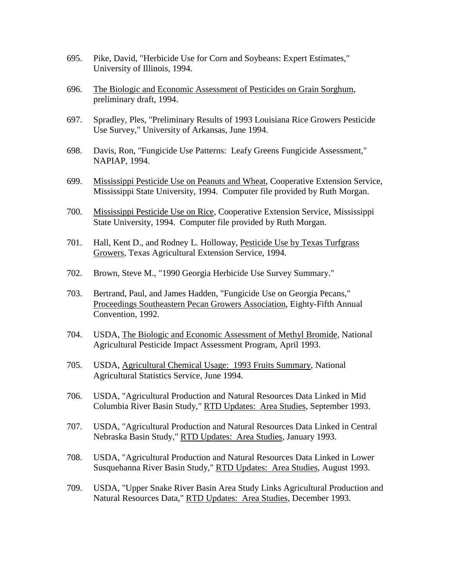- 695. Pike, David, "Herbicide Use for Corn and Soybeans: Expert Estimates," University of Illinois, 1994.
- 696. The Biologic and Economic Assessment of Pesticides on Grain Sorghum, preliminary draft, 1994.
- 697. Spradley, Ples, "Preliminary Results of 1993 Louisiana Rice Growers Pesticide Use Survey," University of Arkansas, June 1994.
- 698. Davis, Ron, "Fungicide Use Patterns: Leafy Greens Fungicide Assessment," NAPIAP, 1994.
- 699. Mississippi Pesticide Use on Peanuts and Wheat, Cooperative Extension Service, Mississippi State University, 1994. Computer file provided by Ruth Morgan.
- 700. Mississippi Pesticide Use on Rice, Cooperative Extension Service, Mississippi State University, 1994. Computer file provided by Ruth Morgan.
- 701. Hall, Kent D., and Rodney L. Holloway, Pesticide Use by Texas Turfgrass Growers, Texas Agricultural Extension Service, 1994.
- 702. Brown, Steve M., "1990 Georgia Herbicide Use Survey Summary."
- 703. Bertrand, Paul, and James Hadden, "Fungicide Use on Georgia Pecans," Proceedings Southeastern Pecan Growers Association, Eighty-Fifth Annual Convention, 1992.
- 704. USDA, The Biologic and Economic Assessment of Methyl Bromide, National Agricultural Pesticide Impact Assessment Program, April 1993.
- 705. USDA, Agricultural Chemical Usage: 1993 Fruits Summary, National Agricultural Statistics Service, June 1994.
- 706. USDA, "Agricultural Production and Natural Resources Data Linked in Mid Columbia River Basin Study," RTD Updates: Area Studies, September 1993.
- 707. USDA, "Agricultural Production and Natural Resources Data Linked in Central Nebraska Basin Study," RTD Updates: Area Studies, January 1993.
- 708. USDA, "Agricultural Production and Natural Resources Data Linked in Lower Susquehanna River Basin Study," RTD Updates: Area Studies, August 1993.
- 709. USDA, "Upper Snake River Basin Area Study Links Agricultural Production and Natural Resources Data," RTD Updates: Area Studies, December 1993.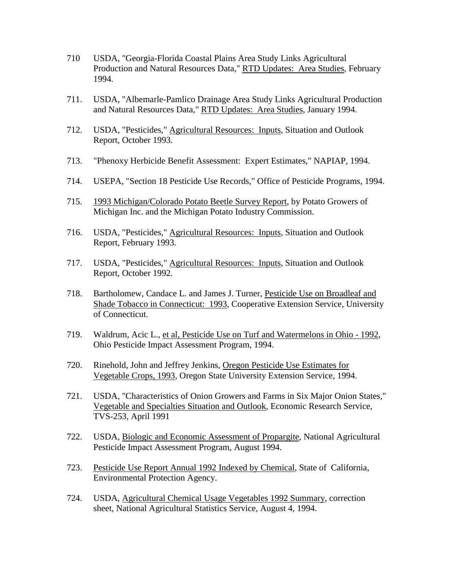- 710 USDA, "Georgia-Florida Coastal Plains Area Study Links Agricultural Production and Natural Resources Data," RTD Updates: Area Studies, February 1994.
- 711. USDA, "Albemarle-Pamlico Drainage Area Study Links Agricultural Production and Natural Resources Data," RTD Updates: Area Studies, January 1994.
- 712. USDA, "Pesticides," Agricultural Resources: Inputs, Situation and Outlook Report, October 1993.
- 713. "Phenoxy Herbicide Benefit Assessment: Expert Estimates," NAPIAP, 1994.
- 714. USEPA, "Section 18 Pesticide Use Records," Office of Pesticide Programs, 1994.
- 715. 1993 Michigan/Colorado Potato Beetle Survey Report, by Potato Growers of Michigan Inc. and the Michigan Potato Industry Commission.
- 716. USDA, "Pesticides," Agricultural Resources: Inputs, Situation and Outlook Report, February 1993.
- 717. USDA, "Pesticides," Agricultural Resources: Inputs, Situation and Outlook Report, October 1992.
- 718. Bartholomew, Candace L. and James J. Turner, Pesticide Use on Broadleaf and Shade Tobacco in Connecticut: 1993, Cooperative Extension Service, University of Connecticut.
- 719. Waldrum, Acic L., et al, Pesticide Use on Turf and Watermelons in Ohio 1992, Ohio Pesticide Impact Assessment Program, 1994.
- 720. Rinehold, John and Jeffrey Jenkins, Oregon Pesticide Use Estimates for Vegetable Crops, 1993, Oregon State University Extension Service, 1994.
- 721. USDA, "Characteristics of Onion Growers and Farms in Six Major Onion States," Vegetable and Specialties Situation and Outlook, Economic Research Service, TVS-253, April 1991
- 722. USDA, Biologic and Economic Assessment of Propargite, National Agricultural Pesticide Impact Assessment Program, August 1994.
- 723. Pesticide Use Report Annual 1992 Indexed by Chemical, State of California, Environmental Protection Agency.
- 724. USDA, Agricultural Chemical Usage Vegetables 1992 Summary, correction sheet, National Agricultural Statistics Service, August 4, 1994.